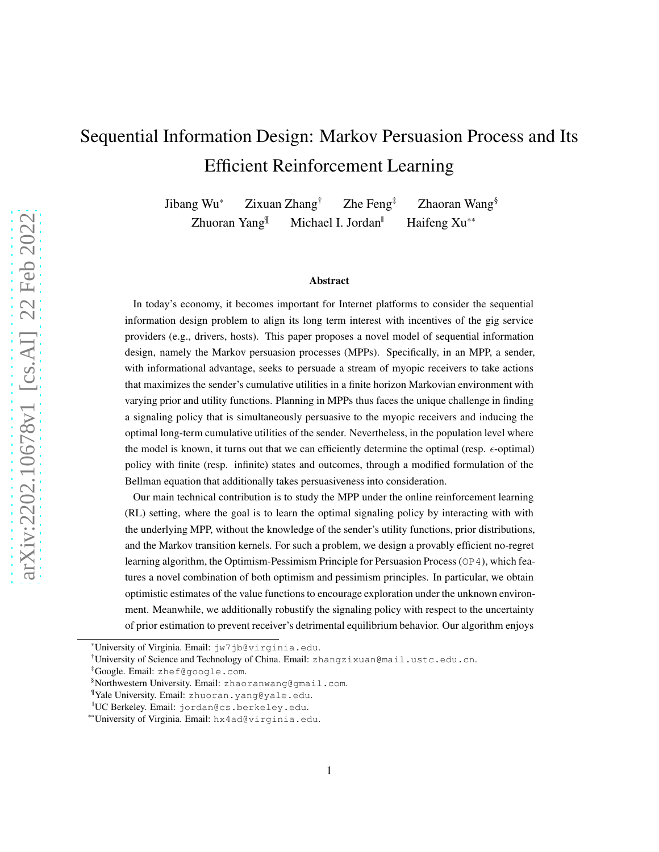# Sequential Information Design: Markov Persuasion Process and Its Efficient Reinforcement Learning

Jibang Wu\* Zixuan Zhang<sup>†</sup> Zhe Feng<sup>‡</sup> Zhaoran Wang<sup>§</sup> Zhuoran Yang $\mathbb{I}$  Michael I. Jordan<sup> $\mathbb{I}$ </sup> Haifeng Xu<sup>\*\*</sup>

#### Abstract

In today's economy, it becomes important for Internet platforms to consider the sequential information design problem to align its long term interest with incentives of the gig service providers (e.g., drivers, hosts). This paper proposes a novel model of sequential information design, namely the Markov persuasion processes (MPPs). Specifically, in an MPP, a sender, with informational advantage, seeks to persuade a stream of myopic receivers to take actions that maximizes the sender's cumulative utilities in a finite horizon Markovian environment with varying prior and utility functions. Planning in MPPs thus faces the unique challenge in finding a signaling policy that is simultaneously persuasive to the myopic receivers and inducing the optimal long-term cumulative utilities of the sender. Nevertheless, in the population level where the model is known, it turns out that we can efficiently determine the optimal (resp.  $\epsilon$ -optimal) policy with finite (resp. infinite) states and outcomes, through a modified formulation of the Bellman equation that additionally takes persuasiveness into consideration.

Our main technical contribution is to study the MPP under the online reinforcement learning (RL) setting, where the goal is to learn the optimal signaling policy by interacting with with the underlying MPP, without the knowledge of the sender's utility functions, prior distributions, and the Markov transition kernels. For such a problem, we design a provably efficient no-regret learning algorithm, the Optimism-Pessimism Principle for Persuasion Process (OP4), which features a novel combination of both optimism and pessimism principles. In particular, we obtain optimistic estimates of the value functions to encourage exploration under the unknown environment. Meanwhile, we additionally robustify the signaling policy with respect to the uncertainty of prior estimation to prevent receiver's detrimental equilibrium behavior. Our algorithm enjoys

<sup>\*</sup>University of Virginia. Email: jw7jb@virginia.edu.

<sup>†</sup>University of Science and Technology of China. Email: zhangzixuan@mail.ustc.edu.cn.

<sup>‡</sup>Google. Email: zhef@google.com.

<sup>§</sup>Northwestern University. Email: zhaoranwang@gmail.com.

<sup>¶</sup>Yale University. Email: zhuoran.yang@yale.edu.

<sup>||</sup>UC Berkeley. Email: jordan@cs.berkeley.edu.

<sup>\*\*</sup>University of Virginia. Email: hx4ad@virginia.edu.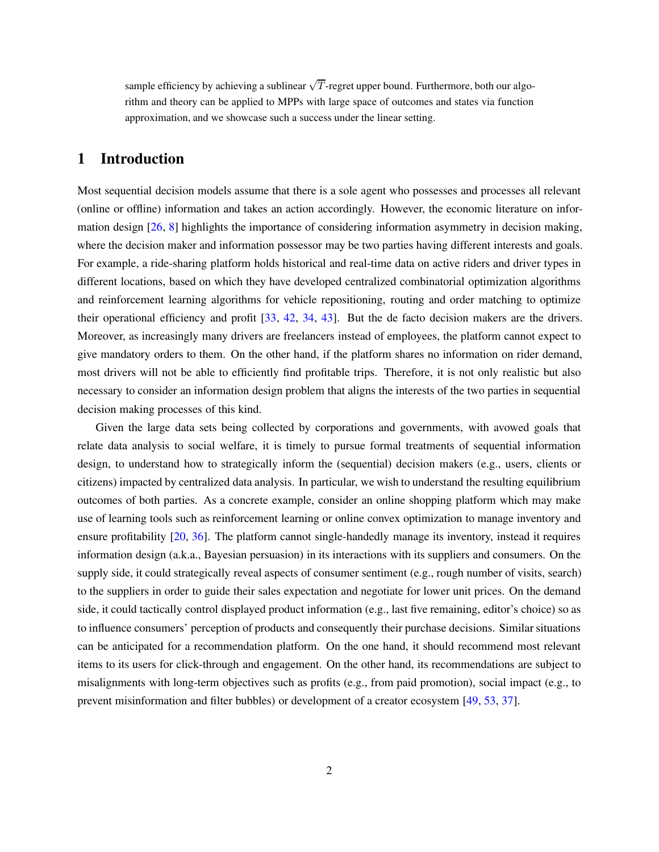sample efficiency by achieving a sublinear  $\sqrt{T}$ -regret upper bound. Furthermore, both our algorithm and theory can be applied to MPPs with large space of outcomes and states via function approximation, and we showcase such a success under the linear setting.

# <span id="page-1-0"></span>1 Introduction

Most sequential decision models assume that there is a sole agent who possesses and processes all relevant (online or offline) information and takes an action accordingly. However, the economic literature on information design [\[26](#page-25-0), [8](#page-24-0)] highlights the importance of considering information asymmetry in decision making, where the decision maker and information possessor may be two parties having different interests and goals. For example, a ride-sharing platform holds historical and real-time data on active riders and driver types in different locations, based on which they have developed centralized combinatorial optimization algorithms and reinforcement learning algorithms for vehicle repositioning, routing and order matching to optimize their operational efficiency and profit [\[33](#page-26-0), [42](#page-26-1), [34](#page-26-2), [43](#page-26-3)]. But the de facto decision makers are the drivers. Moreover, as increasingly many drivers are freelancers instead of employees, the platform cannot expect to give mandatory orders to them. On the other hand, if the platform shares no information on rider demand, most drivers will not be able to efficiently find profitable trips. Therefore, it is not only realistic but also necessary to consider an information design problem that aligns the interests of the two parties in sequential decision making processes of this kind.

Given the large data sets being collected by corporations and governments, with avowed goals that relate data analysis to social welfare, it is timely to pursue formal treatments of sequential information design, to understand how to strategically inform the (sequential) decision makers (e.g., users, clients or citizens) impacted by centralized data analysis. In particular, we wish to understand the resulting equilibrium outcomes of both parties. As a concrete example, consider an online shopping platform which may make use of learning tools such as reinforcement learning or online convex optimization to manage inventory and ensure profitability [\[20](#page-25-1), [36](#page-26-4)]. The platform cannot single-handedly manage its inventory, instead it requires information design (a.k.a., Bayesian persuasion) in its interactions with its suppliers and consumers. On the supply side, it could strategically reveal aspects of consumer sentiment (e.g., rough number of visits, search) to the suppliers in order to guide their sales expectation and negotiate for lower unit prices. On the demand side, it could tactically control displayed product information (e.g., last five remaining, editor's choice) so as to influence consumers' perception of products and consequently their purchase decisions. Similar situations can be anticipated for a recommendation platform. On the one hand, it should recommend most relevant items to its users for click-through and engagement. On the other hand, its recommendations are subject to misalignments with long-term objectives such as profits (e.g., from paid promotion), social impact (e.g., to prevent misinformation and filter bubbles) or development of a creator ecosystem [\[49](#page-27-0), [53,](#page-27-1) [37](#page-26-5)].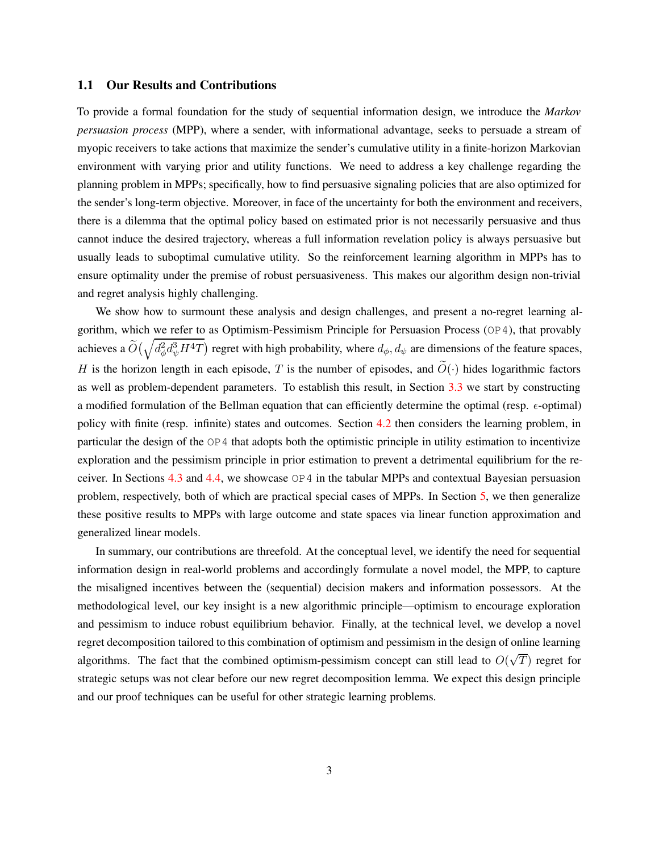#### 1.1 Our Results and Contributions

To provide a formal foundation for the study of sequential information design, we introduce the *Markov persuasion process* (MPP), where a sender, with informational advantage, seeks to persuade a stream of myopic receivers to take actions that maximize the sender's cumulative utility in a finite-horizon Markovian environment with varying prior and utility functions. We need to address a key challenge regarding the planning problem in MPPs; specifically, how to find persuasive signaling policies that are also optimized for the sender's long-term objective. Moreover, in face of the uncertainty for both the environment and receivers, there is a dilemma that the optimal policy based on estimated prior is not necessarily persuasive and thus cannot induce the desired trajectory, whereas a full information revelation policy is always persuasive but usually leads to suboptimal cumulative utility. So the reinforcement learning algorithm in MPPs has to ensure optimality under the premise of robust persuasiveness. This makes our algorithm design non-trivial and regret analysis highly challenging.

We show how to surmount these analysis and design challenges, and present a no-regret learning algorithm, which we refer to as Optimism-Pessimism Principle for Persuasion Process (OP4), that provably achieves a  $\widetilde{O}(\sqrt{d_\phi^2 d_\psi^3 H^4T})$  regret with high probability, where  $d_\phi, d_\psi$  are dimensions of the feature spaces, H is the horizon length in each episode, T is the number of episodes, and  $\widetilde{O}(\cdot)$  hides logarithmic factors as well as problem-dependent parameters. To establish this result, in Section [3.3](#page-10-0) we start by constructing a modified formulation of the Bellman equation that can efficiently determine the optimal (resp.  $\epsilon$ -optimal) policy with finite (resp. infinite) states and outcomes. Section [4.2](#page-13-0) then considers the learning problem, in particular the design of the OP4 that adopts both the optimistic principle in utility estimation to incentivize exploration and the pessimism principle in prior estimation to prevent a detrimental equilibrium for the receiver. In Sections [4.3](#page-15-0) and [4.4,](#page-16-0) we showcase OP4 in the tabular MPPs and contextual Bayesian persuasion problem, respectively, both of which are practical special cases of MPPs. In Section [5,](#page-17-0) we then generalize these positive results to MPPs with large outcome and state spaces via linear function approximation and generalized linear models.

In summary, our contributions are threefold. At the conceptual level, we identify the need for sequential information design in real-world problems and accordingly formulate a novel model, the MPP, to capture the misaligned incentives between the (sequential) decision makers and information possessors. At the methodological level, our key insight is a new algorithmic principle—optimism to encourage exploration and pessimism to induce robust equilibrium behavior. Finally, at the technical level, we develop a novel regret decomposition tailored to this combination of optimism and pessimism in the design of online learning algorithms. The fact that the combined optimism-pessimism concept can still lead to  $O(\sqrt{T})$  regret for strategic setups was not clear before our new regret decomposition lemma. We expect this design principle and our proof techniques can be useful for other strategic learning problems.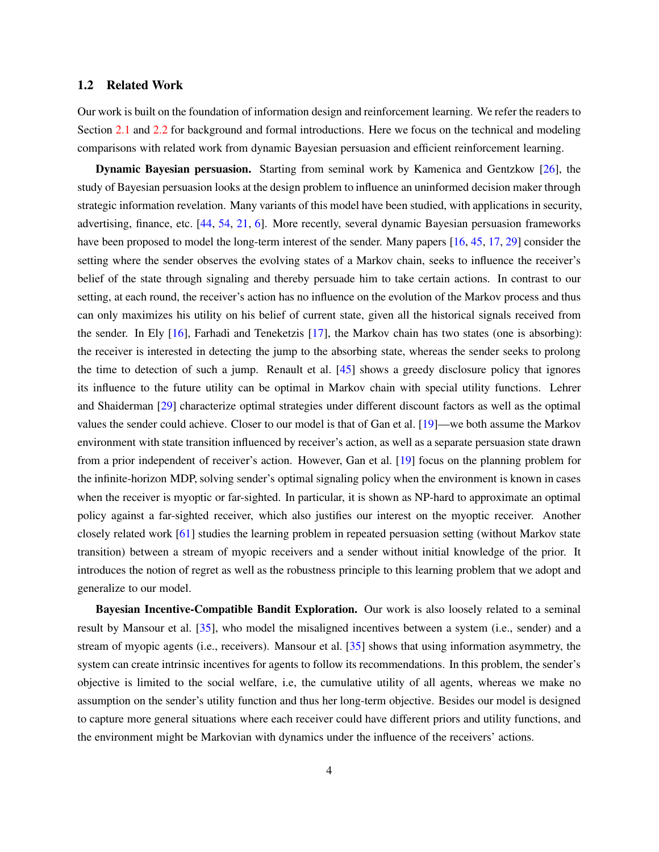#### 1.2 Related Work

Our work is built on the foundation of information design and reinforcement learning. We refer the readers to Section [2.1](#page-4-0) and [2.2](#page-5-0) for background and formal introductions. Here we focus on the technical and modeling comparisons with related work from dynamic Bayesian persuasion and efficient reinforcement learning.

Dynamic Bayesian persuasion. Starting from seminal work by Kamenica and Gentzkow [\[26\]](#page-25-0), the study of Bayesian persuasion looks at the design problem to influence an uninformed decision maker through strategic information revelation. Many variants of this model have been studied, with applications in security, advertising, finance, etc. [\[44](#page-26-6), [54,](#page-27-2) [21,](#page-25-2) [6](#page-24-1)]. More recently, several dynamic Bayesian persuasion frameworks have been proposed to model the long-term interest of the sender. Many papers [\[16](#page-24-2), [45](#page-26-7), [17,](#page-24-3) [29\]](#page-25-3) consider the setting where the sender observes the evolving states of a Markov chain, seeks to influence the receiver's belief of the state through signaling and thereby persuade him to take certain actions. In contrast to our setting, at each round, the receiver's action has no influence on the evolution of the Markov process and thus can only maximizes his utility on his belief of current state, given all the historical signals received from the sender. In Ely [\[16\]](#page-24-2), Farhadi and Teneketzis [\[17\]](#page-24-3), the Markov chain has two states (one is absorbing): the receiver is interested in detecting the jump to the absorbing state, whereas the sender seeks to prolong the time to detection of such a jump. Renault et al. [\[45\]](#page-26-7) shows a greedy disclosure policy that ignores its influence to the future utility can be optimal in Markov chain with special utility functions. Lehrer and Shaiderman [\[29](#page-25-3)] characterize optimal strategies under different discount factors as well as the optimal values the sender could achieve. Closer to our model is that of Gan et al. [\[19](#page-25-4)]—we both assume the Markov environment with state transition influenced by receiver's action, as well as a separate persuasion state drawn from a prior independent of receiver's action. However, Gan et al. [\[19](#page-25-4)] focus on the planning problem for the infinite-horizon MDP, solving sender's optimal signaling policy when the environment is known in cases when the receiver is myoptic or far-sighted. In particular, it is shown as NP-hard to approximate an optimal policy against a far-sighted receiver, which also justifies our interest on the myoptic receiver. Another closely related work [61] studies the learning problem in repeated persuasion setting (without Markov state transition) between a stream of myopic receivers and a sender without initial knowledge of the prior. It introduces the notion of regret as well as the robustness principle to this learning problem that we adopt and generalize to our model.

Bayesian Incentive-Compatible Bandit Exploration. Our work is also loosely related to a seminal result by Mansour et al. [\[35](#page-26-8)], who model the misaligned incentives between a system (i.e., sender) and a stream of myopic agents (i.e., receivers). Mansour et al. [\[35\]](#page-26-8) shows that using information asymmetry, the system can create intrinsic incentives for agents to follow its recommendations. In this problem, the sender's objective is limited to the social welfare, i.e, the cumulative utility of all agents, whereas we make no assumption on the sender's utility function and thus her long-term objective. Besides our model is designed to capture more general situations where each receiver could have different priors and utility functions, and the environment might be Markovian with dynamics under the influence of the receivers' actions.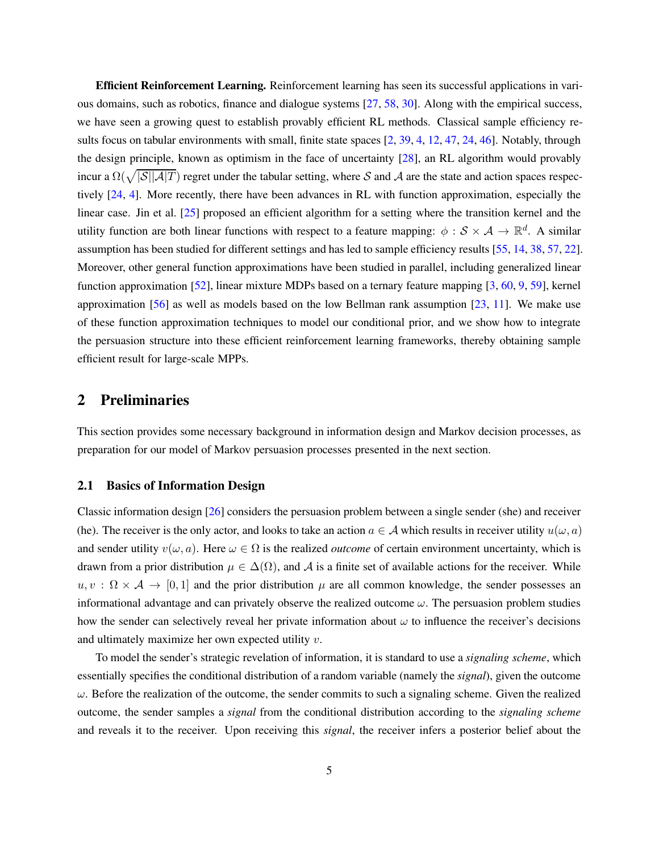Efficient Reinforcement Learning. Reinforcement learning has seen its successful applications in various domains, such as robotics, finance and dialogue systems [\[27,](#page-25-5) [58](#page-27-3), [30](#page-25-6)]. Along with the empirical success, we have seen a growing quest to establish provably efficient RL methods. Classical sample efficiency re-sults focus on tabular environments with small, finite state spaces [\[2,](#page-23-0) [39,](#page-26-9) [4](#page-24-4), [12](#page-24-5), [47](#page-27-4), [24,](#page-25-7) [46\]](#page-27-5). Notably, through the design principle, known as optimism in the face of uncertainty [\[28\]](#page-25-8), an RL algorithm would provably incur a  $\Omega(\sqrt{|\mathcal{S}||\mathcal{A}|T})$  regret under the tabular setting, where S and A are the state and action spaces respectively [\[24](#page-25-7), [4\]](#page-24-4). More recently, there have been advances in RL with function approximation, especially the linear case. Jin et al. [\[25\]](#page-25-9) proposed an efficient algorithm for a setting where the transition kernel and the utility function are both linear functions with respect to a feature mapping:  $\phi$  :  $S \times A \to \mathbb{R}^d$ . A similar assumption has been studied for different settings and has led to sample efficiency results [\[55,](#page-27-6) [14,](#page-24-6) [38,](#page-26-10) [57,](#page-27-7) [22](#page-25-10)]. Moreover, other general function approximations have been studied in parallel, including generalized linear function approximation [\[52\]](#page-27-8), linear mixture MDPs based on a ternary feature mapping [\[3](#page-23-1), [60,](#page-28-0) [9](#page-24-7), [59\]](#page-28-1), kernel approximation  $[56]$  $[56]$  as well as models based on the low Bellman rank assumption  $[23, 11]$  $[23, 11]$  $[23, 11]$ . We make use of these function approximation techniques to model our conditional prior, and we show how to integrate the persuasion structure into these efficient reinforcement learning frameworks, thereby obtaining sample efficient result for large-scale MPPs.

# 2 Preliminaries

This section provides some necessary background in information design and Markov decision processes, as preparation for our model of Markov persuasion processes presented in the next section.

### <span id="page-4-0"></span>2.1 Basics of Information Design

Classic information design [\[26](#page-25-0)] considers the persuasion problem between a single sender (she) and receiver (he). The receiver is the only actor, and looks to take an action  $a \in A$  which results in receiver utility  $u(\omega, a)$ and sender utility  $v(\omega, a)$ . Here  $\omega \in \Omega$  is the realized *outcome* of certain environment uncertainty, which is drawn from a prior distribution  $\mu \in \Delta(\Omega)$ , and A is a finite set of available actions for the receiver. While  $u, v : \Omega \times A \rightarrow [0, 1]$  and the prior distribution  $\mu$  are all common knowledge, the sender possesses an informational advantage and can privately observe the realized outcome  $\omega$ . The persuasion problem studies how the sender can selectively reveal her private information about  $\omega$  to influence the receiver's decisions and ultimately maximize her own expected utility  $v$ .

To model the sender's strategic revelation of information, it is standard to use a *signaling scheme*, which essentially specifies the conditional distribution of a random variable (namely the *signal*), given the outcome  $\omega$ . Before the realization of the outcome, the sender commits to such a signaling scheme. Given the realized outcome, the sender samples a *signal* from the conditional distribution according to the *signaling scheme* and reveals it to the receiver. Upon receiving this *signal*, the receiver infers a posterior belief about the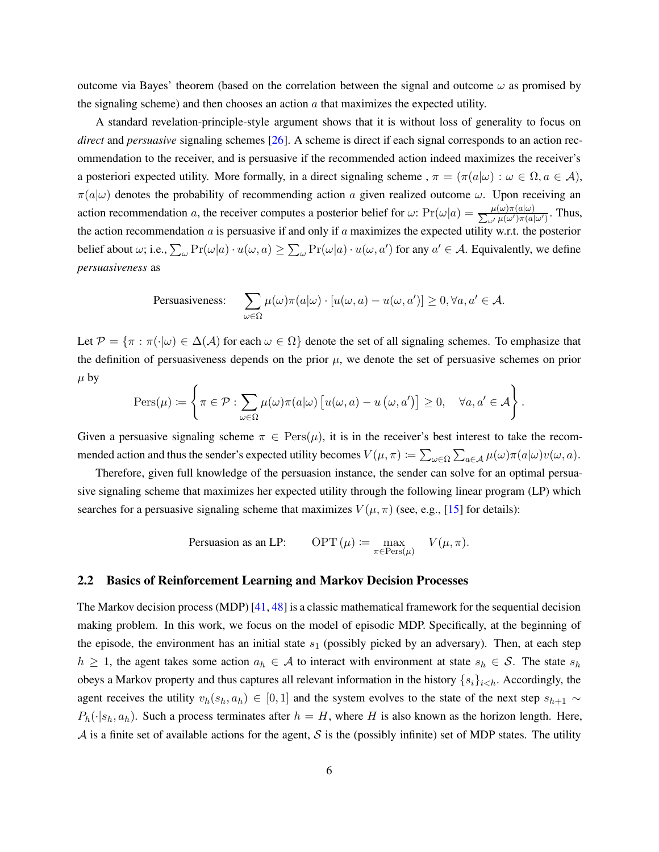outcome via Bayes' theorem (based on the correlation between the signal and outcome  $\omega$  as promised by the signaling scheme) and then chooses an action  $\alpha$  that maximizes the expected utility.

A standard revelation-principle-style argument shows that it is without loss of generality to focus on *direct* and *persuasive* signaling schemes [\[26\]](#page-25-0). A scheme is direct if each signal corresponds to an action recommendation to the receiver, and is persuasive if the recommended action indeed maximizes the receiver's a posteriori expected utility. More formally, in a direct signaling scheme ,  $\pi = (\pi(a|\omega) : \omega \in \Omega, a \in \mathcal{A})$ ,  $\pi(a|\omega)$  denotes the probability of recommending action a given realized outcome  $\omega$ . Upon receiving an action recommendation a, the receiver computes a posterior belief for  $\omega$ :  $Pr(\omega|a) = \frac{\mu(\omega)\pi(a|\omega)}{\sum_{\omega'}\mu(\omega')\pi(a|\omega')}$ . Thus, the action recommendation  $a$  is persuasive if and only if  $a$  maximizes the expected utility w.r.t. the posterior belief about  $\omega$ ; i.e.,  $\sum_{\omega} \Pr(\omega|a) \cdot u(\omega, a) \ge \sum_{\omega} \Pr(\omega|a) \cdot u(\omega, a')$  for any  $a' \in \mathcal{A}$ . Equivalently, we define *persuasiveness* as

$$
\text{Persuasiveness:} \quad \sum_{\omega \in \Omega} \mu(\omega)\pi(a|\omega) \cdot [u(\omega, a) - u(\omega, a')] \ge 0, \forall a, a' \in \mathcal{A}.
$$

Let  $\mathcal{P} = {\pi : \pi(\cdot | \omega) \in \Delta(\mathcal{A})}$  for each  $\omega \in \Omega$  denote the set of all signaling schemes. To emphasize that the definition of persuasiveness depends on the prior  $\mu$ , we denote the set of persuasive schemes on prior  $\mu$  by

$$
\operatorname{Pers}(\mu) \coloneqq \left\{ \pi \in \mathcal{P} : \sum_{\omega \in \Omega} \mu(\omega) \pi(a|\omega) \left[ u(\omega, a) - u(\omega, a') \right] \geq 0, \quad \forall a, a' \in \mathcal{A} \right\}.
$$

Given a persuasive signaling scheme  $\pi \in \text{Pers}(\mu)$ , it is in the receiver's best interest to take the recommended action and thus the sender's expected utility becomes  $V(\mu, \pi) \coloneqq \sum_{\omega \in \Omega} \sum_{a \in \mathcal{A}} \mu(\omega) \pi(a|\omega) v(\omega, a)$ .

Therefore, given full knowledge of the persuasion instance, the sender can solve for an optimal persuasive signaling scheme that maximizes her expected utility through the following linear program (LP) which searches for a persuasive signaling scheme that maximizes  $V(\mu, \pi)$  (see, e.g., [\[15](#page-24-9)] for details):

$$
Personasion as an LP: \qquad \text{OPT}(\mu) := \max_{\pi \in \text{Pers}(\mu)} \quad V(\mu, \pi).
$$

### <span id="page-5-0"></span>2.2 Basics of Reinforcement Learning and Markov Decision Processes

The Markov decision process (MDP) [\[41,](#page-26-11) [48](#page-27-10)] is a classic mathematical framework for the sequential decision making problem. In this work, we focus on the model of episodic MDP. Specifically, at the beginning of the episode, the environment has an initial state  $s_1$  (possibly picked by an adversary). Then, at each step  $h \geq 1$ , the agent takes some action  $a_h \in \mathcal{A}$  to interact with environment at state  $s_h \in \mathcal{S}$ . The state  $s_h$ obeys a Markov property and thus captures all relevant information in the history  $\{s_i\}_{i\lt k}$ . Accordingly, the agent receives the utility  $v_h(s_h, a_h) \in [0, 1]$  and the system evolves to the state of the next step  $s_{h+1} \sim$  $P_h(\cdot|s_h, a_h)$ . Such a process terminates after  $h = H$ , where H is also known as the horizon length. Here, A is a finite set of available actions for the agent, S is the (possibly infinite) set of MDP states. The utility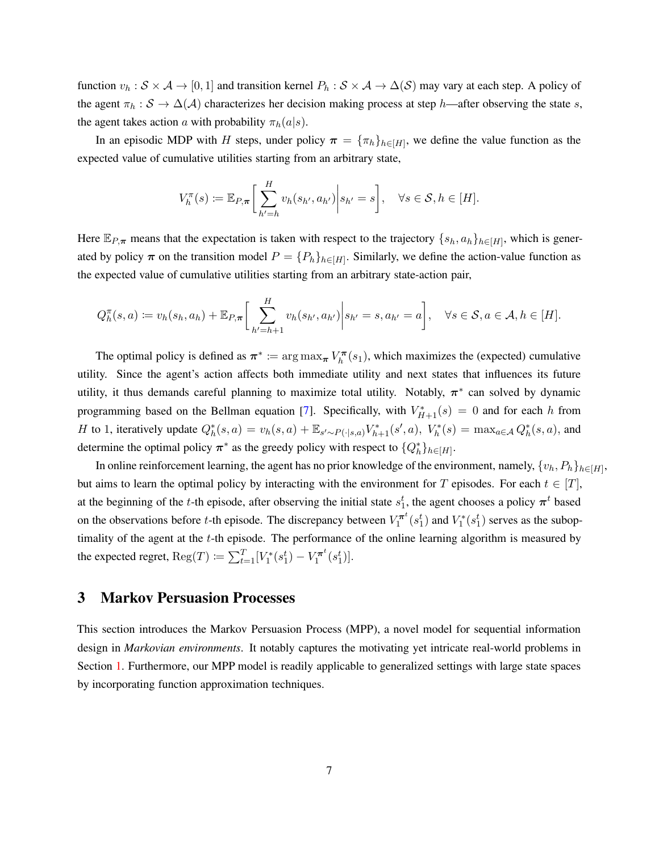function  $v_h : S \times A \to [0,1]$  and transition kernel  $P_h : S \times A \to \Delta(S)$  may vary at each step. A policy of the agent  $\pi_h : S \to \Delta(\mathcal{A})$  characterizes her decision making process at step h—after observing the state s, the agent takes action a with probability  $\pi_h(a|s)$ .

In an episodic MDP with H steps, under policy  $\pi = {\{\pi_h\}}_{h \in [H]}$ , we define the value function as the expected value of cumulative utilities starting from an arbitrary state,

$$
V_h^{\pi}(s) := \mathbb{E}_{P,\pi}\bigg[\sum_{h'=h}^H v_h(s_{h'}, a_{h'})\bigg| s_{h'} = s\bigg], \quad \forall s \in \mathcal{S}, h \in [H].
$$

Here  $\mathbb{E}_{P,\pi}$  means that the expectation is taken with respect to the trajectory  $\{s_h, a_h\}_{h\in[H]}$ , which is generated by policy  $\pi$  on the transition model  $P = \{P_h\}_{h \in [H]}$ . Similarly, we define the action-value function as the expected value of cumulative utilities starting from an arbitrary state-action pair,

$$
Q_h^{\pi}(s, a) := v_h(s_h, a_h) + \mathbb{E}_{P, \pi} \bigg[ \sum_{h'=h+1}^H v_h(s_{h'}, a_{h'}) \bigg| s_{h'} = s, a_{h'} = a \bigg], \quad \forall s \in \mathcal{S}, a \in \mathcal{A}, h \in [H].
$$

The optimal policy is defined as  $\pi^* := \arg \max_{\pi} V_h^{\pi}$  $\mathcal{K}_h^{\pi}(s_1)$ , which maximizes the (expected) cumulative utility. Since the agent's action affects both immediate utility and next states that influences its future utility, it thus demands careful planning to maximize total utility. Notably,  $\pi^*$  can solved by dynamic programming based on the Bellman equation [\[7](#page-24-10)]. Specifically, with  $V_{H+1}^*(s) = 0$  and for each h from H to 1, iteratively update  $Q_h^*(s, a) = v_h(s, a) + \mathbb{E}_{s' \sim P(\cdot | s, a)} V_{h+1}^*(s', a)$ ,  $V_h^*(s) = \max_{a \in A} Q_h^*(s, a)$ , and determine the optimal policy  $\pi^*$  as the greedy policy with respect to  $\{Q_h^*\}_{h \in [H]}$ .

In online reinforcement learning, the agent has no prior knowledge of the environment, namely,  $\{v_h, P_h\}_{h\in[H]},$ but aims to learn the optimal policy by interacting with the environment for T episodes. For each  $t \in [T]$ , at the beginning of the t-th episode, after observing the initial state  $s_1^t$ , the agent chooses a policy  $\pi^t$  based on the observations before t-th episode. The discrepancy between  $V_1^{\pi^t}$  $\int_1^{\pi t} (s_1^t)$  and  $V_1^*(s_1^t)$  serves as the suboptimality of the agent at the  $t$ -th episode. The performance of the online learning algorithm is measured by the expected regret,  $\text{Reg}(T) \coloneqq \sum_{t=1}^{T} [V_1^*(s_1^t) - V_1^{\pi^t}]$  $\binom{\boldsymbol{\pi}^t(s_1^t)}{1}$ .

# 3 Markov Persuasion Processes

This section introduces the Markov Persuasion Process (MPP), a novel model for sequential information design in *Markovian environments*. It notably captures the motivating yet intricate real-world problems in Section [1.](#page-1-0) Furthermore, our MPP model is readily applicable to generalized settings with large state spaces by incorporating function approximation techniques.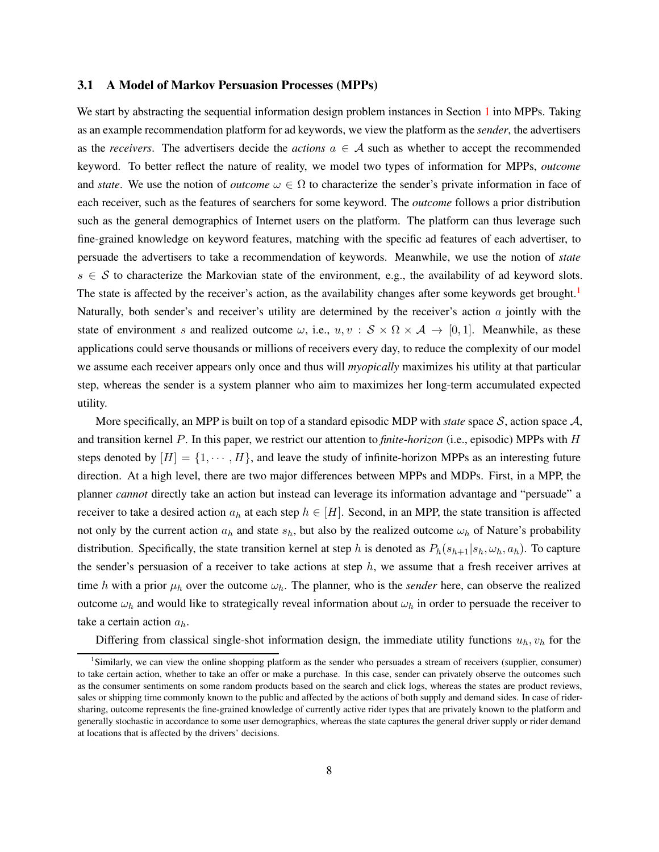#### <span id="page-7-1"></span>3.1 A Model of Markov Persuasion Processes (MPPs)

We start by abstracting the sequential information design problem instances in Section [1](#page-1-0) into MPPs. Taking as an example recommendation platform for ad keywords, we view the platform as the *sender*, the advertisers as the *receivers*. The advertisers decide the *actions*  $a \in A$  such as whether to accept the recommended keyword. To better reflect the nature of reality, we model two types of information for MPPs, *outcome* and *state*. We use the notion of *outcome*  $\omega \in \Omega$  to characterize the sender's private information in face of each receiver, such as the features of searchers for some keyword. The *outcome* follows a prior distribution such as the general demographics of Internet users on the platform. The platform can thus leverage such fine-grained knowledge on keyword features, matching with the specific ad features of each advertiser, to persuade the advertisers to take a recommendation of keywords. Meanwhile, we use the notion of *state*  $s \in S$  to characterize the Markovian state of the environment, e.g., the availability of ad keyword slots. The state is affected by the receiver's action, as the availability changes after some keywords get brought.<sup>[1](#page-7-0)</sup> Naturally, both sender's and receiver's utility are determined by the receiver's action  $\alpha$  jointly with the state of environment s and realized outcome  $\omega$ , i.e.,  $u, v : \mathcal{S} \times \Omega \times \mathcal{A} \to [0, 1]$ . Meanwhile, as these applications could serve thousands or millions of receivers every day, to reduce the complexity of our model we assume each receiver appears only once and thus will *myopically* maximizes his utility at that particular step, whereas the sender is a system planner who aim to maximizes her long-term accumulated expected utility.

More specifically, an MPP is built on top of a standard episodic MDP with *state* space S, action space A, and transition kernel P. In this paper, we restrict our attention to *finite-horizon* (i.e., episodic) MPPs with H steps denoted by  $[H] = \{1, \dots, H\}$ , and leave the study of infinite-horizon MPPs as an interesting future direction. At a high level, there are two major differences between MPPs and MDPs. First, in a MPP, the planner *cannot* directly take an action but instead can leverage its information advantage and "persuade" a receiver to take a desired action  $a_h$  at each step  $h \in [H]$ . Second, in an MPP, the state transition is affected not only by the current action  $a_h$  and state  $s_h$ , but also by the realized outcome  $\omega_h$  of Nature's probability distribution. Specifically, the state transition kernel at step h is denoted as  $P_h(s_{h+1}|s_h, \omega_h, a_h)$ . To capture the sender's persuasion of a receiver to take actions at step  $h$ , we assume that a fresh receiver arrives at time h with a prior  $\mu_h$  over the outcome  $\omega_h$ . The planner, who is the *sender* here, can observe the realized outcome  $\omega_h$  and would like to strategically reveal information about  $\omega_h$  in order to persuade the receiver to take a certain action  $a_h$ .

Differing from classical single-shot information design, the immediate utility functions  $u_h, v_h$  for the

<span id="page-7-0"></span><sup>&</sup>lt;sup>1</sup>Similarly, we can view the online shopping platform as the sender who persuades a stream of receivers (supplier, consumer) to take certain action, whether to take an offer or make a purchase. In this case, sender can privately observe the outcomes such as the consumer sentiments on some random products based on the search and click logs, whereas the states are product reviews, sales or shipping time commonly known to the public and affected by the actions of both supply and demand sides. In case of ridersharing, outcome represents the fine-grained knowledge of currently active rider types that are privately known to the platform and generally stochastic in accordance to some user demographics, whereas the state captures the general driver supply or rider demand at locations that is affected by the drivers' decisions.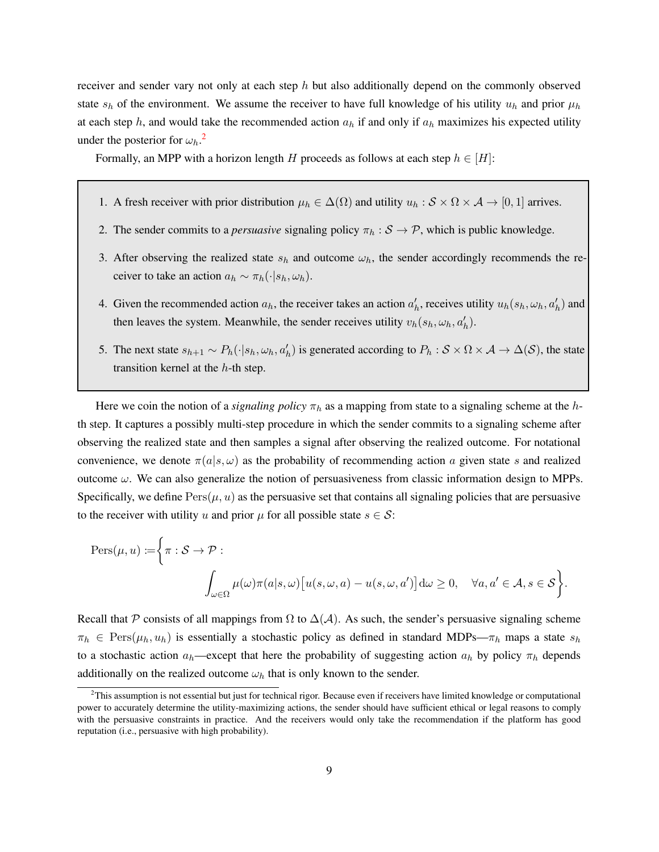receiver and sender vary not only at each step  $h$  but also additionally depend on the commonly observed state  $s_h$  of the environment. We assume the receiver to have full knowledge of his utility  $u_h$  and prior  $\mu_h$ at each step h, and would take the recommended action  $a_h$  if and only if  $a_h$  maximizes his expected utility under the posterior for  $\omega_h$ .<sup>[2](#page-8-0)</sup>

Formally, an MPP with a horizon length H proceeds as follows at each step  $h \in [H]$ :

- 1. A fresh receiver with prior distribution  $\mu_h \in \Delta(\Omega)$  and utility  $u_h : S \times \Omega \times A \rightarrow [0, 1]$  arrives.
- 2. The sender commits to a *persuasive* signaling policy  $\pi_h : S \to P$ , which is public knowledge.
- 3. After observing the realized state  $s_h$  and outcome  $\omega_h$ , the sender accordingly recommends the receiver to take an action  $a_h \sim \pi_h(\cdot|s_h, \omega_h)$ .
- 4. Given the recommended action  $a_h$ , the receiver takes an action  $a'_h$ , receives utility  $u_h(s_h, \omega_h, a'_h)$  and then leaves the system. Meanwhile, the sender receives utility  $v_h(s_h, \omega_h, a'_h)$ .
- 5. The next state  $s_{h+1} \sim P_h(\cdot | s_h, \omega_h, a'_h)$  is generated according to  $P_h : S \times \Omega \times A \to \Delta(S)$ , the state transition kernel at the h-th step.

Here we coin the notion of a *signaling policy*  $\pi_h$  as a mapping from state to a signaling scheme at the hth step. It captures a possibly multi-step procedure in which the sender commits to a signaling scheme after observing the realized state and then samples a signal after observing the realized outcome. For notational convenience, we denote  $\pi(a|s,\omega)$  as the probability of recommending action a given state s and realized outcome  $\omega$ . We can also generalize the notion of persuasiveness from classic information design to MPPs. Specifically, we define  $Pers(\mu, u)$  as the persuasive set that contains all signaling policies that are persuasive to the receiver with utility u and prior  $\mu$  for all possible state  $s \in \mathcal{S}$ :

$$
\begin{aligned} \text{Pers}(\mu, u) &:= \bigg\{\pi : \mathcal{S} \to \mathcal{P} : \\ & \int_{\omega \in \Omega} \mu(\omega) \pi(a|s, \omega) \big[ u(s, \omega, a) - u(s, \omega, a') \big] \mathrm{d}\omega \ge 0, \quad \forall a, a' \in \mathcal{A}, s \in \mathcal{S} \bigg\}. \end{aligned}
$$

Recall that P consists of all mappings from  $\Omega$  to  $\Delta(\mathcal{A})$ . As such, the sender's persuasive signaling scheme  $\pi_h \in \text{Pers}(\mu_h, u_h)$  is essentially a stochastic policy as defined in standard MDPs— $\pi_h$  maps a state  $s_h$ to a stochastic action  $a_h$ —except that here the probability of suggesting action  $a_h$  by policy  $\pi_h$  depends additionally on the realized outcome  $\omega_h$  that is only known to the sender.

<span id="page-8-0"></span> ${}^{2}$ This assumption is not essential but just for technical rigor. Because even if receivers have limited knowledge or computational power to accurately determine the utility-maximizing actions, the sender should have sufficient ethical or legal reasons to comply with the persuasive constraints in practice. And the receivers would only take the recommendation if the platform has good reputation (i.e., persuasive with high probability).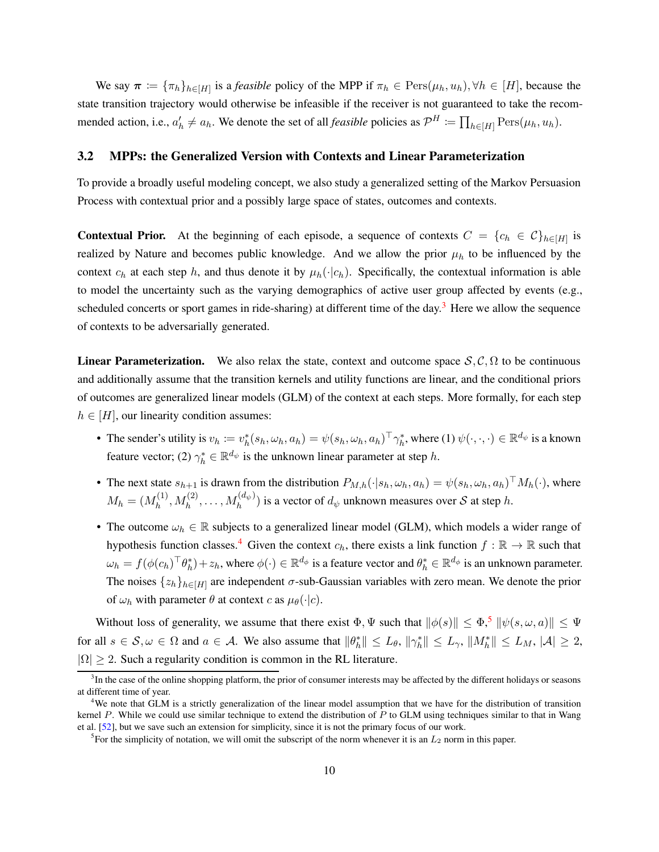We say  $\pi := \{\pi_h\}_{h \in [H]}$  is a *feasible* policy of the MPP if  $\pi_h \in \text{Pers}(\mu_h, u_h), \forall h \in [H]$ , because the state transition trajectory would otherwise be infeasible if the receiver is not guaranteed to take the recommended action, i.e.,  $a'_h \neq a_h$ . We denote the set of all *feasible* policies as  $\mathcal{P}^H \coloneqq \prod_{h \in [H]} \text{Pers}(\mu_h, u_h)$ .

### <span id="page-9-3"></span>3.2 MPPs: the Generalized Version with Contexts and Linear Parameterization

To provide a broadly useful modeling concept, we also study a generalized setting of the Markov Persuasion Process with contextual prior and a possibly large space of states, outcomes and contexts.

**Contextual Prior.** At the beginning of each episode, a sequence of contexts  $C = \{c_h \in C\}_{h \in [H]}$  is realized by Nature and becomes public knowledge. And we allow the prior  $\mu_h$  to be influenced by the context  $c_h$  at each step h, and thus denote it by  $\mu_h(\cdot|c_h)$ . Specifically, the contextual information is able to model the uncertainty such as the varying demographics of active user group affected by events (e.g., scheduled concerts or sport games in ride-sharing) at different time of the day.<sup>[3](#page-9-0)</sup> Here we allow the sequence of contexts to be adversarially generated.

**Linear Parameterization.** We also relax the state, context and outcome space  $S, C, \Omega$  to be continuous and additionally assume that the transition kernels and utility functions are linear, and the conditional priors of outcomes are generalized linear models (GLM) of the context at each steps. More formally, for each step  $h \in [H]$ , our linearity condition assumes:

- The sender's utility is  $v_h := v_h^*(s_h, \omega_h, a_h) = \psi(s_h, \omega_h, a_h)^\top \gamma_h^*$ , where (1)  $\psi(\cdot, \cdot, \cdot) \in \mathbb{R}^{d_{\psi}}$  is a known feature vector; (2)  $\gamma_h^* \in \mathbb{R}^{d_{\psi}}$  is the unknown linear parameter at step h.
- The next state  $s_{h+1}$  is drawn from the distribution  $P_{M,h}(\cdot|s_h, \omega_h, a_h) = \psi(s_h, \omega_h, a_h)^\top M_h(\cdot)$ , where  $M_h = (M_h^{(1)}$  $h_h^{(1)}, M_h^{(2)}, \ldots, M_h^{(d_{\psi})})$  is a vector of  $d_{\psi}$  unknown measures over S at step h.
- The outcome  $\omega_h \in \mathbb{R}$  subjects to a generalized linear model (GLM), which models a wider range of hypothesis function classes.<sup>[4](#page-9-1)</sup> Given the context  $c_h$ , there exists a link function  $f : \mathbb{R} \to \mathbb{R}$  such that  $\omega_h = f(\phi(c_h)^\top \theta_h^*) + z_h$ , where  $\phi(\cdot) \in \mathbb{R}^{d_{\phi}}$  is a feature vector and  $\theta_h^* \in \mathbb{R}^{d_{\phi}}$  is an unknown parameter. The noises  $\{z_h\}_{h\in[H]}$  are independent  $\sigma$ -sub-Gaussian variables with zero mean. We denote the prior of  $\omega_h$  with parameter  $\theta$  at context c as  $\mu_\theta(\cdot|c)$ .

Without loss of generality, we assume that there exist  $\Phi$ ,  $\Psi$  such that  $\|\phi(s)\| \leq \Phi$ ,  $\|\psi(s,\omega,a)\| \leq \Psi$ for all  $s \in S$ ,  $\omega \in \Omega$  and  $a \in A$ . We also assume that  $\|\theta_h^*\| \le L_\theta$ ,  $\|\gamma_h^*\| \le L_\gamma$ ,  $\|M_h^*\| \le L_M$ ,  $|\mathcal{A}| \ge 2$ ,  $|\Omega| \geq 2$ . Such a regularity condition is common in the RL literature.

<span id="page-9-0"></span><sup>&</sup>lt;sup>3</sup>In the case of the online shopping platform, the prior of consumer interests may be affected by the different holidays or seasons at different time of year.

<span id="page-9-1"></span><sup>&</sup>lt;sup>4</sup>We note that GLM is a strictly generalization of the linear model assumption that we have for the distribution of transition kernel  $P$ . While we could use similar technique to extend the distribution of  $P$  to GLM using techniques similar to that in Wang et al. [\[52\]](#page-27-8), but we save such an extension for simplicity, since it is not the primary focus of our work.

<span id="page-9-2"></span><sup>&</sup>lt;sup>5</sup>For the simplicity of notation, we will omit the subscript of the norm whenever it is an  $L_2$  norm in this paper.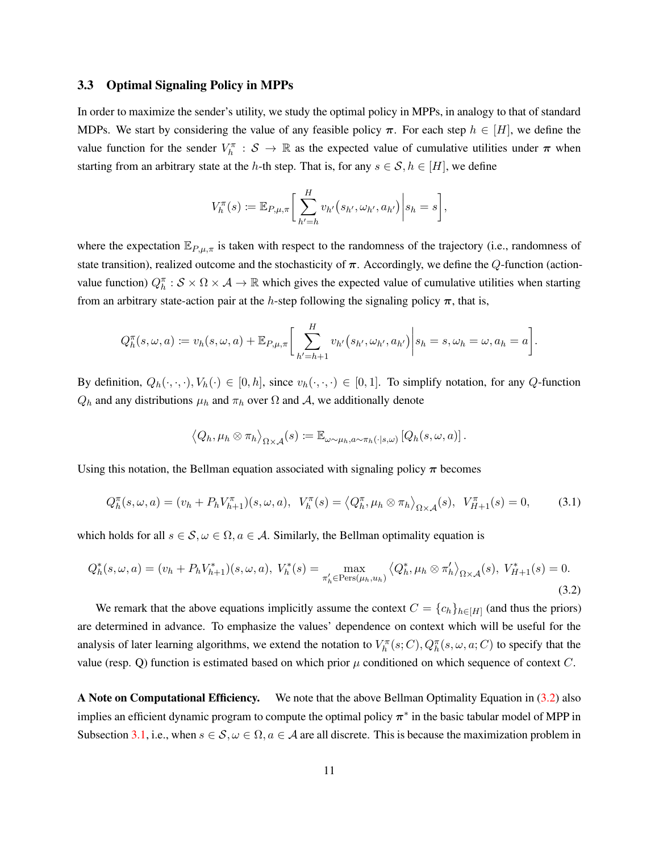#### <span id="page-10-0"></span>3.3 Optimal Signaling Policy in MPPs

In order to maximize the sender's utility, we study the optimal policy in MPPs, in analogy to that of standard MDPs. We start by considering the value of any feasible policy  $\pi$ . For each step  $h \in [H]$ , we define the value function for the sender  $V_h^{\pi}$ :  $S \to \mathbb{R}$  as the expected value of cumulative utilities under  $\pi$  when starting from an arbitrary state at the h-th step. That is, for any  $s \in S$ ,  $h \in [H]$ , we define

$$
V_h^{\pi}(s) := \mathbb{E}_{P,\mu,\pi} \bigg[ \sum_{h'=h}^H v_{h'}(s_{h'}, \omega_{h'}, a_{h'}) \bigg| s_h = s \bigg],
$$

where the expectation  $\mathbb{E}_{P,\mu,\pi}$  is taken with respect to the randomness of the trajectory (i.e., randomness of state transition), realized outcome and the stochasticity of  $\pi$ . Accordingly, we define the Q-function (actionvalue function)  $Q_h^{\pi}: S \times \Omega \times A \to \mathbb{R}$  which gives the expected value of cumulative utilities when starting from an arbitrary state-action pair at the h-step following the signaling policy  $\pi$ , that is,

$$
Q_h^{\pi}(s,\omega,a) := v_h(s,\omega,a) + \mathbb{E}_{P,\mu,\pi}\bigg[\sum_{h'=h+1}^H v_{h'}(s_{h'},\omega_{h'},a_{h'})\bigg|s_h = s,\omega_h = \omega, a_h = a\bigg].
$$

By definition,  $Q_h(\cdot, \cdot, \cdot), V_h(\cdot) \in [0, h]$ , since  $v_h(\cdot, \cdot, \cdot) \in [0, 1]$ . To simplify notation, for any Q-function  $Q_h$  and any distributions  $\mu_h$  and  $\pi_h$  over  $\Omega$  and  $\mathcal A$ , we additionally denote

$$
\left\langle Q_h, \mu_h \otimes \pi_h \right\rangle_{\Omega \times \mathcal{A}} (s) \coloneqq \mathbb{E}_{\omega \sim \mu_h, a \sim \pi_h(\cdot \mid s, \omega)} \left[ Q_h(s, \omega, a) \right].
$$

Using this notation, the Bellman equation associated with signaling policy  $\pi$  becomes

<span id="page-10-2"></span>
$$
Q_h^{\pi}(s,\omega,a) = (v_h + P_h V_{h+1}^{\pi})(s,\omega,a), \quad V_h^{\pi}(s) = \langle Q_h^{\pi}, \mu_h \otimes \pi_h \rangle_{\Omega \times \mathcal{A}}(s), \quad V_{H+1}^{\pi}(s) = 0,\tag{3.1}
$$

which holds for all  $s \in \mathcal{S}, \omega \in \Omega, a \in \mathcal{A}$ . Similarly, the Bellman optimality equation is

<span id="page-10-1"></span>
$$
Q_h^*(s, \omega, a) = (v_h + P_h V_{h+1}^*)(s, \omega, a), V_h^*(s) = \max_{\pi'_h \in \text{Pers}(\mu_h, u_h)} \langle Q_h^*, \mu_h \otimes \pi'_h \rangle_{\Omega \times \mathcal{A}}(s), V_{H+1}^*(s) = 0.
$$
\n(3.2)

We remark that the above equations implicitly assume the context  $C = \{c_h\}_{h \in [H]}$  (and thus the priors) are determined in advance. To emphasize the values' dependence on context which will be useful for the analysis of later learning algorithms, we extend the notation to  $V_h^{\pi}(s;C)$ ,  $Q_h^{\pi}(s,\omega,a;C)$  to specify that the value (resp. Q) function is estimated based on which prior  $\mu$  conditioned on which sequence of context C.

A Note on Computational Efficiency. We note that the above Bellman Optimality Equation in [\(3.2\)](#page-10-1) also implies an efficient dynamic program to compute the optimal policy  $\pi^*$  in the basic tabular model of MPP in Subsection [3.1,](#page-7-1) i.e., when  $s \in \mathcal{S}, \omega \in \Omega, a \in \mathcal{A}$  are all discrete. This is because the maximization problem in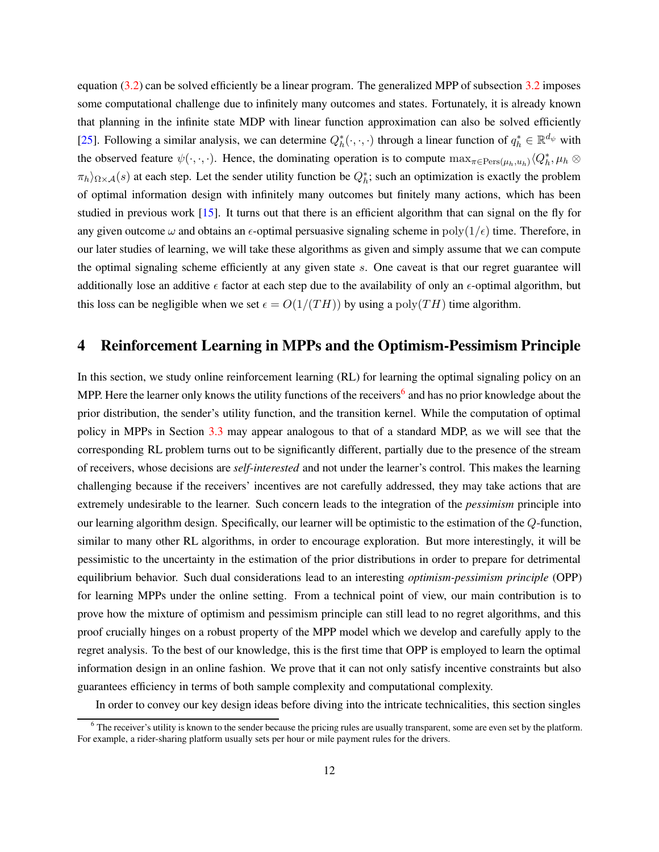equation [\(3.2\)](#page-10-1) can be solved efficiently be a linear program. The generalized MPP of subsection [3.2](#page-9-3) imposes some computational challenge due to infinitely many outcomes and states. Fortunately, it is already known that planning in the infinite state MDP with linear function approximation can also be solved efficiently [\[25](#page-25-9)]. Following a similar analysis, we can determine  $Q_h^*(\cdot,\cdot,\cdot)$  through a linear function of  $q_h^* \in \mathbb{R}^{d_\psi}$  with the observed feature  $\psi(\cdot,\cdot,\cdot)$ . Hence, the dominating operation is to compute  $\max_{\pi \in \text{Pers}(\mu_h, u_h)} \langle Q_h^*, \mu_h \otimes$  $\pi_h$ ) $_{\Omega \times A}(s)$  at each step. Let the sender utility function be  $Q_h^*$ ; such an optimization is exactly the problem of optimal information design with infinitely many outcomes but finitely many actions, which has been studied in previous work [\[15\]](#page-24-9). It turns out that there is an efficient algorithm that can signal on the fly for any given outcome  $\omega$  and obtains an  $\epsilon$ -optimal persuasive signaling scheme in poly $(1/\epsilon)$  time. Therefore, in our later studies of learning, we will take these algorithms as given and simply assume that we can compute the optimal signaling scheme efficiently at any given state  $s$ . One caveat is that our regret guarantee will additionally lose an additive  $\epsilon$  factor at each step due to the availability of only an  $\epsilon$ -optimal algorithm, but this loss can be negligible when we set  $\epsilon = O(1/(TH))$  by using a poly(TH) time algorithm.

# 4 Reinforcement Learning in MPPs and the Optimism-Pessimism Principle

In this section, we study online reinforcement learning (RL) for learning the optimal signaling policy on an MPP. Here the learner only knows the utility functions of the receivers<sup>[6](#page-11-0)</sup> and has no prior knowledge about the prior distribution, the sender's utility function, and the transition kernel. While the computation of optimal policy in MPPs in Section [3.3](#page-10-0) may appear analogous to that of a standard MDP, as we will see that the corresponding RL problem turns out to be significantly different, partially due to the presence of the stream of receivers, whose decisions are *self-interested* and not under the learner's control. This makes the learning challenging because if the receivers' incentives are not carefully addressed, they may take actions that are extremely undesirable to the learner. Such concern leads to the integration of the *pessimism* principle into our learning algorithm design. Specifically, our learner will be optimistic to the estimation of the Q-function, similar to many other RL algorithms, in order to encourage exploration. But more interestingly, it will be pessimistic to the uncertainty in the estimation of the prior distributions in order to prepare for detrimental equilibrium behavior. Such dual considerations lead to an interesting *optimism-pessimism principle* (OPP) for learning MPPs under the online setting. From a technical point of view, our main contribution is to prove how the mixture of optimism and pessimism principle can still lead to no regret algorithms, and this proof crucially hinges on a robust property of the MPP model which we develop and carefully apply to the regret analysis. To the best of our knowledge, this is the first time that OPP is employed to learn the optimal information design in an online fashion. We prove that it can not only satisfy incentive constraints but also guarantees efficiency in terms of both sample complexity and computational complexity.

In order to convey our key design ideas before diving into the intricate technicalities, this section singles

<span id="page-11-0"></span> $6$  The receiver's utility is known to the sender because the pricing rules are usually transparent, some are even set by the platform. For example, a rider-sharing platform usually sets per hour or mile payment rules for the drivers.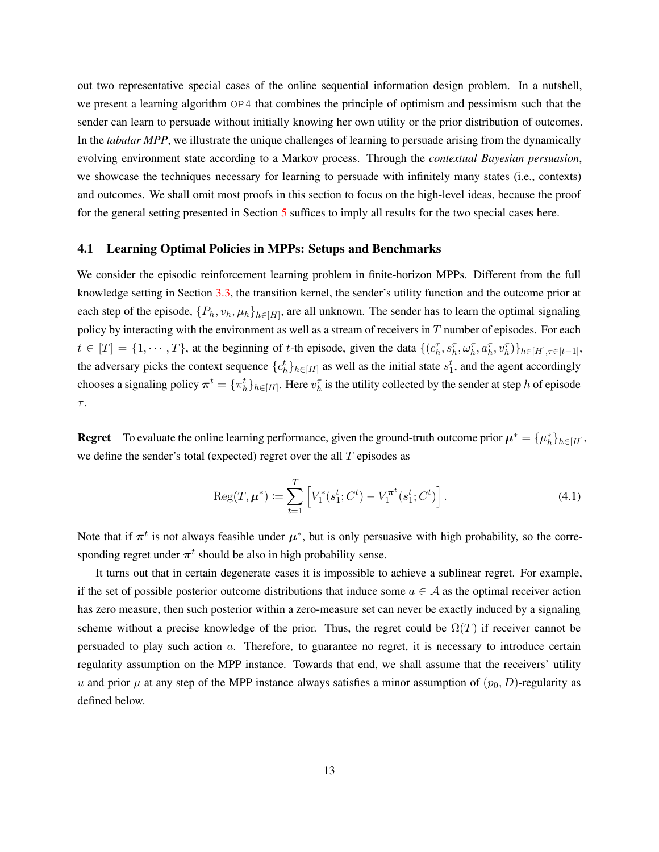out two representative special cases of the online sequential information design problem. In a nutshell, we present a learning algorithm OP4 that combines the principle of optimism and pessimism such that the sender can learn to persuade without initially knowing her own utility or the prior distribution of outcomes. In the *tabular MPP*, we illustrate the unique challenges of learning to persuade arising from the dynamically evolving environment state according to a Markov process. Through the *contextual Bayesian persuasion*, we showcase the techniques necessary for learning to persuade with infinitely many states (i.e., contexts) and outcomes. We shall omit most proofs in this section to focus on the high-level ideas, because the proof for the general setting presented in Section [5](#page-17-0) suffices to imply all results for the two special cases here.

### 4.1 Learning Optimal Policies in MPPs: Setups and Benchmarks

We consider the episodic reinforcement learning problem in finite-horizon MPPs. Different from the full knowledge setting in Section [3.3,](#page-10-0) the transition kernel, the sender's utility function and the outcome prior at each step of the episode,  $\{P_h, v_h, \mu_h\}_{h \in [H]}$ , are all unknown. The sender has to learn the optimal signaling policy by interacting with the environment as well as a stream of receivers in  $T$  number of episodes. For each  $t \in [T] = \{1, \dots, T\}$ , at the beginning of t-th episode, given the data  $\{(c_h^{\tau}, s_h^{\tau}, \omega_h^{\tau}, a_h^{\tau}, v_h^{\tau})\}_{h \in [H], \tau \in [t-1]},$ the adversary picks the context sequence  $\{c_h^t\}_{h \in [H]}$  as well as the initial state  $s_1^t$ , and the agent accordingly chooses a signaling policy  $\pi^t = \{\pi_h^t\}_{h\in[H]}$ . Here  $v_h^{\tau}$  is the utility collected by the sender at step h of episode  $\tau.$ 

**Regret** To evaluate the online learning performance, given the ground-truth outcome prior  $\mu^* = {\mu_h^*}_{h \in H}$ , we define the sender's total (expected) regret over the all  $T$  episodes as

$$
\operatorname{Reg}(T, \mu^*) \coloneqq \sum_{t=1}^T \left[ V_1^*(s_1^t; C^t) - V_1^{\pi^t}(s_1^t; C^t) \right]. \tag{4.1}
$$

Note that if  $\pi^t$  is not always feasible under  $\mu^*$ , but is only persuasive with high probability, so the corresponding regret under  $\pi^t$  should be also in high probability sense.

It turns out that in certain degenerate cases it is impossible to achieve a sublinear regret. For example, if the set of possible posterior outcome distributions that induce some  $a \in A$  as the optimal receiver action has zero measure, then such posterior within a zero-measure set can never be exactly induced by a signaling scheme without a precise knowledge of the prior. Thus, the regret could be  $\Omega(T)$  if receiver cannot be persuaded to play such action a. Therefore, to guarantee no regret, it is necessary to introduce certain regularity assumption on the MPP instance. Towards that end, we shall assume that the receivers' utility u and prior  $\mu$  at any step of the MPP instance always satisfies a minor assumption of  $(p_0, D)$ -regularity as defined below.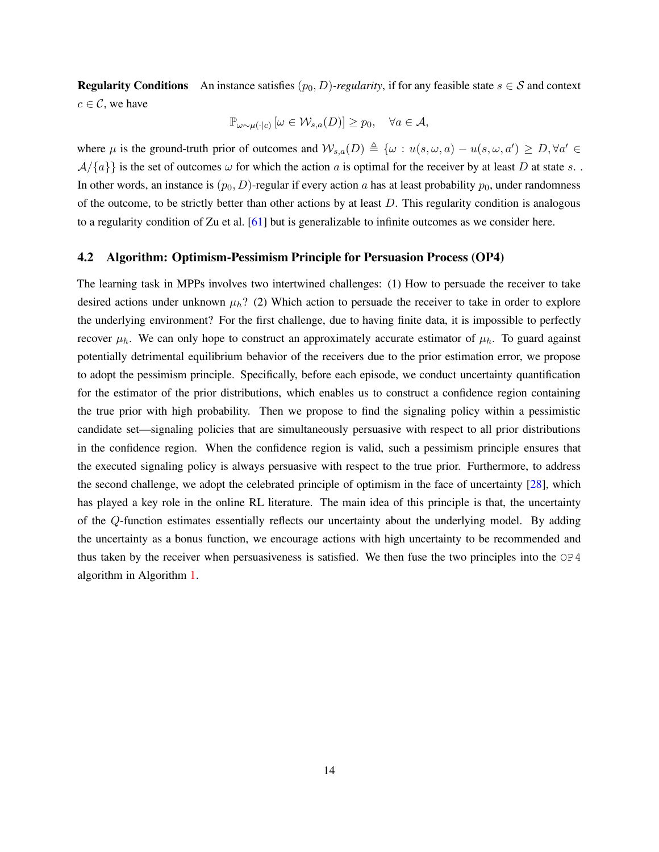**Regularity Conditions** An instance satisfies  $(p_0, D)$ *-regularity*, if for any feasible state  $s \in S$  and context  $c \in \mathcal{C}$ , we have

$$
\mathbb{P}_{\omega \sim \mu(\cdot | c)} \left[ \omega \in \mathcal{W}_{s,a}(D) \right] \ge p_0, \quad \forall a \in \mathcal{A},
$$

where  $\mu$  is the ground-truth prior of outcomes and  $\mathcal{W}_{s,a}(D) \triangleq {\omega : u(s, \omega, a) - u(s, \omega, a')} \geq D, \forall a' \in$  $\mathcal{A}/\{a\}\}$  is the set of outcomes  $\omega$  for which the action a is optimal for the receiver by at least D at state s. In other words, an instance is  $(p_0, D)$ -regular if every action a has at least probability  $p_0$ , under randomness of the outcome, to be strictly better than other actions by at least D. This regularity condition is analogous to a regularity condition of Zu et al. [61] but is generalizable to infinite outcomes as we consider here.

### <span id="page-13-0"></span>4.2 Algorithm: Optimism-Pessimism Principle for Persuasion Process (OP4)

The learning task in MPPs involves two intertwined challenges: (1) How to persuade the receiver to take desired actions under unknown  $\mu_h$ ? (2) Which action to persuade the receiver to take in order to explore the underlying environment? For the first challenge, due to having finite data, it is impossible to perfectly recover  $\mu_h$ . We can only hope to construct an approximately accurate estimator of  $\mu_h$ . To guard against potentially detrimental equilibrium behavior of the receivers due to the prior estimation error, we propose to adopt the pessimism principle. Specifically, before each episode, we conduct uncertainty quantification for the estimator of the prior distributions, which enables us to construct a confidence region containing the true prior with high probability. Then we propose to find the signaling policy within a pessimistic candidate set—signaling policies that are simultaneously persuasive with respect to all prior distributions in the confidence region. When the confidence region is valid, such a pessimism principle ensures that the executed signaling policy is always persuasive with respect to the true prior. Furthermore, to address the second challenge, we adopt the celebrated principle of optimism in the face of uncertainty [\[28\]](#page-25-8), which has played a key role in the online RL literature. The main idea of this principle is that, the uncertainty of the Q-function estimates essentially reflects our uncertainty about the underlying model. By adding the uncertainty as a bonus function, we encourage actions with high uncertainty to be recommended and thus taken by the receiver when persuasiveness is satisfied. We then fuse the two principles into the  $OP4$ algorithm in Algorithm [1.](#page-14-0)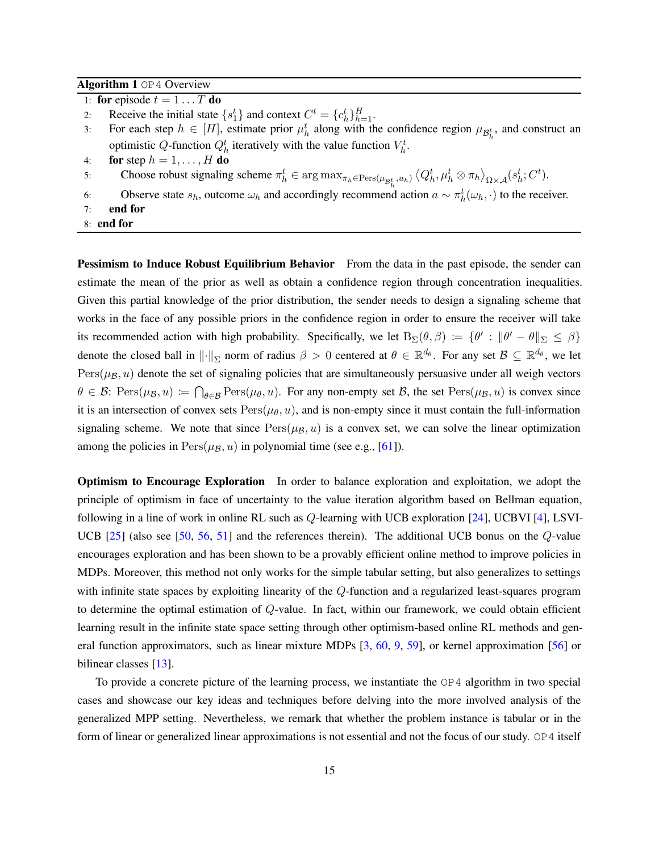### <span id="page-14-0"></span>Algorithm 1 OP4 Overview

- 1: for episode  $t = 1 \dots T$  do
- 2: Receive the initial state  $\{s_1^t\}$  and context  $C^t = \{c_h^t\}_{h=1}^H$ .
- 3: For each step  $h \in [H]$ , estimate prior  $\mu_h^t$  along with the confidence region  $\mu_{\mathcal{B}_h^t}$ , and construct an optimistic Q-function  $Q_h^t$  iteratively with the value function  $V_h^t$ .
- 4: for step  $h = 1, \ldots, H$  do
- 5: Choose robust signaling scheme  $\pi_h^t \in \arg \max_{\pi_h \in \text{Pers}(\mu_{\mathcal{B}_h^t}, u_h)} \langle Q_h^t, \mu_h^t \otimes \pi_h \rangle_{\Omega \times \mathcal{A}} (s_h^t; C^t)$ .
- 6: Observe state  $s_h$ , outcome  $\omega_h$  and accordingly recommend action  $a \sim \pi_h^t(\omega_h, \cdot)$  to the receiver.
- 7: end for
- 8: end for

**Pessimism to Induce Robust Equilibrium Behavior** From the data in the past episode, the sender can estimate the mean of the prior as well as obtain a confidence region through concentration inequalities. Given this partial knowledge of the prior distribution, the sender needs to design a signaling scheme that works in the face of any possible priors in the confidence region in order to ensure the receiver will take its recommended action with high probability. Specifically, we let  $B_{\Sigma}(\theta, \beta) := \{ \theta' : ||\theta' - \theta||_{\Sigma} \leq \beta \}$ denote the closed ball in  $\|\cdot\|_{\Sigma}$  norm of radius  $\beta > 0$  centered at  $\theta \in \mathbb{R}^{d_{\theta}}$ . For any set  $\mathcal{B} \subseteq \mathbb{R}^{d_{\theta}}$ , we let  $Pers(\mu_B, u)$  denote the set of signaling policies that are simultaneously persuasive under all weigh vectors  $\theta \in \mathcal{B}$ : Pers $(\mu_{\mathcal{B}}, u) := \bigcap_{\theta \in \mathcal{B}} \text{Pers}(\mu_{\theta}, u)$ . For any non-empty set  $\mathcal{B}$ , the set  $\text{Pers}(\mu_{\mathcal{B}}, u)$  is convex since it is an intersection of convex sets  $Pers(\mu_{\theta}, u)$ , and is non-empty since it must contain the full-information signaling scheme. We note that since  $Pers(\mu_B, u)$  is a convex set, we can solve the linear optimization among the policies in  $Pers(\mu_B, u)$  in polynomial time (see e.g., [61]).

Optimism to Encourage Exploration In order to balance exploration and exploitation, we adopt the principle of optimism in face of uncertainty to the value iteration algorithm based on Bellman equation, following in a line of work in online RL such as Q-learning with UCB exploration [\[24\]](#page-25-7), UCBVI [\[4\]](#page-24-4), LSVI-UCB [\[25\]](#page-25-9) (also see [\[50](#page-27-11), [56,](#page-27-9) [51](#page-27-12)] and the references therein). The additional UCB bonus on the Q-value encourages exploration and has been shown to be a provably efficient online method to improve policies in MDPs. Moreover, this method not only works for the simple tabular setting, but also generalizes to settings with infinite state spaces by exploiting linearity of the Q-function and a regularized least-squares program to determine the optimal estimation of Q-value. In fact, within our framework, we could obtain efficient learning result in the infinite state space setting through other optimism-based online RL methods and general function approximators, such as linear mixture MDPs [\[3](#page-23-1), [60](#page-28-0), [9](#page-24-7), [59](#page-28-1)], or kernel approximation [\[56](#page-27-9)] or bilinear classes [\[13\]](#page-24-11).

To provide a concrete picture of the learning process, we instantiate the OP4 algorithm in two special cases and showcase our key ideas and techniques before delving into the more involved analysis of the generalized MPP setting. Nevertheless, we remark that whether the problem instance is tabular or in the form of linear or generalized linear approximations is not essential and not the focus of our study. OP4 itself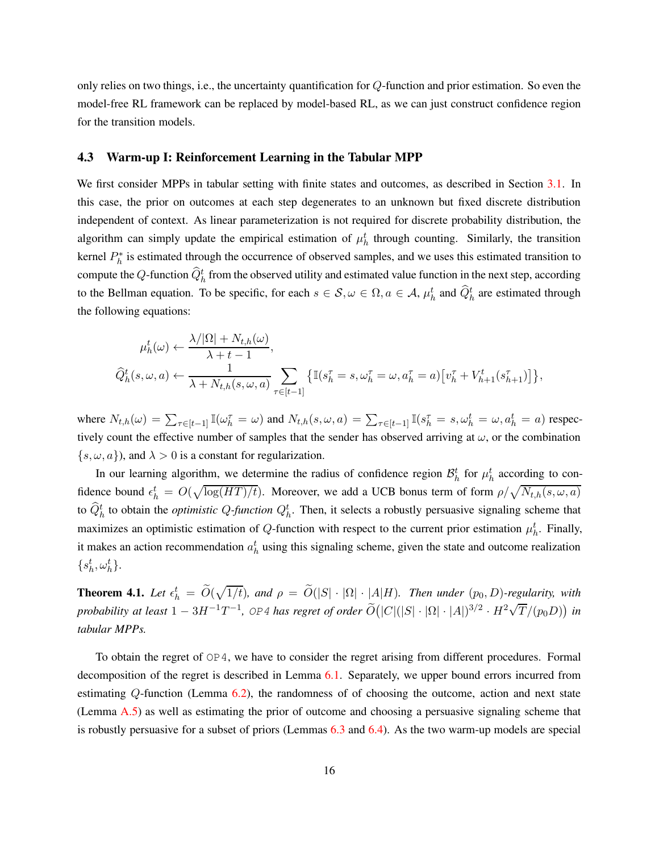only relies on two things, i.e., the uncertainty quantification for Q-function and prior estimation. So even the model-free RL framework can be replaced by model-based RL, as we can just construct confidence region for the transition models.

#### <span id="page-15-0"></span>4.3 Warm-up I: Reinforcement Learning in the Tabular MPP

We first consider MPPs in tabular setting with finite states and outcomes, as described in Section [3.1.](#page-7-1) In this case, the prior on outcomes at each step degenerates to an unknown but fixed discrete distribution independent of context. As linear parameterization is not required for discrete probability distribution, the algorithm can simply update the empirical estimation of  $\mu_h^t$  through counting. Similarly, the transition kernel  $P_h^*$  is estimated through the occurrence of observed samples, and we uses this estimated transition to compute the  $Q$ -function  $\widehat{Q}_h^t$  from the observed utility and estimated value function in the next step, according to the Bellman equation. To be specific, for each  $s \in S$ ,  $\omega \in \Omega$ ,  $a \in A$ ,  $\mu_h^t$  and  $\widehat{Q}_h^t$  are estimated through the following equations:

$$
\mu_h^t(\omega) \leftarrow \frac{\lambda/|\Omega| + N_{t,h}(\omega)}{\lambda + t - 1},
$$
  

$$
\widehat{Q}_h^t(s, \omega, a) \leftarrow \frac{1}{\lambda + N_{t,h}(s, \omega, a)} \sum_{\tau \in [t-1]} \left\{ \mathbb{I}(s_h^{\tau} = s, \omega_h^{\tau} = \omega, a_h^{\tau} = a) \left[ v_h^{\tau} + V_{h+1}^t(s_{h+1}^{\tau}) \right] \right\},
$$

where  $N_{t,h}(\omega) = \sum_{\tau \in [t-1]} \mathbb{I}(\omega_h^{\tau} = \omega)$  and  $N_{t,h}(s, \omega, a) = \sum_{\tau \in [t-1]} \mathbb{I}(s_h^{\tau} = s, \omega_h^t = \omega, a_h^t = a)$  respectively count the effective number of samples that the sender has observed arriving at  $\omega$ , or the combination  $\{s, \omega, a\}$ , and  $\lambda > 0$  is a constant for regularization.

In our learning algorithm, we determine the radius of confidence region  $\mathcal{B}_h^t$  for  $\mu_h^t$  according to confidence bound  $\epsilon_h^t = O(\sqrt{\log(HT)/t})$ . Moreover, we add a UCB bonus term of form  $\rho/\sqrt{N_{t,h}(s,\omega,a)}$ to  $\hat{Q}_h^t$  to obtain the *optimistic Q-function*  $Q_h^t$ . Then, it selects a robustly persuasive signaling scheme that maximizes an optimistic estimation of Q-function with respect to the current prior estimation  $\mu_h^t$ . Finally, it makes an action recommendation  $a_h^t$  using this signaling scheme, given the state and outcome realization  $\{s_h^t, \omega_h^t\}.$ 

**Theorem 4.1.** Let  $\epsilon_h^t = \widetilde{O}(\sqrt{1/t})$ , and  $\rho = \widetilde{O}(|S| \cdot |\Omega| \cdot |A|H)$ . Then under  $(p_0, D)$ -regularity, with  $p$ robability at least  $1-3H^{-1}T^{-1}$ , OP4 has regret of order  $\widetilde{O}(|C|(|S|\cdot |\Omega|\cdot |A|)^{3/2}\cdot H^2\sqrt{T}/(p_0D))$  in *tabular MPPs.*

To obtain the regret of OP4, we have to consider the regret arising from different procedures. Formal decomposition of the regret is described in Lemma [6.1.](#page-19-0) Separately, we upper bound errors incurred from estimating Q-function (Lemma [6.2\)](#page-20-0), the randomness of of choosing the outcome, action and next state (Lemma [A.5\)](#page-38-0) as well as estimating the prior of outcome and choosing a persuasive signaling scheme that is robustly persuasive for a subset of priors (Lemmas [6.3](#page-20-1) and [6.4\)](#page-20-2). As the two warm-up models are special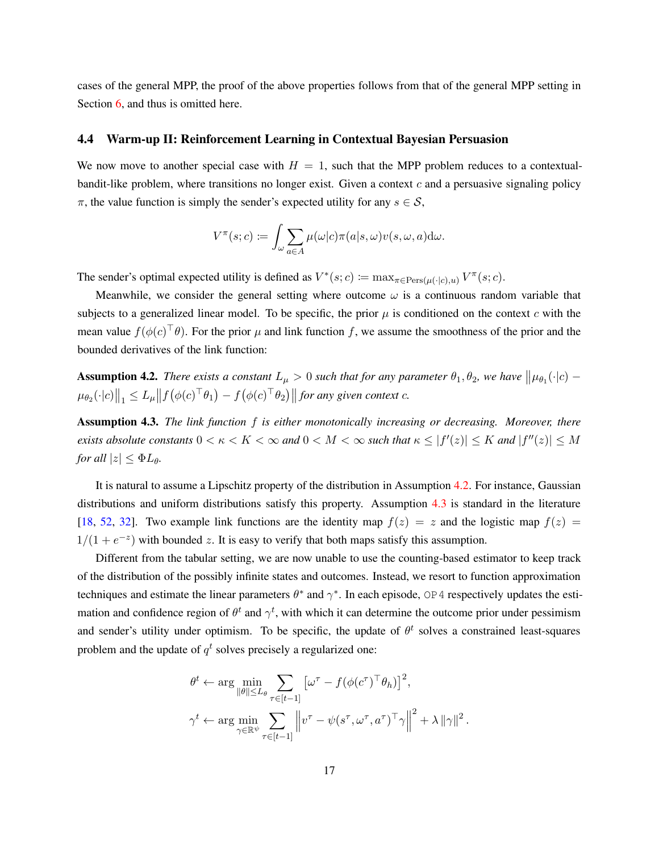cases of the general MPP, the proof of the above properties follows from that of the general MPP setting in Section [6,](#page-18-0) and thus is omitted here.

#### <span id="page-16-0"></span>4.4 Warm-up II: Reinforcement Learning in Contextual Bayesian Persuasion

We now move to another special case with  $H = 1$ , such that the MPP problem reduces to a contextualbandit-like problem, where transitions no longer exist. Given a context  $c$  and a persuasive signaling policy  $\pi$ , the value function is simply the sender's expected utility for any  $s \in \mathcal{S}$ ,

$$
V^{\pi}(s;c) \coloneqq \int_{\omega} \sum_{a \in A} \mu(\omega|c) \pi(a|s,\omega) v(s,\omega,a) d\omega.
$$

The sender's optimal expected utility is defined as  $V^*(s;c) := \max_{\pi \in \text{Pers}(\mu(\cdot|c),u)} V^{\pi}(s;c)$ .

Meanwhile, we consider the general setting where outcome  $\omega$  is a continuous random variable that subjects to a generalized linear model. To be specific, the prior  $\mu$  is conditioned on the context c with the mean value  $f(\phi(c)^\top \theta)$ . For the prior  $\mu$  and link function f, we assume the smoothness of the prior and the bounded derivatives of the link function:

<span id="page-16-1"></span>**Assumption 4.2.** *There exists a constant*  $L_{\mu} > 0$  *such that for any parameter*  $\theta_1, \theta_2$ *, we have*  $\|\mu_{\theta_1}(\cdot|c) \|\mu_{\theta_2}(\cdot|c)\|_1 \leq L_\mu \|f(\phi(c)^\top \theta_1) - f(\phi(c)^\top \theta_2)\|$  for any given context c.

<span id="page-16-2"></span>Assumption 4.3. *The link function* f *is either monotonically increasing or decreasing. Moreover, there exists absolute constants*  $0 < \kappa < K < \infty$  *and*  $0 < M < \infty$  *such that*  $\kappa \leq |f'(z)| \leq K$  *and*  $|f''(z)| \leq M$ *for all*  $|z| \leq \Phi L_{\theta}$ .

It is natural to assume a Lipschitz property of the distribution in Assumption [4.2.](#page-16-1) For instance, Gaussian distributions and uniform distributions satisfy this property. Assumption [4.3](#page-16-2) is standard in the literature [\[18](#page-24-12), [52](#page-27-8), [32\]](#page-25-12). Two example link functions are the identity map  $f(z) = z$  and the logistic map  $f(z) = z$  $1/(1+e^{-z})$  with bounded z. It is easy to verify that both maps satisfy this assumption.

Different from the tabular setting, we are now unable to use the counting-based estimator to keep track of the distribution of the possibly infinite states and outcomes. Instead, we resort to function approximation techniques and estimate the linear parameters  $\theta^*$  and  $\gamma^*$ . In each episode, OP4 respectively updates the estimation and confidence region of  $\theta^t$  and  $\gamma^t$ , with which it can determine the outcome prior under pessimism and sender's utility under optimism. To be specific, the update of  $\theta^t$  solves a constrained least-squares problem and the update of  $q<sup>t</sup>$  solves precisely a regularized one:

$$
\theta^{t} \leftarrow \arg \min_{\|\theta\| \le L_{\theta}} \sum_{\tau \in [t-1]} \left[\omega^{\tau} - f(\phi(c^{\tau})^{\top} \theta_{h})\right]^{2},
$$
  

$$
\gamma^{t} \leftarrow \arg \min_{\gamma \in \mathbb{R}^{\psi}} \sum_{\tau \in [t-1]} \left\|v^{\tau} - \psi(s^{\tau}, \omega^{\tau}, a^{\tau})^{\top} \gamma\right\|^{2} + \lambda \|\gamma\|^{2}.
$$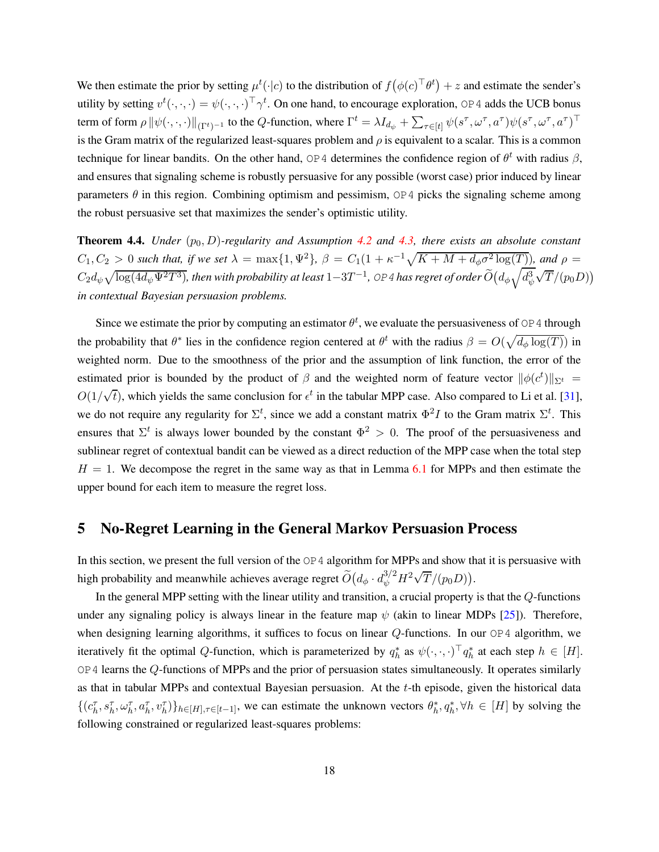We then estimate the prior by setting  $\mu^t(\cdot|c)$  to the distribution of  $f(\phi(c)^\top \theta^t) + z$  and estimate the sender's utility by setting  $v^t(\cdot,\cdot,\cdot) = \psi(\cdot,\cdot,\cdot)^\top \gamma^t$ . On one hand, to encourage exploration, OP4 adds the UCB bonus term of form  $\rho \|\psi(\cdot,\cdot,\cdot)\|_{(\Gamma^t)^{-1}}$  to the  $Q$ -function, where  $\Gamma^t = \lambda I_{d_{\psi}} + \sum_{\tau \in [t]} \psi(s^\tau,\omega^\tau,a^\tau) \psi(s^\tau,\omega^\tau,a^\tau)^\top$ is the Gram matrix of the regularized least-squares problem and  $\rho$  is equivalent to a scalar. This is a common technique for linear bandits. On the other hand, OP4 determines the confidence region of  $\theta^t$  with radius  $\beta$ , and ensures that signaling scheme is robustly persuasive for any possible (worst case) prior induced by linear parameters  $\theta$  in this region. Combining optimism and pessimism, OP4 picks the signaling scheme among the robust persuasive set that maximizes the sender's optimistic utility.

**Theorem 4.4.** *Under*  $(p_0, D)$ -regularity and Assumption [4.2](#page-16-1) and [4.3,](#page-16-2) there exists an absolute constant  $C_1, C_2 > 0$  such that, if we set  $\lambda = \max\{1, \Psi^2\}$ ,  $\beta = C_1(1 + \kappa^{-1}\sqrt{K + M + d_\phi\sigma^2\log(T)})$ , and  $\rho =$  $C_2d_\psi\sqrt{\log(4d_\psi\Psi^2T^3)}$ , then with probability at least  $1-3T^{-1}$ , 0P4 has regret of order  $\widetilde{O}\big(d_\phi\sqrt{d_\psi^3}$  $\sqrt{T}/(p_0D)$ *in contextual Bayesian persuasion problems.*

Since we estimate the prior by computing an estimator  $\theta^t$ , we evaluate the persuasiveness of OP4 through the probability that  $\theta^*$  lies in the confidence region centered at  $\theta^t$  with the radius  $\beta = O(\sqrt{d_\phi \log(T)})$  in weighted norm. Due to the smoothness of the prior and the assumption of link function, the error of the estimated prior is bounded by the product of  $\beta$  and the weighted norm of feature vector  $\|\phi(c^t)\|_{\Sigma^t} =$  $O(1/\sqrt{t})$ , which yields the same conclusion for  $\epsilon^t$  in the tabular MPP case. Also compared to Li et al. [31], we do not require any regularity for  $\Sigma^t$ , since we add a constant matrix  $\Phi^2 I$  to the Gram matrix  $\Sigma^t$ . This ensures that  $\Sigma^t$  is always lower bounded by the constant  $\Phi^2 > 0$ . The proof of the persuasiveness and sublinear regret of contextual bandit can be viewed as a direct reduction of the MPP case when the total step  $H = 1$ . We decompose the regret in the same way as that in Lemma [6.1](#page-19-0) for MPPs and then estimate the upper bound for each item to measure the regret loss.

## <span id="page-17-0"></span>5 No-Regret Learning in the General Markov Persuasion Process

In this section, we present the full version of the OP4 algorithm for MPPs and show that it is persuasive with high probability and meanwhile achieves average regret  $\widetilde{O}\big(d_\phi\cdot d_\psi^{3/2}H^2\sqrt{T}/(p_0D)\big).$ 

In the general MPP setting with the linear utility and transition, a crucial property is that the Q-functions under any signaling policy is always linear in the feature map  $\psi$  (akin to linear MDPs [\[25](#page-25-9)]). Therefore, when designing learning algorithms, it suffices to focus on linear  $Q$ -functions. In our  $OP4$  algorithm, we iteratively fit the optimal Q-function, which is parameterized by  $q_h^*$  as  $\psi(\cdot,\cdot,\cdot)^\top q_h^*$  at each step  $h \in [H]$ . OP4 learns the Q-functions of MPPs and the prior of persuasion states simultaneously. It operates similarly as that in tabular MPPs and contextual Bayesian persuasion. At the t-th episode, given the historical data  $\{(c_h^{\tau}, s_h^{\tau}, \omega_h^{\tau}, a_h^{\tau}, v_h^{\tau})\}_{h \in [H], \tau \in [t-1]}\}$ , we can estimate the unknown vectors  $\theta_h^*, q_h^*, \forall h \in [H]$  by solving the following constrained or regularized least-squares problems: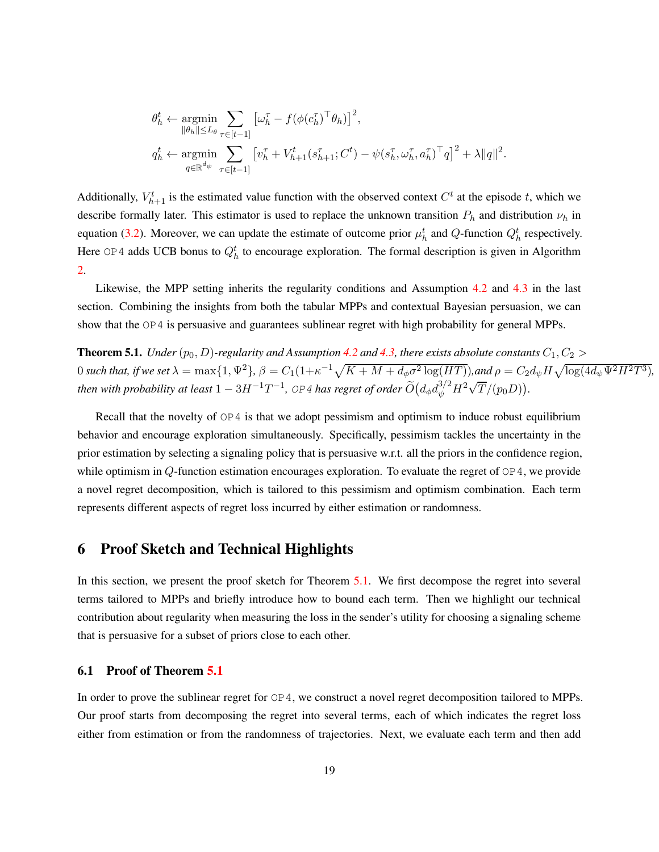$$
\theta_h^t \leftarrow \underset{\|\theta_h\| \le L_\theta}{\operatorname{argmin}} \sum_{\tau \in [t-1]} \left[ \omega_h^{\tau} - f(\phi(c_h^{\tau})^{\top} \theta_h) \right]^2,
$$
\n
$$
q_h^t \leftarrow \underset{q \in \mathbb{R}^{d_{\psi}}}{\operatorname{argmin}} \sum_{\tau \in [t-1]} \left[ v_h^{\tau} + V_{h+1}^t(s_{h+1}^{\tau}; C^t) - \psi(s_h^{\tau}, \omega_h^{\tau}, a_h^{\tau})^{\top} q \right]^2 + \lambda \|q\|^2.
$$

Additionally,  $V_{h+1}^t$  is the estimated value function with the observed context  $C^t$  at the episode t, which we describe formally later. This estimator is used to replace the unknown transition  $P_h$  and distribution  $\nu_h$  in equation [\(3.2\)](#page-10-1). Moreover, we can update the estimate of outcome prior  $\mu_h^t$  and Q-function  $Q_h^t$  respectively. Here OP4 adds UCB bonus to  $Q_h^t$  to encourage exploration. The formal description is given in Algorithm [2.](#page-29-0)

Likewise, the MPP setting inherits the regularity conditions and Assumption [4.2](#page-16-1) and [4.3](#page-16-2) in the last section. Combining the insights from both the tabular MPPs and contextual Bayesian persuasion, we can show that the OP4 is persuasive and guarantees sublinear regret with high probability for general MPPs.

<span id="page-18-1"></span>**Theorem 5.1.** *Under*  $(p_0, D)$ *-regularity and Assumption* [4.2](#page-16-1) *and* [4.3,](#page-16-2) *there exists absolute constants*  $C_1, C_2$  >  $0$  such that, if we set  $\lambda = \max\{1, \Psi^2\}$ ,  $\beta = C_1(1+\kappa^{-1}\sqrt{K + M + d_\phi\sigma^2\log(HT)})$ ,and  $\rho = C_2d_\psi H\sqrt{\log(4d_\psi\Psi^2H^2T^3)}$ , *then with probability at least*  $1-3H^{-1}T^{-1}$ , OP4 *has regret of order*  $\widetilde{O}\big(d_\phi d_\psi^{3/2} H^2\sqrt{T}/(p_0 D)\big)$ .

Recall that the novelty of  $OP4$  is that we adopt pessimism and optimism to induce robust equilibrium behavior and encourage exploration simultaneously. Specifically, pessimism tackles the uncertainty in the prior estimation by selecting a signaling policy that is persuasive w.r.t. all the priors in the confidence region, while optimism in  $Q$ -function estimation encourages exploration. To evaluate the regret of  $\text{OP }4$ , we provide a novel regret decomposition, which is tailored to this pessimism and optimism combination. Each term represents different aspects of regret loss incurred by either estimation or randomness.

# <span id="page-18-0"></span>6 Proof Sketch and Technical Highlights

In this section, we present the proof sketch for Theorem [5.1.](#page-18-1) We first decompose the regret into several terms tailored to MPPs and briefly introduce how to bound each term. Then we highlight our technical contribution about regularity when measuring the loss in the sender's utility for choosing a signaling scheme that is persuasive for a subset of priors close to each other.

### 6.1 Proof of Theorem [5.1](#page-18-1)

In order to prove the sublinear regret for OP4, we construct a novel regret decomposition tailored to MPPs. Our proof starts from decomposing the regret into several terms, each of which indicates the regret loss either from estimation or from the randomness of trajectories. Next, we evaluate each term and then add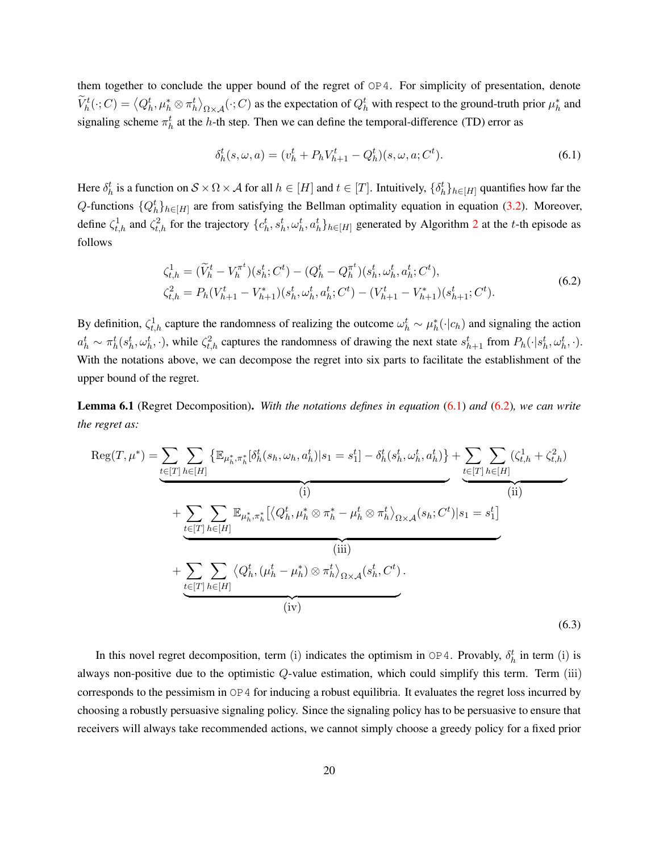them together to conclude the upper bound of the regret of OP4. For simplicity of presentation, denote  $\widetilde{V}_h^t(\cdot;C) = \langle Q_h^t, \mu_h^* \otimes \pi_h^t \rangle_{\Omega \times \mathcal{A}}(\cdot;C)$  as the expectation of  $Q_h^t$  with respect to the ground-truth prior  $\mu_h^*$  and signaling scheme  $\pi_h^t$  at the h-th step. Then we can define the temporal-difference (TD) error as

<span id="page-19-1"></span>
$$
\delta_h^t(s, \omega, a) = (v_h^t + P_h V_{h+1}^t - Q_h^t)(s, \omega, a; C^t).
$$
\n(6.1)

Here  $\delta_h^t$  is a function on  $S \times \Omega \times A$  for all  $h \in [H]$  and  $t \in [T]$ . Intuitively,  $\{\delta_h^t\}_{h \in [H]}$  quantifies how far the Q-functions  $\{Q_h^t\}_{h\in[H]}$  are from satisfying the Bellman optimality equation in equation [\(3.2\)](#page-10-1). Moreover, define  $\zeta_{t,h}^1$  and  $\zeta_{t,h}^2$  $\zeta_{t,h}^2$  for the trajectory  $\{c_h^t, s_h^t, \omega_h^t\}, a_h^t\}_{h \in [H]}$  generated by Algorithm 2 at the t-th episode as follows

$$
\zeta_{t,h}^1 = (\widetilde{V}_h^t - V_h^{\pi^t})(s_h^t; C^t) - (Q_h^t - Q_h^{\pi^t})(s_h^t, \omega_h^t, a_h^t; C^t),
$$
  
\n
$$
\zeta_{t,h}^2 = P_h(V_{h+1}^t - V_{h+1}^*)(s_h^t, \omega_h^t, a_h^t; C^t) - (V_{h+1}^t - V_{h+1}^*)(s_{h+1}^t; C^t).
$$
\n(6.2)

<span id="page-19-2"></span>By definition,  $\zeta_{t,h}^1$  capture the randomness of realizing the outcome  $\omega_h^t \sim \mu_h^*(\cdot | c_h)$  and signaling the action  $a_h^t \sim \pi_h^t(s_h^t, \omega_h^t, \cdot)$ , while  $\zeta_{t,h}^2$  captures the randomness of drawing the next state  $s_{h+1}^t$  from  $P_h(\cdot | s_h^t, \omega_h^t, \cdot)$ . With the notations above, we can decompose the regret into six parts to facilitate the establishment of the upper bound of the regret.

<span id="page-19-0"></span>Lemma 6.1 (Regret Decomposition). *With the notations defines in equation* [\(6.1\)](#page-19-1) *and* [\(6.2\)](#page-19-2)*, we can write the regret as:*

<span id="page-19-3"></span>
$$
\operatorname{Reg}(T, \mu^*) = \underbrace{\sum_{t \in [T]} \sum_{h \in [H]} \left\{ \mathbb{E}_{\mu_h^*, \pi_h^*} [\delta_h^t(s_h, \omega_h, a_h^t) | s_1 = s_1^t] - \delta_h^t(s_h^t, \omega_h^t, a_h^t) \right\} + \underbrace{\sum_{t \in [T]} \sum_{h \in [H]} (\zeta_{t,h}^1 + \zeta_{t,h}^2)}_{(ii)} \right\}}_{(ii)} + \underbrace{\sum_{t \in [T]} \sum_{h \in [H]} \mathbb{E}_{\mu_h^*, \pi_h^*} [\langle Q_h^t, \mu_h^* \otimes \pi_h^* - \mu_h^t \otimes \pi_h^t \rangle_{\Omega \times \mathcal{A}}(s_h; C^t) | s_1 = s_1^t] + \underbrace{\sum_{t \in [T]} \sum_{h \in [H]} \langle Q_h^t, (\mu_h^t - \mu_h^*) \otimes \pi_h^t \rangle_{\Omega \times \mathcal{A}}(s_h^t, C^t) \cdot}_{(iv)}.
$$
\n
$$
(6.3)
$$

In this novel regret decomposition, term (i) indicates the optimism in  $OP4$ . Provably,  $\delta_h^t$  in term (i) is always non-positive due to the optimistic Q-value estimation, which could simplify this term. Term (iii) corresponds to the pessimism in OP4 for inducing a robust equilibria. It evaluates the regret loss incurred by choosing a robustly persuasive signaling policy. Since the signaling policy has to be persuasive to ensure that receivers will always take recommended actions, we cannot simply choose a greedy policy for a fixed prior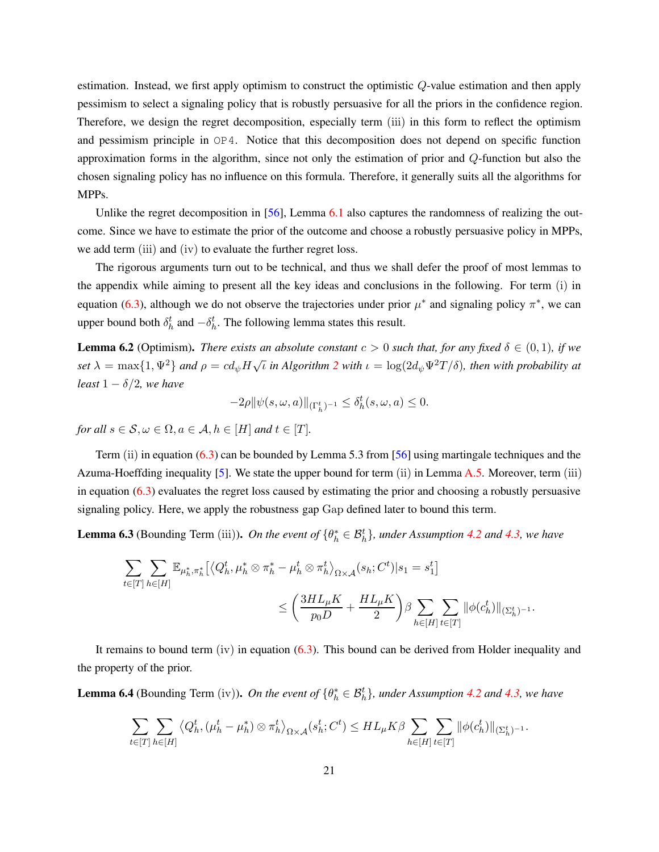estimation. Instead, we first apply optimism to construct the optimistic  $Q$ -value estimation and then apply pessimism to select a signaling policy that is robustly persuasive for all the priors in the confidence region. Therefore, we design the regret decomposition, especially term (iii) in this form to reflect the optimism and pessimism principle in OP4. Notice that this decomposition does not depend on specific function approximation forms in the algorithm, since not only the estimation of prior and Q-function but also the chosen signaling policy has no influence on this formula. Therefore, it generally suits all the algorithms for MPPs.

Unlike the regret decomposition in [\[56\]](#page-27-9), Lemma [6.1](#page-19-0) also captures the randomness of realizing the outcome. Since we have to estimate the prior of the outcome and choose a robustly persuasive policy in MPPs, we add term (iii) and (iv) to evaluate the further regret loss.

The rigorous arguments turn out to be technical, and thus we shall defer the proof of most lemmas to the appendix while aiming to present all the key ideas and conclusions in the following. For term (i) in equation [\(6.3\)](#page-19-3), although we do not observe the trajectories under prior  $\mu^*$  and signaling policy  $\pi^*$ , we can upper bound both  $\delta_h^t$  and  $-\delta_h^t$ . The following lemma states this result.

<span id="page-20-0"></span>**Lemma 6.2** (Optimism). *There exists an absolute constant*  $c > 0$  *such that, for any fixed*  $\delta \in (0,1)$ *, if we set*  $\lambda = \max\{1, \Psi^2\}$  $\lambda = \max\{1, \Psi^2\}$  $\lambda = \max\{1, \Psi^2\}$  *and*  $\rho = cd_{\psi}H\sqrt{\iota}$  *in Algorithm* 2 *with*  $\iota = \log(2d_{\psi}\Psi^2T/\delta)$ *, then with probability at least*  $1 - \delta/2$ *, we have* 

$$
-2\rho \|\psi(s,\omega,a)\|_{(\Gamma_h^t)^{-1}}\leq \delta_h^t(s,\omega,a)\leq 0.
$$

*for all*  $s \in \mathcal{S}, \omega \in \Omega, a \in \mathcal{A}, h \in [H]$  *and*  $t \in [T]$ *.* 

Term (ii) in equation [\(6.3\)](#page-19-3) can be bounded by Lemma 5.3 from [\[56](#page-27-9)] using martingale techniques and the Azuma-Hoeffding inequality [\[5\]](#page-24-13). We state the upper bound for term (ii) in Lemma [A.5.](#page-38-0) Moreover, term (iii) in equation [\(6.3\)](#page-19-3) evaluates the regret loss caused by estimating the prior and choosing a robustly persuasive signaling policy. Here, we apply the robustness gap Gap defined later to bound this term.

<span id="page-20-1"></span>**Lemma 6.3** (Bounding Term (iii)). *On the event of*  $\{\theta_h^* \in \mathcal{B}_h^t\}$ , *under Assumption [4.2](#page-16-1) and [4.3,](#page-16-2) we have* 

$$
\begin{aligned} \sum\limits_{t\in[T]}\sum\limits_{h\in[H]}\mathbb{E}_{\mu_h^*,\pi_h^*}\big[ \big\langle Q_h^t,\mu_h^*\otimes \pi_h^*-\mu_h^t\otimes \pi_h^t\big\rangle_{\Omega\times\mathcal{A}}(s_h;C^t)|s_1=s_1^t\big] \\ \leq \bigg(\frac{3HL_\mu K}{p_0D}+\frac{HL_\mu K}{2}\bigg)\beta \sum\limits_{h\in[H]}\sum\limits_{t\in[T]}\|\phi(c_h^t)\|_{(\Sigma_h^t)^{-1}}. \end{aligned}
$$

It remains to bound term  $(iv)$  in equation  $(6.3)$ . This bound can be derived from Holder inequality and the property of the prior.

<span id="page-20-2"></span>**Lemma 6.4** (Bounding Term (iv)). *On the event of*  $\{\theta_h^* \in \mathcal{B}_h^t\}$ , *under Assumption* [4.2](#page-16-1) *and* [4.3,](#page-16-2) *we have* 

$$
\sum_{t\in[T]}\sum_{h\in[H]}\left\langle Q_h^t, (\mu_h^t - \mu_h^*)\otimes \pi_h^t\right\rangle_{\Omega\times\mathcal{A}}(s_h^t; C^t) \leq HL_\mu K\beta \sum_{h\in[H]}\sum_{t\in[T]}\|\phi(c_h^t)\|_{(\Sigma_h^t)^{-1}}.
$$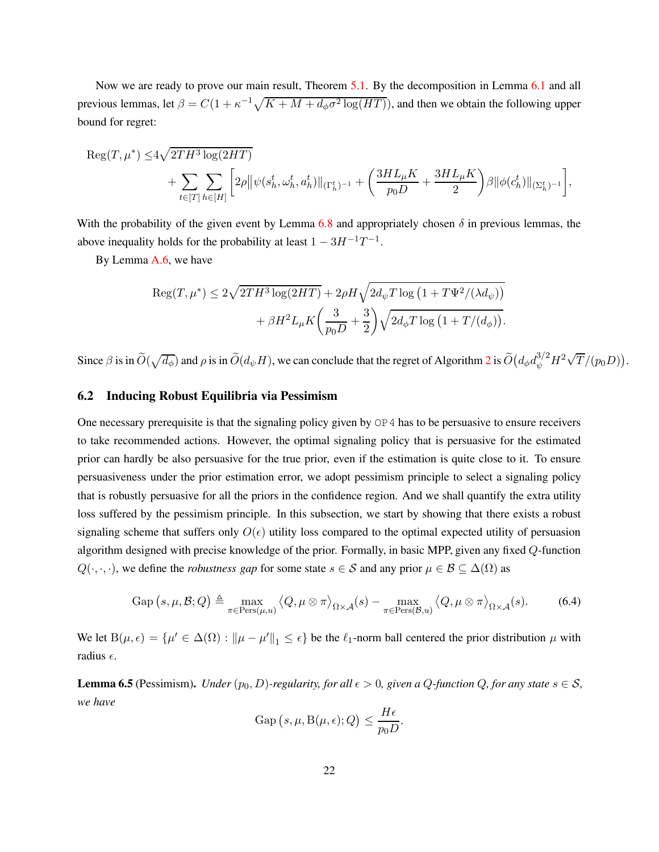Now we are ready to prove our main result, Theorem [5.1.](#page-18-1) By the decomposition in Lemma [6.1](#page-19-0) and all previous lemmas, let  $\beta = C(1 + \kappa^{-1}\sqrt{K + M + d_{\phi}\sigma^2 \log(HT)})$ , and then we obtain the following upper bound for regret:

$$
\begin{aligned} \mathrm{Reg}(T,\mu^*) \leq & 4\sqrt{2TH^3\log(2HT)} \\ & + \sum_{t\in[T]}\sum_{h\in[H]}\bigg[2\rho\big\|\psi(s_h^t,\omega_h^t,a_h^t)\|_{(\Gamma_h^t)^{-1}} + \bigg(\frac{3HL_\mu K}{p_0D} + \frac{3HL_\mu K}{2}\bigg)\beta\|\phi(c_h^t)\|_{(\Sigma_h^t)^{-1}}\bigg], \end{aligned}
$$

With the probability of the given event by Lemma [6.8](#page-23-2) and appropriately chosen  $\delta$  in previous lemmas, the above inequality holds for the probability at least  $1 - 3H^{-1}T^{-1}$ .

By Lemma [A.6,](#page-38-1) we have

$$
\operatorname{Reg}(T, \mu^*) \le 2\sqrt{2TH^3 \log(2HT)} + 2\rho H \sqrt{2d_{\psi}T \log\left(1 + T\Psi^2/(\lambda d_{\psi})\right)}
$$

$$
+ \beta H^2 L_{\mu} K \left(\frac{3}{p_0 D} + \frac{3}{2}\right) \sqrt{2d_{\phi}T \log\left(1 + T/(d_{\phi})\right)}.
$$

Since  $\beta$  is in  $\widetilde{O}(\sqrt{d_{\phi}})$  and  $\rho$  is in  $\widetilde{O}(d_{\psi}H)$ , we can conclude that the regret of Algorithm [2](#page-29-0) is  $\widetilde{O}(d_{\phi}d_{\psi}^{3/2}H^2\sqrt{T}/(p_0D)).$ 

### 6.2 Inducing Robust Equilibria via Pessimism

One necessary prerequisite is that the signaling policy given by  $OP<sub>4</sub>$  has to be persuasive to ensure receivers to take recommended actions. However, the optimal signaling policy that is persuasive for the estimated prior can hardly be also persuasive for the true prior, even if the estimation is quite close to it. To ensure persuasiveness under the prior estimation error, we adopt pessimism principle to select a signaling policy that is robustly persuasive for all the priors in the confidence region. And we shall quantify the extra utility loss suffered by the pessimism principle. In this subsection, we start by showing that there exists a robust signaling scheme that suffers only  $O(\epsilon)$  utility loss compared to the optimal expected utility of persuasion algorithm designed with precise knowledge of the prior. Formally, in basic MPP, given any fixed Q-function  $Q(\cdot,\cdot,\cdot)$ , we define the *robustness gap* for some state  $s \in S$  and any prior  $\mu \in \mathcal{B} \subseteq \Delta(\Omega)$  as

<span id="page-21-0"></span>
$$
\text{Gap}(s,\mu,\mathcal{B};Q) \triangleq \max_{\pi \in \text{Pers}(\mu,u)} \langle Q, \mu \otimes \pi \rangle_{\Omega \times \mathcal{A}}(s) - \max_{\pi \in \text{Pers}(\mathcal{B},u)} \langle Q, \mu \otimes \pi \rangle_{\Omega \times \mathcal{A}}(s). \tag{6.4}
$$

We let  $B(\mu, \epsilon) = \{\mu' \in \Delta(\Omega) : ||\mu - \mu'||_1 \leq \epsilon\}$  be the  $\ell_1$ -norm ball centered the prior distribution  $\mu$  with radius  $\epsilon$ .

<span id="page-21-1"></span>**Lemma 6.5** (Pessimism). *Under*  $(p_0, D)$ -regularity, for all  $\epsilon > 0$ , given a Q-function Q, for any state  $s \in S$ , *we have*

$$
\text{Gap}(s,\mu,\text{B}(\mu,\epsilon);Q) \le \frac{H\epsilon}{p_0 D}.
$$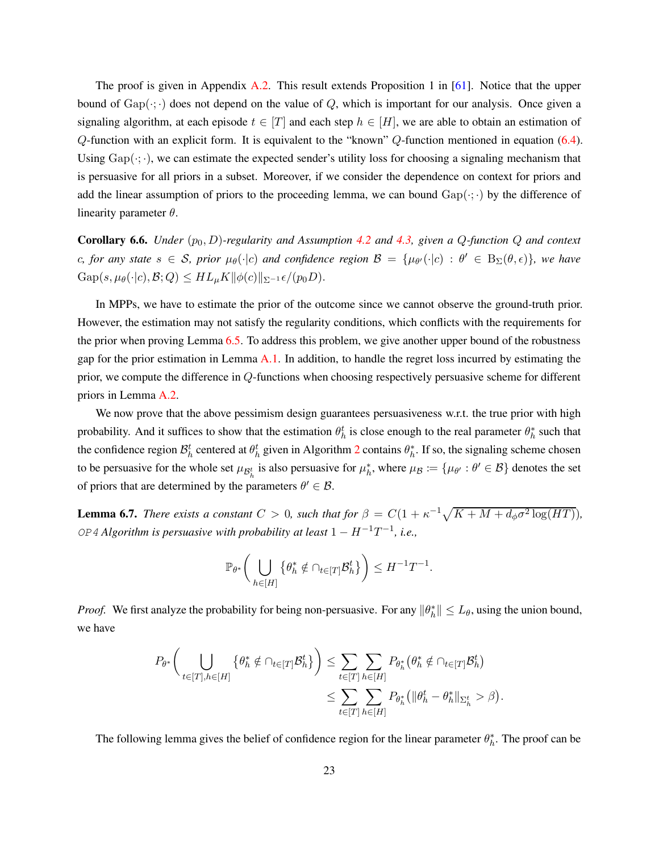The proof is given in Appendix [A.2.](#page-29-1) This result extends Proposition 1 in [61]. Notice that the upper bound of  $Gap(\cdot;\cdot)$  does not depend on the value of Q, which is important for our analysis. Once given a signaling algorithm, at each episode  $t \in [T]$  and each step  $h \in [H]$ , we are able to obtain an estimation of  $Q$ -function with an explicit form. It is equivalent to the "known"  $Q$ -function mentioned in equation [\(6.4\)](#page-21-0). Using  $Gap(\cdot;\cdot)$ , we can estimate the expected sender's utility loss for choosing a signaling mechanism that is persuasive for all priors in a subset. Moreover, if we consider the dependence on context for priors and add the linear assumption of priors to the proceeding lemma, we can bound  $Gap(\cdot; \cdot)$  by the difference of linearity parameter  $\theta$ .

<span id="page-22-0"></span>**Corollary 6.6.** *Under*  $(p_0, D)$ *-regularity and Assumption* [4.2](#page-16-1) *and* [4.3,](#page-16-2) *given a*  $Q$ *-function*  $Q$  *and context*  $c$ *, for any state*  $s \in S$ *, prior*  $\mu_{\theta}(\cdot | c)$  *and confidence region*  $\mathcal{B} = \{\mu_{\theta}(\cdot | c) : \theta' \in B_{\Sigma}(\theta, \epsilon)\}\$ *, we have*  $Gap(s, \mu_\theta(\cdot | c), \mathcal{B}; Q) \leq HL_\mu K \|\phi(c)\|_{\Sigma^{-1}} \epsilon / (p_0 D).$ 

In MPPs, we have to estimate the prior of the outcome since we cannot observe the ground-truth prior. However, the estimation may not satisfy the regularity conditions, which conflicts with the requirements for the prior when proving Lemma [6.5.](#page-21-1) To address this problem, we give another upper bound of the robustness gap for the prior estimation in Lemma [A.1.](#page-31-0) In addition, to handle the regret loss incurred by estimating the prior, we compute the difference in Q-functions when choosing respectively persuasive scheme for different priors in Lemma [A.2.](#page-32-0)

We now prove that the above pessimism design guarantees persuasiveness w.r.t. the true prior with high probability. And it suffices to show that the estimation  $\theta_h^t$  is close enough to the real parameter  $\theta_h^*$  such that the confidence region  $\mathcal{B}_h^t$  centered at  $\theta_h^t$  given in Algorithm [2](#page-29-0) contains  $\theta_h^*$ . If so, the signaling scheme chosen to be persuasive for the whole set  $\mu_{\mathcal{B}_h^t}$  is also persuasive for  $\mu_h^*$ , where  $\mu_B := \{\mu_{\theta'} : \theta' \in \mathcal{B}\}\$  denotes the set of priors that are determined by the parameters  $\theta' \in \mathcal{B}$ .

**Lemma 6.7.** *There exists a constant*  $C > 0$ *, such that for*  $\beta = C(1 + \kappa^{-1}\sqrt{K + M + d_{\phi}\sigma^2 \log(HT)})$ *,*  $OP$ <sup>4</sup> *Algorithm is persuasive with probability at least*  $1 - H^{-1}T^{-1}$ , *i.e.*,

$$
\mathbb{P}_{\theta^*}\bigg(\bigcup_{h\in[H]}\big\{\theta^*_h\notin\cap_{t\in[T]}\mathcal{B}_h^t\big\}\bigg)\leq H^{-1}T^{-1}.
$$

*Proof.* We first analyze the probability for being non-persuasive. For any  $\|\theta_h^*\| \le L_\theta$ , using the union bound, we have

$$
P_{\theta^*}\bigg(\bigcup_{t\in[T],h\in[H]}\{\theta^*_h\notin\cap_{t\in[T]}\mathcal{B}_h^t\}\bigg)\leq \sum_{t\in[T]}\sum_{h\in[H]}P_{\theta^*_h}\big(\theta^*_h\notin\cap_{t\in[T]}\mathcal{B}_h^t\big)
$$

$$
\leq \sum_{t\in[T]}\sum_{h\in[H]}P_{\theta^*_h}\big(\|\theta^t_h-\theta^*_h\|_{\Sigma_h^t} > \beta\big).
$$

The following lemma gives the belief of confidence region for the linear parameter  $\theta_h^*$ . The proof can be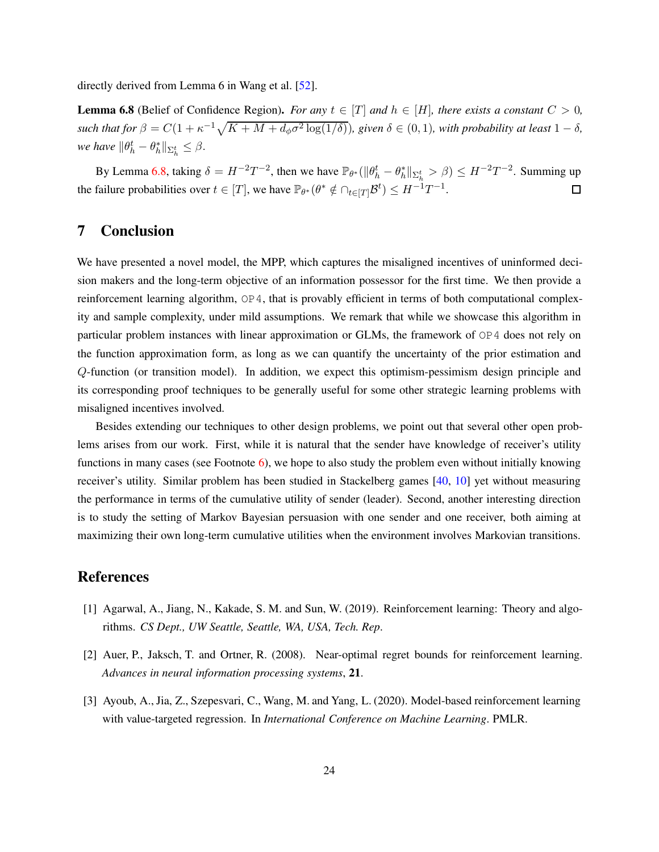directly derived from Lemma 6 in Wang et al. [\[52\]](#page-27-8).

<span id="page-23-2"></span>**Lemma 6.8** (Belief of Confidence Region). *For any*  $t \in [T]$  *and*  $h \in [H]$ *, there exists a constant*  $C > 0$ *, such that for*  $\beta = C(1 + \kappa^{-1}\sqrt{K + M + d_{\phi}\sigma^2 \log(1/\delta)})$ *, given*  $\delta \in (0, 1)$ *, with probability at least*  $1 - \delta$ *, we have*  $\|\theta_h^t - \theta_h^*\|_{\Sigma_h^t} \leq \beta$ .

By Lemma [6.8,](#page-23-2) taking  $\delta = H^{-2}T^{-2}$ , then we have  $\mathbb{P}_{\theta^*}(\|\theta_h^t - \theta_h^*\|_{\Sigma_h^t} > \beta) \le H^{-2}T^{-2}$ . Summing up the failure probabilities over  $t \in [T]$ , we have  $\mathbb{P}_{\theta^*}(\theta^* \notin \bigcap_{t \in [T]} \mathcal{B}^t) \leq H^{-1}T^{-1}$ .  $\Box$ 

# 7 Conclusion

We have presented a novel model, the MPP, which captures the misaligned incentives of uninformed decision makers and the long-term objective of an information possessor for the first time. We then provide a reinforcement learning algorithm,  $OP4$ , that is provably efficient in terms of both computational complexity and sample complexity, under mild assumptions. We remark that while we showcase this algorithm in particular problem instances with linear approximation or GLMs, the framework of OP4 does not rely on the function approximation form, as long as we can quantify the uncertainty of the prior estimation and Q-function (or transition model). In addition, we expect this optimism-pessimism design principle and its corresponding proof techniques to be generally useful for some other strategic learning problems with misaligned incentives involved.

Besides extending our techniques to other design problems, we point out that several other open problems arises from our work. First, while it is natural that the sender have knowledge of receiver's utility functions in many cases (see Footnote [6\)](#page-11-0), we hope to also study the problem even without initially knowing receiver's utility. Similar problem has been studied in Stackelberg games [\[40](#page-26-12), [10\]](#page-24-14) yet without measuring the performance in terms of the cumulative utility of sender (leader). Second, another interesting direction is to study the setting of Markov Bayesian persuasion with one sender and one receiver, both aiming at maximizing their own long-term cumulative utilities when the environment involves Markovian transitions.

# References

- <span id="page-23-3"></span>[1] Agarwal, A., Jiang, N., Kakade, S. M. and Sun, W. (2019). Reinforcement learning: Theory and algorithms. *CS Dept., UW Seattle, Seattle, WA, USA, Tech. Rep*.
- <span id="page-23-0"></span>[2] Auer, P., Jaksch, T. and Ortner, R. (2008). Near-optimal regret bounds for reinforcement learning. *Advances in neural information processing systems*, 21.
- <span id="page-23-1"></span>[3] Ayoub, A., Jia, Z., Szepesvari, C., Wang, M. and Yang, L. (2020). Model-based reinforcement learning with value-targeted regression. In *International Conference on Machine Learning*. PMLR.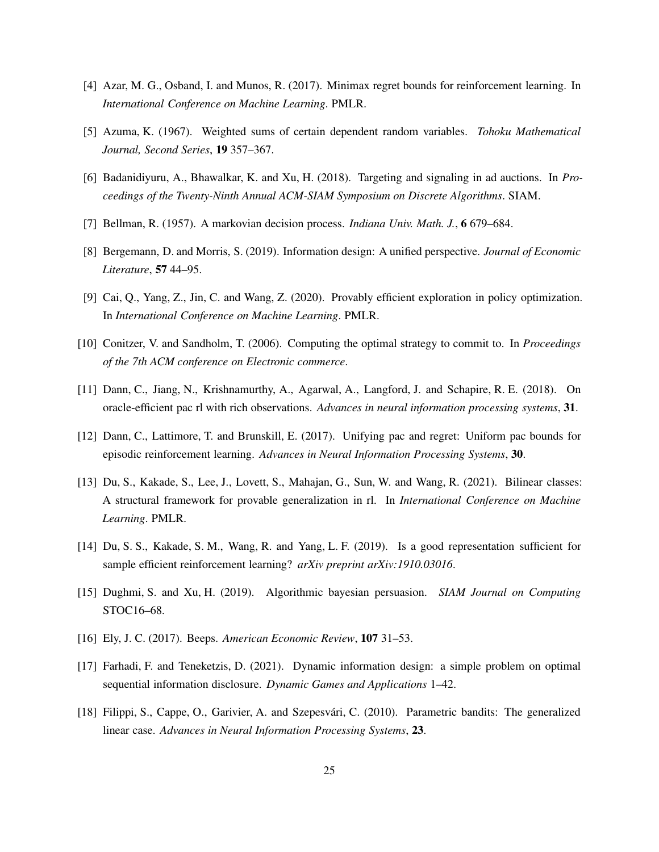- <span id="page-24-4"></span>[4] Azar, M. G., Osband, I. and Munos, R. (2017). Minimax regret bounds for reinforcement learning. In *International Conference on Machine Learning*. PMLR.
- <span id="page-24-13"></span>[5] Azuma, K. (1967). Weighted sums of certain dependent random variables. *Tohoku Mathematical Journal, Second Series*, 19 357–367.
- <span id="page-24-1"></span>[6] Badanidiyuru, A., Bhawalkar, K. and Xu, H. (2018). Targeting and signaling in ad auctions. In *Proceedings of the Twenty-Ninth Annual ACM-SIAM Symposium on Discrete Algorithms*. SIAM.
- <span id="page-24-10"></span>[7] Bellman, R. (1957). A markovian decision process. *Indiana Univ. Math. J.*, 6 679–684.
- <span id="page-24-0"></span>[8] Bergemann, D. and Morris, S. (2019). Information design: A unified perspective. *Journal of Economic Literature*, 57 44–95.
- <span id="page-24-7"></span>[9] Cai, Q., Yang, Z., Jin, C. and Wang, Z. (2020). Provably efficient exploration in policy optimization. In *International Conference on Machine Learning*. PMLR.
- <span id="page-24-14"></span>[10] Conitzer, V. and Sandholm, T. (2006). Computing the optimal strategy to commit to. In *Proceedings of the 7th ACM conference on Electronic commerce*.
- <span id="page-24-8"></span>[11] Dann, C., Jiang, N., Krishnamurthy, A., Agarwal, A., Langford, J. and Schapire, R. E. (2018). On oracle-efficient pac rl with rich observations. *Advances in neural information processing systems*, 31.
- <span id="page-24-5"></span>[12] Dann, C., Lattimore, T. and Brunskill, E. (2017). Unifying pac and regret: Uniform pac bounds for episodic reinforcement learning. *Advances in Neural Information Processing Systems*, 30.
- <span id="page-24-11"></span>[13] Du, S., Kakade, S., Lee, J., Lovett, S., Mahajan, G., Sun, W. and Wang, R. (2021). Bilinear classes: A structural framework for provable generalization in rl. In *International Conference on Machine Learning*. PMLR.
- <span id="page-24-6"></span>[14] Du, S. S., Kakade, S. M., Wang, R. and Yang, L. F. (2019). Is a good representation sufficient for sample efficient reinforcement learning? *arXiv preprint arXiv:1910.03016*.
- <span id="page-24-9"></span>[15] Dughmi, S. and Xu, H. (2019). Algorithmic bayesian persuasion. *SIAM Journal on Computing* STOC16–68.
- <span id="page-24-2"></span>[16] Ely, J. C. (2017). Beeps. *American Economic Review*, 107 31–53.
- <span id="page-24-3"></span>[17] Farhadi, F. and Teneketzis, D. (2021). Dynamic information design: a simple problem on optimal sequential information disclosure. *Dynamic Games and Applications* 1–42.
- <span id="page-24-12"></span>[18] Filippi, S., Cappe, O., Garivier, A. and Szepesvári, C. (2010). Parametric bandits: The generalized linear case. *Advances in Neural Information Processing Systems*, 23.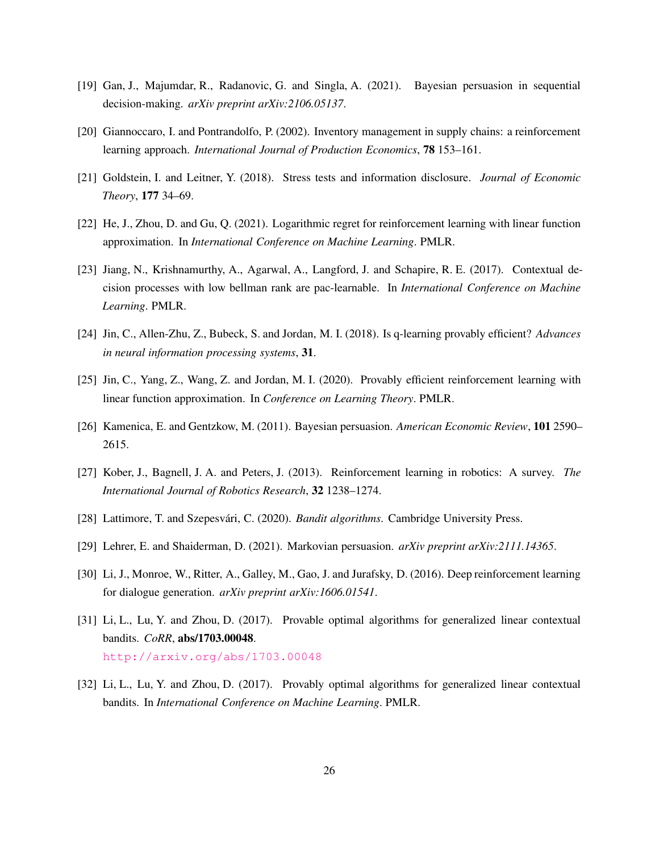- <span id="page-25-4"></span>[19] Gan, J., Majumdar, R., Radanovic, G. and Singla, A. (2021). Bayesian persuasion in sequential decision-making. *arXiv preprint arXiv:2106.05137*.
- <span id="page-25-1"></span>[20] Giannoccaro, I. and Pontrandolfo, P. (2002). Inventory management in supply chains: a reinforcement learning approach. *International Journal of Production Economics*, 78 153–161.
- <span id="page-25-2"></span>[21] Goldstein, I. and Leitner, Y. (2018). Stress tests and information disclosure. *Journal of Economic Theory*, 177 34–69.
- <span id="page-25-10"></span>[22] He, J., Zhou, D. and Gu, Q. (2021). Logarithmic regret for reinforcement learning with linear function approximation. In *International Conference on Machine Learning*. PMLR.
- <span id="page-25-11"></span>[23] Jiang, N., Krishnamurthy, A., Agarwal, A., Langford, J. and Schapire, R. E. (2017). Contextual decision processes with low bellman rank are pac-learnable. In *International Conference on Machine Learning*. PMLR.
- <span id="page-25-7"></span>[24] Jin, C., Allen-Zhu, Z., Bubeck, S. and Jordan, M. I. (2018). Is q-learning provably efficient? *Advances in neural information processing systems*, 31.
- <span id="page-25-9"></span>[25] Jin, C., Yang, Z., Wang, Z. and Jordan, M. I. (2020). Provably efficient reinforcement learning with linear function approximation. In *Conference on Learning Theory*. PMLR.
- <span id="page-25-0"></span>[26] Kamenica, E. and Gentzkow, M. (2011). Bayesian persuasion. *American Economic Review*, 101 2590– 2615.
- <span id="page-25-5"></span>[27] Kober, J., Bagnell, J. A. and Peters, J. (2013). Reinforcement learning in robotics: A survey. *The International Journal of Robotics Research*, 32 1238–1274.
- <span id="page-25-8"></span>[28] Lattimore, T. and Szepesvári, C. (2020). *Bandit algorithms*. Cambridge University Press.
- <span id="page-25-3"></span>[29] Lehrer, E. and Shaiderman, D. (2021). Markovian persuasion. *arXiv preprint arXiv:2111.14365*.
- <span id="page-25-6"></span>[30] Li, J., Monroe, W., Ritter, A., Galley, M., Gao, J. and Jurafsky, D. (2016). Deep reinforcement learning for dialogue generation. *arXiv preprint arXiv:1606.01541*.
- [31] Li, L., Lu, Y. and Zhou, D. (2017). Provable optimal algorithms for generalized linear contextual bandits. *CoRR*, abs/1703.00048. <http://arxiv.org/abs/1703.00048>
- <span id="page-25-12"></span>[32] Li, L., Lu, Y. and Zhou, D. (2017). Provably optimal algorithms for generalized linear contextual bandits. In *International Conference on Machine Learning*. PMLR.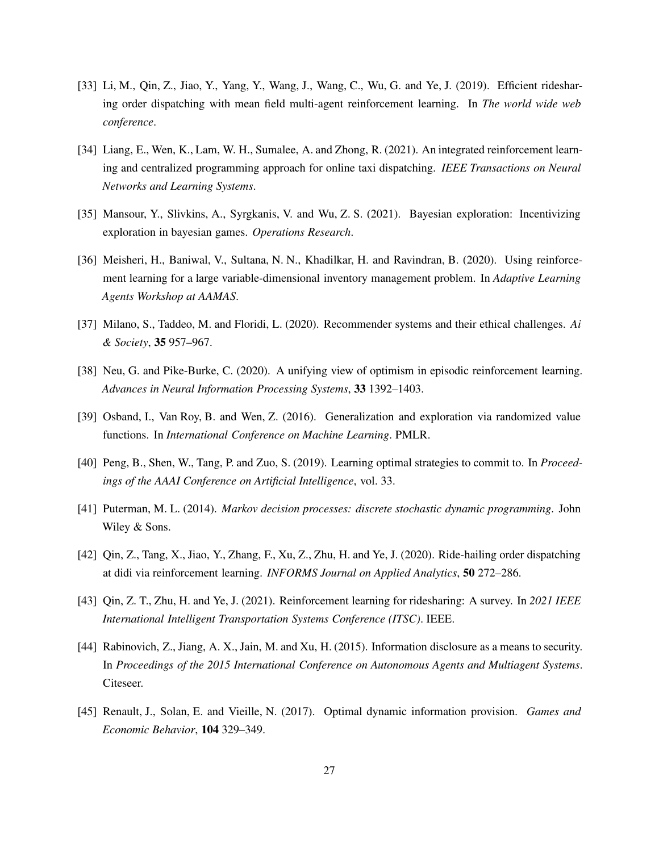- <span id="page-26-0"></span>[33] Li, M., Qin, Z., Jiao, Y., Yang, Y., Wang, J., Wang, C., Wu, G. and Ye, J. (2019). Efficient ridesharing order dispatching with mean field multi-agent reinforcement learning. In *The world wide web conference*.
- <span id="page-26-2"></span>[34] Liang, E., Wen, K., Lam, W. H., Sumalee, A. and Zhong, R. (2021). An integrated reinforcement learning and centralized programming approach for online taxi dispatching. *IEEE Transactions on Neural Networks and Learning Systems*.
- <span id="page-26-8"></span>[35] Mansour, Y., Slivkins, A., Syrgkanis, V. and Wu, Z. S. (2021). Bayesian exploration: Incentivizing exploration in bayesian games. *Operations Research*.
- <span id="page-26-4"></span>[36] Meisheri, H., Baniwal, V., Sultana, N. N., Khadilkar, H. and Ravindran, B. (2020). Using reinforcement learning for a large variable-dimensional inventory management problem. In *Adaptive Learning Agents Workshop at AAMAS*.
- <span id="page-26-5"></span>[37] Milano, S., Taddeo, M. and Floridi, L. (2020). Recommender systems and their ethical challenges. *Ai & Society*, 35 957–967.
- <span id="page-26-10"></span>[38] Neu, G. and Pike-Burke, C. (2020). A unifying view of optimism in episodic reinforcement learning. *Advances in Neural Information Processing Systems*, 33 1392–1403.
- <span id="page-26-9"></span>[39] Osband, I., Van Roy, B. and Wen, Z. (2016). Generalization and exploration via randomized value functions. In *International Conference on Machine Learning*. PMLR.
- <span id="page-26-12"></span>[40] Peng, B., Shen, W., Tang, P. and Zuo, S. (2019). Learning optimal strategies to commit to. In *Proceedings of the AAAI Conference on Artificial Intelligence*, vol. 33.
- <span id="page-26-11"></span>[41] Puterman, M. L. (2014). *Markov decision processes: discrete stochastic dynamic programming*. John Wiley & Sons.
- <span id="page-26-1"></span>[42] Qin, Z., Tang, X., Jiao, Y., Zhang, F., Xu, Z., Zhu, H. and Ye, J. (2020). Ride-hailing order dispatching at didi via reinforcement learning. *INFORMS Journal on Applied Analytics*, 50 272–286.
- <span id="page-26-3"></span>[43] Qin, Z. T., Zhu, H. and Ye, J. (2021). Reinforcement learning for ridesharing: A survey. In *2021 IEEE International Intelligent Transportation Systems Conference (ITSC)*. IEEE.
- <span id="page-26-6"></span>[44] Rabinovich, Z., Jiang, A. X., Jain, M. and Xu, H. (2015). Information disclosure as a means to security. In *Proceedings of the 2015 International Conference on Autonomous Agents and Multiagent Systems*. Citeseer.
- <span id="page-26-7"></span>[45] Renault, J., Solan, E. and Vieille, N. (2017). Optimal dynamic information provision. *Games and Economic Behavior*, 104 329–349.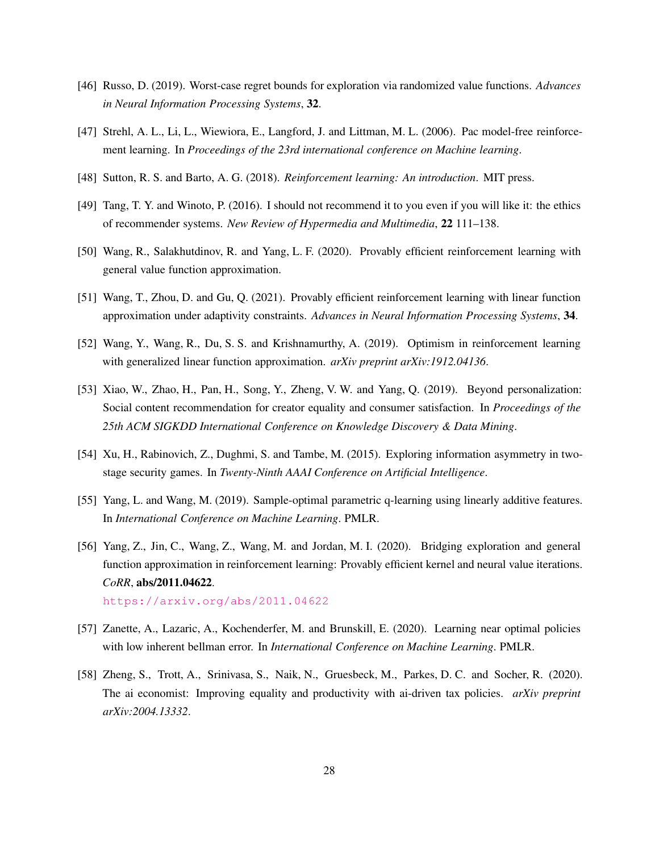- <span id="page-27-5"></span>[46] Russo, D. (2019). Worst-case regret bounds for exploration via randomized value functions. *Advances in Neural Information Processing Systems*, 32.
- <span id="page-27-4"></span>[47] Strehl, A. L., Li, L., Wiewiora, E., Langford, J. and Littman, M. L. (2006). Pac model-free reinforcement learning. In *Proceedings of the 23rd international conference on Machine learning*.
- <span id="page-27-10"></span>[48] Sutton, R. S. and Barto, A. G. (2018). *Reinforcement learning: An introduction*. MIT press.
- <span id="page-27-0"></span>[49] Tang, T. Y. and Winoto, P. (2016). I should not recommend it to you even if you will like it: the ethics of recommender systems. *New Review of Hypermedia and Multimedia*, 22 111–138.
- <span id="page-27-11"></span>[50] Wang, R., Salakhutdinov, R. and Yang, L. F. (2020). Provably efficient reinforcement learning with general value function approximation.
- <span id="page-27-12"></span>[51] Wang, T., Zhou, D. and Gu, Q. (2021). Provably efficient reinforcement learning with linear function approximation under adaptivity constraints. *Advances in Neural Information Processing Systems*, 34.
- <span id="page-27-8"></span>[52] Wang, Y., Wang, R., Du, S. S. and Krishnamurthy, A. (2019). Optimism in reinforcement learning with generalized linear function approximation. *arXiv preprint arXiv:1912.04136*.
- <span id="page-27-1"></span>[53] Xiao, W., Zhao, H., Pan, H., Song, Y., Zheng, V. W. and Yang, Q. (2019). Beyond personalization: Social content recommendation for creator equality and consumer satisfaction. In *Proceedings of the 25th ACM SIGKDD International Conference on Knowledge Discovery & Data Mining*.
- <span id="page-27-2"></span>[54] Xu, H., Rabinovich, Z., Dughmi, S. and Tambe, M. (2015). Exploring information asymmetry in twostage security games. In *Twenty-Ninth AAAI Conference on Artificial Intelligence*.
- <span id="page-27-6"></span>[55] Yang, L. and Wang, M. (2019). Sample-optimal parametric q-learning using linearly additive features. In *International Conference on Machine Learning*. PMLR.
- <span id="page-27-9"></span>[56] Yang, Z., Jin, C., Wang, Z., Wang, M. and Jordan, M. I. (2020). Bridging exploration and general function approximation in reinforcement learning: Provably efficient kernel and neural value iterations. *CoRR*, abs/2011.04622. <https://arxiv.org/abs/2011.04622>
- <span id="page-27-7"></span>[57] Zanette, A., Lazaric, A., Kochenderfer, M. and Brunskill, E. (2020). Learning near optimal policies with low inherent bellman error. In *International Conference on Machine Learning*. PMLR.
- <span id="page-27-3"></span>[58] Zheng, S., Trott, A., Srinivasa, S., Naik, N., Gruesbeck, M., Parkes, D. C. and Socher, R. (2020). The ai economist: Improving equality and productivity with ai-driven tax policies. *arXiv preprint arXiv:2004.13332*.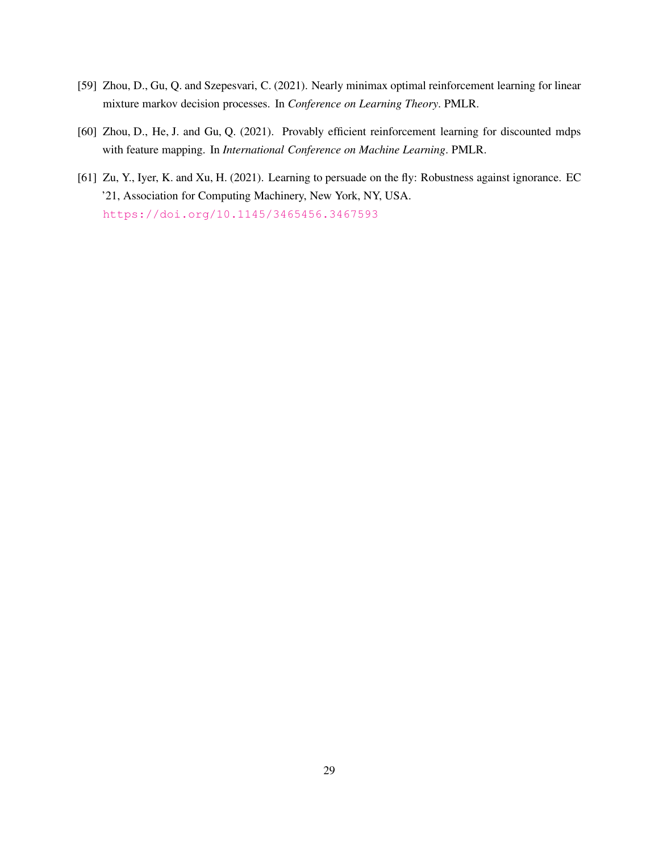- <span id="page-28-1"></span>[59] Zhou, D., Gu, Q. and Szepesvari, C. (2021). Nearly minimax optimal reinforcement learning for linear mixture markov decision processes. In *Conference on Learning Theory*. PMLR.
- <span id="page-28-0"></span>[60] Zhou, D., He, J. and Gu, Q. (2021). Provably efficient reinforcement learning for discounted mdps with feature mapping. In *International Conference on Machine Learning*. PMLR.
- [61] Zu, Y., Iyer, K. and Xu, H. (2021). Learning to persuade on the fly: Robustness against ignorance. EC '21, Association for Computing Machinery, New York, NY, USA. <https://doi.org/10.1145/3465456.3467593>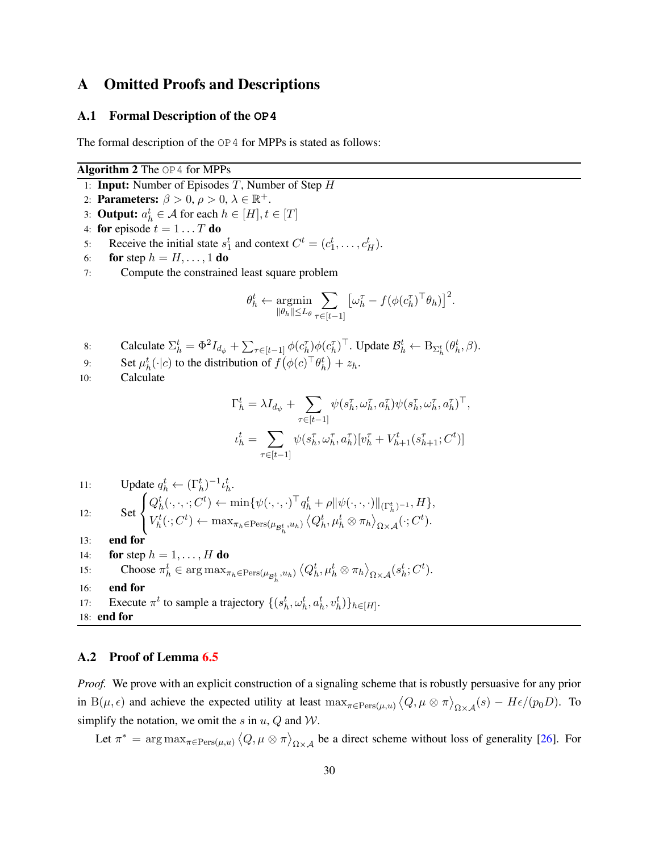# A Omitted Proofs and Descriptions

#### A.1 Formal Description of the **OP4**

The formal description of the  $OP4$  for MPPs is stated as follows:

#### <span id="page-29-0"></span>Algorithm 2 The OP4 for MPPs

- 1: **Input:** Number of Episodes  $T$ , Number of Step  $H$
- 2: **Parameters:**  $\beta > 0$ ,  $\rho > 0$ ,  $\lambda \in \mathbb{R}^+$ .
- 3: **Output:**  $a_h^t \in A$  for each  $h \in [H], t \in [T]$
- 4: for episode  $t = 1 \dots T$  do
- 5: Receive the initial state  $s_1^t$  and context  $C^t = (c_1^t, \dots, c_H^t)$ .
- 6: for step  $h = H, \ldots, 1$  do
- 7: Compute the constrained least square problem

$$
\theta_h^t \leftarrow \operatornamewithlimits{argmin}_{\|\theta_h\| \le L_\theta} \sum_{\tau \in [t-1]} \left[ \omega_h^\tau - f(\phi({c_h^\tau})^\top \theta_h) \right]^2
$$

.

- 8: Calculate  $\Sigma_h^t = \Phi^2 I_{d_\phi} + \sum_{\tau \in [t-1]} \phi(c_h^{\tau}) \phi(c_h^{\tau})^{\top}$ . Update  $\mathcal{B}_h^t \leftarrow B_{\Sigma_h^t}(\theta_h^t, \beta)$ .
- 9: Set  $\mu_h^t(\cdot|c)$  to the distribution of  $f(\phi(c)^\top \theta_h^t) + z_h$ .
- 10: Calculate

$$
\Gamma_h^t = \lambda I_{d_{\psi}} + \sum_{\tau \in [t-1]} \psi(s_h^{\tau}, \omega_h^{\tau}, a_h^{\tau}) \psi(s_h^{\tau}, \omega_h^{\tau}, a_h^{\tau})^{\top},
$$
  

$$
\iota_h^t = \sum_{\tau \in [t-1]} \psi(s_h^{\tau}, \omega_h^{\tau}, a_h^{\tau}) [v_h^{\tau} + V_{h+1}^t(s_{h+1}^{\tau}; C^t)]
$$

11: Update 
$$
q_h^t \leftarrow (\Gamma_h^t)^{-1} \iota_h^t
$$
.  
\n12: Set 
$$
\begin{cases} Q_h^t(\cdot, \cdot, \cdot; C^t) \leftarrow \min\{\psi(\cdot, \cdot, \cdot)^{\top} q_h^t + \rho \|\psi(\cdot, \cdot, \cdot)\|_{(\Gamma_h^t)^{-1}}, H\},\\ V_h^t(\cdot; C^t) \leftarrow \max_{\pi_h \in \text{Pers}(\mu_{\mathcal{B}_h^t}, u_h)} \left\langle Q_h^t, \mu_h^t \otimes \pi_h \right\rangle_{\Omega \times \mathcal{A}} (\cdot; C^t). \end{cases}
$$

- 13: end for
- 14: **for** step  $h = 1, \ldots, H$  **do** 15: Choose  $\pi_h^t \in \arg \max_{\pi_h \in \text{Pers}(\mu_{\mathcal{B}_h^t}, u_h)} \langle Q_h^t, \mu_h^t \otimes \pi_h \rangle_{\Omega \times \mathcal{A}} (s_h^t; C^t).$ 16: end for 17: Execute  $\pi^t$  to sample a trajectory  $\{(s_h^t, \omega_h^t, a_h^t, v_h^t)\}_{h \in [H]}.$ 18: end for

### <span id="page-29-1"></span>A.2 Proof of Lemma [6.5](#page-21-1)

*Proof.* We prove with an explicit construction of a signaling scheme that is robustly persuasive for any prior in B( $\mu, \epsilon$ ) and achieve the expected utility at least  $\max_{\pi \in \text{Pers}(\mu, u)} \langle Q, \mu \otimes \pi \rangle_{\Omega \times \mathcal{A}}(s) - H\epsilon/(p_0 D)$ . To simplify the notation, we omit the s in  $u$ ,  $Q$  and  $W$ .

Let  $\pi^* = \arg \max_{\pi \in \text{Pers}(\mu, u)} \langle Q, \mu \otimes \pi \rangle_{\Omega \times \mathcal{A}}$  be a direct scheme without loss of generality [\[26](#page-25-0)]. For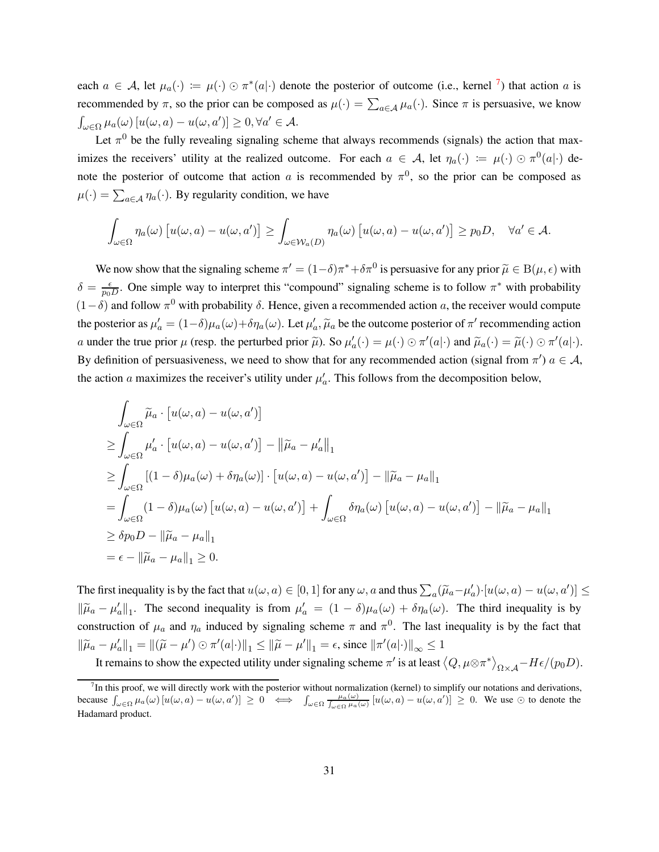each  $a \in \mathcal{A}$ , let  $\mu_a(\cdot) := \mu(\cdot) \odot \pi^*(a|\cdot)$  denote the posterior of outcome (i.e., kernel <sup>[7](#page-30-0)</sup>) that action a is recommended by  $\pi$ , so the prior can be composed as  $\mu(\cdot) = \sum_{a \in A} \mu_a(\cdot)$ . Since  $\pi$  is persuasive, we know  $\int_{\omega \in \Omega} \mu_a(\omega) \left[ u(\omega, a) - u(\omega, a') \right] \geq 0, \forall a' \in \mathcal{A}.$ 

Let  $\pi^0$  be the fully revealing signaling scheme that always recommends (signals) the action that maximizes the receivers' utility at the realized outcome. For each  $a \in A$ , let  $\eta_a(\cdot) := \mu(\cdot) \odot \pi^0(a|\cdot)$  denote the posterior of outcome that action a is recommended by  $\pi^0$ , so the prior can be composed as  $\mu(\cdot) = \sum_{a \in \mathcal{A}} \eta_a(\cdot)$ . By regularity condition, we have

$$
\int_{\omega \in \Omega} \eta_a(\omega) \left[ u(\omega, a) - u(\omega, a') \right] \ge \int_{\omega \in \mathcal{W}_a(D)} \eta_a(\omega) \left[ u(\omega, a) - u(\omega, a') \right] \ge p_0 D, \quad \forall a' \in \mathcal{A}.
$$

We now show that the signaling scheme  $\pi' = (1-\delta)\pi^* + \delta\pi^0$  is persuasive for any prior  $\tilde{\mu} \in B(\mu, \epsilon)$  with  $\delta = \frac{\epsilon}{n_0}$  $\frac{\epsilon}{p_0 D}$ . One simple way to interpret this "compound" signaling scheme is to follow  $\pi^*$  with probability  $(1 - \delta)$  and follow  $\pi^0$  with probability  $\delta$ . Hence, given a recommended action a, the receiver would compute the posterior as  $\mu'_a = (1-\delta)\mu_a(\omega) + \delta\eta_a(\omega)$ . Let  $\mu'_a$ ,  $\tilde{\mu}_a$  be the outcome posterior of  $\pi'$  recommending action a under the true prior  $\mu$  (resp. the perturbed prior  $\tilde{\mu}$ ). So  $\mu'_a(\cdot) = \mu(\cdot) \odot \pi'(a|\cdot)$  and  $\tilde{\mu}_a(\cdot) = \tilde{\mu}(\cdot) \odot \pi'(a|\cdot)$ . By definition of persuasiveness, we need to show that for any recommended action (signal from  $\pi'$ )  $a \in \mathcal{A}$ , the action a maximizes the receiver's utility under  $\mu'_a$ . This follows from the decomposition below,

$$
\int_{\omega \in \Omega} \widetilde{\mu}_a \cdot [u(\omega, a) - u(\omega, a')] \n\geq \int_{\omega \in \Omega} \mu'_a \cdot [u(\omega, a) - u(\omega, a')] - ||\widetilde{\mu}_a - \mu'_a||_1 \n\geq \int_{\omega \in \Omega} [(1 - \delta)\mu_a(\omega) + \delta \eta_a(\omega)] \cdot [u(\omega, a) - u(\omega, a')] - ||\widetilde{\mu}_a - \mu_a||_1 \n= \int_{\omega \in \Omega} (1 - \delta)\mu_a(\omega) [u(\omega, a) - u(\omega, a')] + \int_{\omega \in \Omega} \delta \eta_a(\omega) [u(\omega, a) - u(\omega, a')] - ||\widetilde{\mu}_a - \mu_a||_1 \n\geq \delta p_0 D - ||\widetilde{\mu}_a - \mu_a||_1 \n= \epsilon - ||\widetilde{\mu}_a - \mu_a||_1 \geq 0.
$$

The first inequality is by the fact that  $u(\omega, a) \in [0, 1]$  for any  $\omega$ , a and thus  $\sum_a (\widetilde{\mu}_a - \mu'_a) \cdot [u(\omega, a) - u(\omega, a')] \le$  $\|\widetilde{\mu}_a - \mu'_a\|_1$ . The second inequality is from  $\mu'_a = (1 - \delta)\mu_a(\omega) + \delta\eta_a(\omega)$ . The third inequality is by construction of  $\mu_a$  and  $\eta_a$  induced by signaling scheme  $\pi$  and  $\pi^0$ . The last inequality is by the fact that  $\|\widetilde{\mu}_a - \mu'_a\|_1 = \|(\widetilde{\mu} - \mu') \odot \pi'(a|\cdot)\|_1 \le \|\widetilde{\mu} - \mu'\|_1 = \epsilon$ , since  $\|\pi'(a|\cdot)\|_{\infty} \le 1$ 

It remains to show the expected utility under signaling scheme  $\pi'$  is at least  $\langle Q, \mu \otimes \pi^* \rangle_{\Omega \times A} - H \epsilon / (p_0 D)$ .

<span id="page-30-0"></span> $<sup>7</sup>$ In this proof, we will directly work with the posterior without normalization (kernel) to simplify our notations and derivations,</sup> because  $\int_{\omega \in \Omega} \mu_a(\omega) \left[ u(\omega, a) - u(\omega, a') \right] \geq 0 \iff \int_{\omega \in \Omega} \frac{\mu_a(\omega)}{\int_{\omega \in \Omega} \mu_a(\omega)} \left[ u(\omega, a) - u(\omega, a') \right] \geq 0$ . We use  $\odot$  to denote the Hadamard product.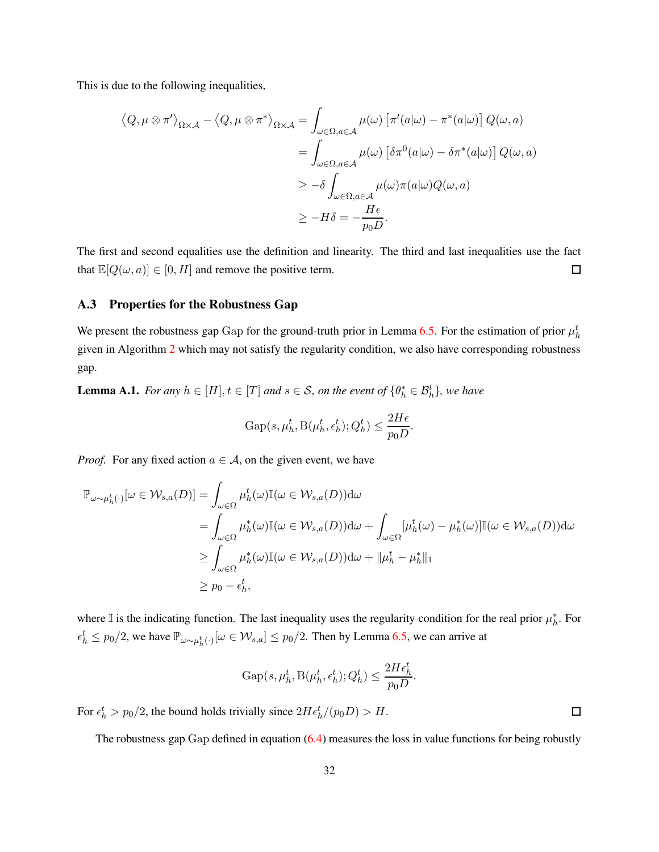This is due to the following inequalities,

$$
\langle Q, \mu \otimes \pi' \rangle_{\Omega \times \mathcal{A}} - \langle Q, \mu \otimes \pi^* \rangle_{\Omega \times \mathcal{A}} = \int_{\omega \in \Omega, a \in \mathcal{A}} \mu(\omega) \left[ \pi'(a|\omega) - \pi^*(a|\omega) \right] Q(\omega, a)
$$
  

$$
= \int_{\omega \in \Omega, a \in \mathcal{A}} \mu(\omega) \left[ \delta \pi^0(a|\omega) - \delta \pi^*(a|\omega) \right] Q(\omega, a)
$$
  

$$
\geq -\delta \int_{\omega \in \Omega, a \in \mathcal{A}} \mu(\omega) \pi(a|\omega) Q(\omega, a)
$$
  

$$
\geq -H\delta = -\frac{H\epsilon}{p_0 D}.
$$

The first and second equalities use the definition and linearity. The third and last inequalities use the fact that  $\mathbb{E}[Q(\omega, a)] \in [0, H]$  and remove the positive term.  $\Box$ 

### A.3 Properties for the Robustness Gap

We present the robustness gap Gap for the ground-truth prior in Lemma [6.5.](#page-21-1) For the estimation of prior  $\mu_h^t$ given in Algorithm [2](#page-29-0) which may not satisfy the regularity condition, we also have corresponding robustness gap.

<span id="page-31-0"></span>**Lemma A.1.** *For any*  $h \in [H], t \in [T]$  *and*  $s \in S$ *, on the event of*  $\{\theta_h^* \in \mathcal{B}_h^t\}$ *, we have* 

$$
Gap(s, \mu_h^t, B(\mu_h^t, \epsilon_h^t); Q_h^t) \le \frac{2H\epsilon}{p_0 D}.
$$

*Proof.* For any fixed action  $a \in A$ , on the given event, we have

$$
\mathbb{P}_{\omega \sim \mu_h^t(\cdot)}[\omega \in \mathcal{W}_{s,a}(D)] = \int_{\omega \in \Omega} \mu_h^t(\omega) \mathbb{I}(\omega \in \mathcal{W}_{s,a}(D)) d\omega \n= \int_{\omega \in \Omega} \mu_h^*(\omega) \mathbb{I}(\omega \in \mathcal{W}_{s,a}(D)) d\omega + \int_{\omega \in \Omega} [\mu_h^t(\omega) - \mu_h^*(\omega)] \mathbb{I}(\omega \in \mathcal{W}_{s,a}(D)) d\omega \n\geq \int_{\omega \in \Omega} \mu_h^*(\omega) \mathbb{I}(\omega \in \mathcal{W}_{s,a}(D)) d\omega + ||\mu_h^t - \mu_h^*||_1 \n\geq p_0 - \epsilon_h^t,
$$

where  $\mathbb I$  is the indicating function. The last inequality uses the regularity condition for the real prior  $\mu_h^*$ . For  $\epsilon_h^t \leq p_0/2$ , we have  $\mathbb{P}_{\omega \sim \mu_h^t(\cdot)}[\omega \in \mathcal{W}_{s,a}] \leq p_0/2$ . Then by Lemma [6.5,](#page-21-1) we can arrive at

$$
\operatorname{Gap}(s,\mu^t_h,\operatorname{B}(\mu^t_h,\epsilon^t_h);Q^t_h)\leq \frac{2H\epsilon^t_h}{p_0D}
$$

.

For  $\epsilon_h^t > p_0/2$ , the bound holds trivially since  $2H\epsilon_h^t/(p_0D) > H$ .

The robustness gap Gap defined in equation [\(6.4\)](#page-21-0) measures the loss in value functions for being robustly

 $\Box$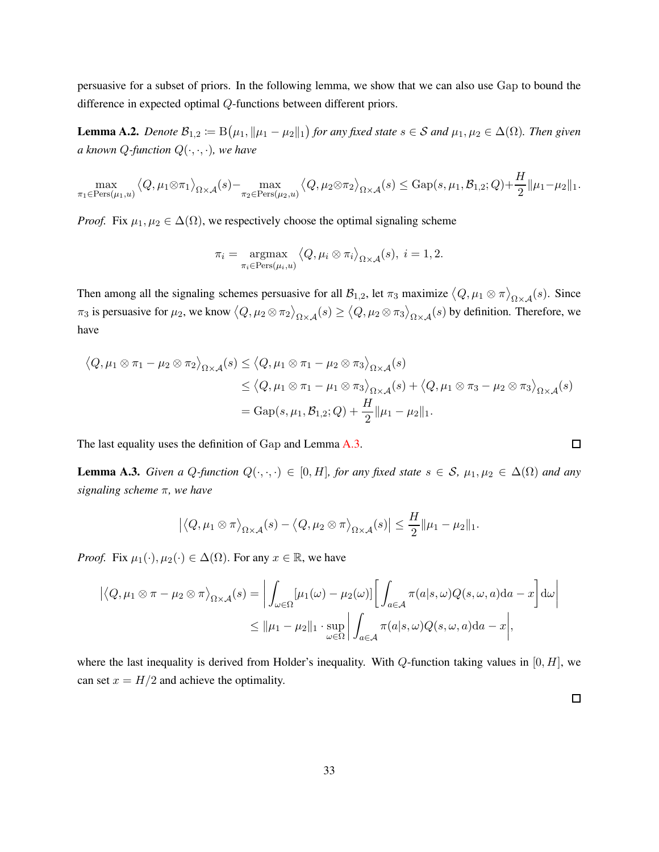persuasive for a subset of priors. In the following lemma, we show that we can also use Gap to bound the difference in expected optimal Q-functions between different priors.

<span id="page-32-0"></span>**Lemma A.2.** *Denote*  $\mathcal{B}_{1,2} \coloneqq B(\mu_1, \|\mu_1 - \mu_2\|_1)$  *for any fixed state*  $s \in \mathcal{S}$  *and*  $\mu_1, \mu_2 \in \Delta(\Omega)$ *. Then given a* known *Q*-function  $Q(\cdot, \cdot, \cdot)$ *, we have* 

$$
\max_{\pi_1 \in \text{Pers}(\mu_1, u)} \langle Q, \mu_1 \otimes \pi_1 \rangle_{\Omega \times \mathcal{A}}(s) - \max_{\pi_2 \in \text{Pers}(\mu_2, u)} \langle Q, \mu_2 \otimes \pi_2 \rangle_{\Omega \times \mathcal{A}}(s) \leq \text{Gap}(s, \mu_1, \mathcal{B}_{1,2}; Q) + \frac{H}{2} \|\mu_1 - \mu_2\|_1.
$$

*Proof.* Fix  $\mu_1, \mu_2 \in \Delta(\Omega)$ , we respectively choose the optimal signaling scheme

$$
\pi_i = \underset{\pi_i \in \text{Pers}(\mu_i, u)}{\text{argmax}} \langle Q, \mu_i \otimes \pi_i \rangle_{\Omega \times \mathcal{A}}(s), \ i = 1, 2.
$$

Then among all the signaling schemes persuasive for all  $B_{1,2}$ , let  $\pi_3$  maximize  $\langle Q, \mu_1 \otimes \pi \rangle_{\Omega \times \mathcal{A}}(s)$ . Since  $\pi_3$  is persuasive for  $\mu_2$ , we know  $\langle Q, \mu_2 \otimes \pi_2 \rangle_{\Omega \times \mathcal{A}}(s) \ge \langle Q, \mu_2 \otimes \pi_3 \rangle_{\Omega \times \mathcal{A}}(s)$  by definition. Therefore, we have

$$
\langle Q, \mu_1 \otimes \pi_1 - \mu_2 \otimes \pi_2 \rangle_{\Omega \times \mathcal{A}}(s) \le \langle Q, \mu_1 \otimes \pi_1 - \mu_2 \otimes \pi_3 \rangle_{\Omega \times \mathcal{A}}(s)
$$
  
\n
$$
\le \langle Q, \mu_1 \otimes \pi_1 - \mu_1 \otimes \pi_3 \rangle_{\Omega \times \mathcal{A}}(s) + \langle Q, \mu_1 \otimes \pi_3 - \mu_2 \otimes \pi_3 \rangle_{\Omega \times \mathcal{A}}(s)
$$
  
\n
$$
= \text{Gap}(s, \mu_1, \mathcal{B}_{1,2}; Q) + \frac{H}{2} ||\mu_1 - \mu_2||_1.
$$

The last equality uses the definition of Gap and Lemma [A.3.](#page-32-1)

<span id="page-32-1"></span>**Lemma A.3.** *Given a Q-function*  $Q(\cdot,\cdot,\cdot) \in [0,H]$ *, for any fixed state*  $s \in S$ *,*  $\mu_1, \mu_2 \in \Delta(\Omega)$  *and any signaling scheme* π*, we have*

$$
\left| \left\langle Q, \mu_1 \otimes \pi \right\rangle_{\Omega \times \mathcal{A}} (s) - \left\langle Q, \mu_2 \otimes \pi \right\rangle_{\Omega \times \mathcal{A}} (s) \right| \leq \frac{H}{2} \|\mu_1 - \mu_2\|_1.
$$

*Proof.* Fix  $\mu_1(\cdot), \mu_2(\cdot) \in \Delta(\Omega)$ . For any  $x \in \mathbb{R}$ , we have

$$
\left| \langle Q, \mu_1 \otimes \pi - \mu_2 \otimes \pi \rangle_{\Omega \times \mathcal{A}} (s) \right| = \left| \int_{\omega \in \Omega} [\mu_1(\omega) - \mu_2(\omega)] \right| \int_{a \in \mathcal{A}} \pi(a|s, \omega) Q(s, \omega, a) da - x \right| d\omega \right|
$$
  

$$
\leq ||\mu_1 - \mu_2||_1 \cdot \sup_{\omega \in \Omega} \left| \int_{a \in \mathcal{A}} \pi(a|s, \omega) Q(s, \omega, a) da - x \right|,
$$

where the last inequality is derived from Holder's inequality. With  $Q$ -function taking values in  $[0, H]$ , we can set  $x = H/2$  and achieve the optimality.

 $\Box$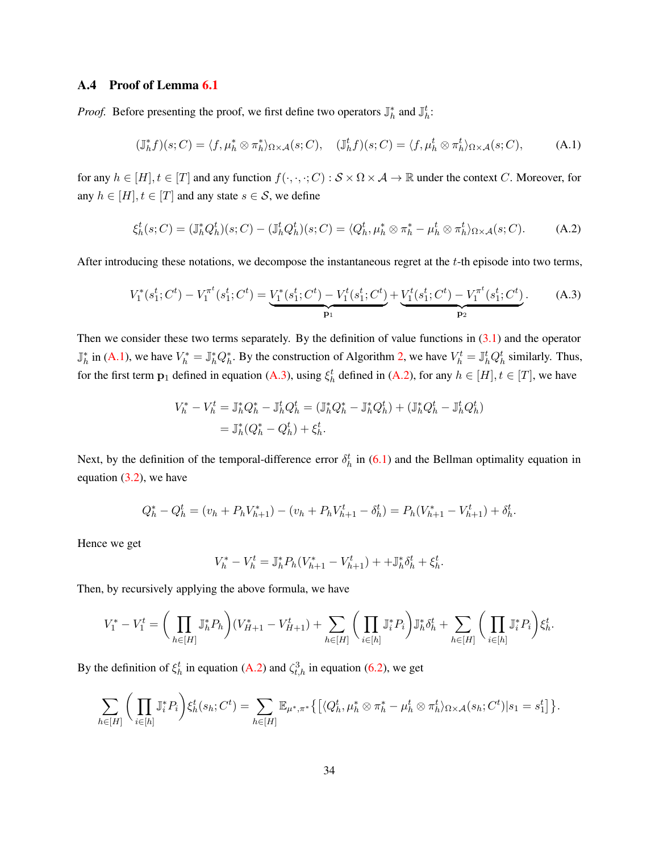### A.4 Proof of Lemma [6.1](#page-19-0)

*Proof.* Before presenting the proof, we first define two operators  $\mathbb{J}_h^*$  and  $\mathbb{J}_h^t$ :

<span id="page-33-0"></span>
$$
(\mathbb{J}_{h}^{*}f)(s;C) = \langle f, \mu_{h}^{*} \otimes \pi_{h}^{*} \rangle_{\Omega \times \mathcal{A}}(s;C), \quad (\mathbb{J}_{h}^{t}f)(s;C) = \langle f, \mu_{h}^{t} \otimes \pi_{h}^{t} \rangle_{\Omega \times \mathcal{A}}(s;C), \tag{A.1}
$$

for any  $h \in [H], t \in [T]$  and any function  $f(\cdot, \cdot, \cdot; C) : \mathcal{S} \times \Omega \times \mathcal{A} \to \mathbb{R}$  under the context C. Moreover, for any  $h \in [H], t \in [T]$  and any state  $s \in \mathcal{S}$ , we define

<span id="page-33-2"></span>
$$
\xi_h^t(s;C) = (\mathbb{J}_h^* Q_h^t)(s;C) - (\mathbb{J}_h^t Q_h^t)(s;C) = \langle Q_h^t, \mu_h^* \otimes \pi_h^* - \mu_h^t \otimes \pi_h^t \rangle_{\Omega \times \mathcal{A}}(s;C). \tag{A.2}
$$

After introducing these notations, we decompose the instantaneous regret at the  $t$ -th episode into two terms,

<span id="page-33-1"></span>
$$
V_1^*(s_1^t; C^t) - V_1^{\pi^t}(s_1^t; C^t) = \underbrace{V_1^*(s_1^t; C^t) - V_1^t(s_1^t; C^t)}_{\mathbf{p}_1} + \underbrace{V_1^t(s_1^t; C^t) - V_1^{\pi^t}(s_1^t; C^t)}_{\mathbf{p}_2}.
$$
 (A.3)

Then we consider these two terms separately. By the definition of value functions in  $(3.1)$  and the operator  $\mathbb{J}_h^*$  in [\(A.1\)](#page-33-0), we have  $V_h^* = \mathbb{J}_h^* Q_h^*$ . By the construction of Algorithm [2,](#page-29-0) we have  $V_h^t = \mathbb{J}_h^t Q_h^t$  similarly. Thus, for the first term  $p_1$  defined in equation [\(A.3\)](#page-33-1), using  $\xi_h^t$  defined in [\(A.2\)](#page-33-2), for any  $h \in [H], t \in [T]$ , we have

$$
V_h^* - V_h^t = \mathbb{J}_h^* Q_h^* - \mathbb{J}_h^t Q_h^t = (\mathbb{J}_h^* Q_h^* - \mathbb{J}_h^* Q_h^t) + (\mathbb{J}_h^* Q_h^t - \mathbb{J}_h^t Q_h^t)
$$
  
=  $\mathbb{J}_h^* (Q_h^* - Q_h^t) + \xi_h^t$ .

Next, by the definition of the temporal-difference error  $\delta_h^t$  in [\(6.1\)](#page-19-1) and the Bellman optimality equation in equation  $(3.2)$ , we have

$$
Q_h^* - Q_h^t = (v_h + P_h V_{h+1}^*) - (v_h + P_h V_{h+1}^t - \delta_h^t) = P_h (V_{h+1}^* - V_{h+1}^t) + \delta_h^t.
$$

Hence we get

$$
V_h^* - V_h^t = \mathbb{J}_h^* P_h (V_{h+1}^* - V_{h+1}^t) + + \mathbb{J}_h^* \delta_h^t + \xi_h^t.
$$

Then, by recursively applying the above formula, we have

$$
V_1^*-V_1^t=\bigg(\prod_{h\in[H]}{\mathbb J}_h^*P_h\bigg)(V_{H+1}^*-V_{H+1}^t)+\sum_{h\in[H]}\bigg(\prod_{i\in[h]}{\mathbb J}_i^*P_i\bigg){\mathbb J}_h^*\delta_h^t+\sum_{h\in[H]}\bigg(\prod_{i\in[h]}{\mathbb J}_i^*P_i\bigg)\xi_h^t.
$$

By the definition of  $\xi_h^t$  in equation [\(A.2\)](#page-33-2) and  $\zeta_{t,h}^3$  in equation [\(6.2\)](#page-19-2), we get

$$
\sum_{h\in[H]}\bigg(\prod_{i\in[h]}\mathbb{J}_i^*P_i\bigg)\xi_h^t(s_h;C^t)=\sum_{h\in[H]}\mathbb{E}_{\mu^*,\pi^*}\big\{\big[\langle Q_h^t,\mu_h^*\otimes\pi_h^*-\mu_h^t\otimes\pi_h^t\rangle_{\Omega\times\mathcal{A}}(s_h;C^t)|s_1=s_1^t\big]\big\}.
$$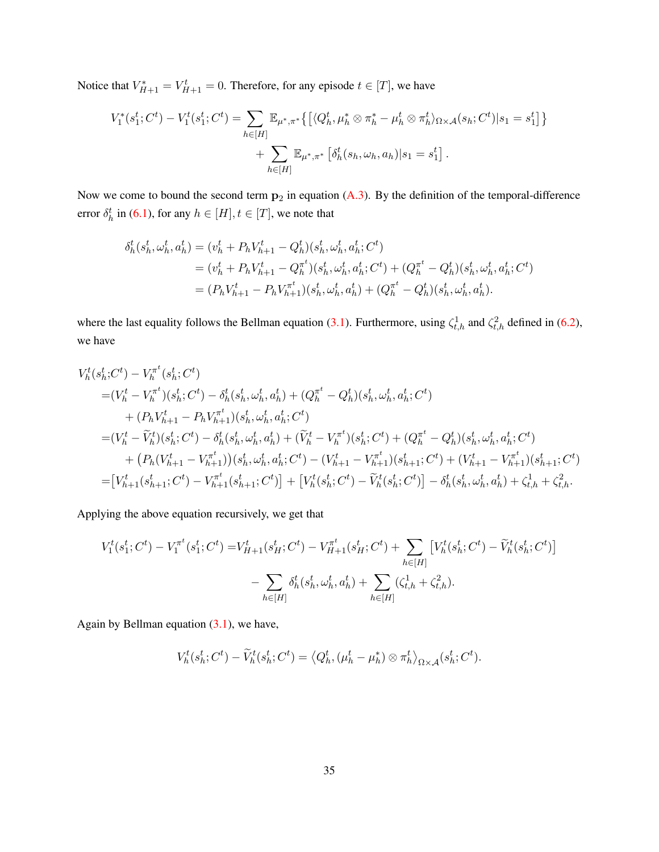Notice that  $V_{H+1}^* = V_{H+1}^t = 0$ . Therefore, for any episode  $t \in [T]$ , we have

$$
V_1^*(s_1^t; C^t) - V_1^t(s_1^t; C^t) = \sum_{h \in [H]} \mathbb{E}_{\mu^*, \pi^*} \{ \left[ \langle Q_h^t, \mu_h^* \otimes \pi_h^* - \mu_h^t \otimes \pi_h^t \rangle_{\Omega \times \mathcal{A}}(s_h; C^t) | s_1 = s_1^t \right] \} + \sum_{h \in [H]} \mathbb{E}_{\mu^*, \pi^*} \left[ \delta_h^t(s_h, \omega_h, a_h) | s_1 = s_1^t \right].
$$

Now we come to bound the second term  $p_2$  in equation [\(A.3\)](#page-33-1). By the definition of the temporal-difference error  $\delta_h^t$  in [\(6.1\)](#page-19-1), for any  $h \in [H], t \in [T]$ , we note that

$$
\delta_h^t(s_h^t, \omega_h^t, a_h^t) = (v_h^t + P_h V_{h+1}^t - Q_h^t)(s_h^t, \omega_h^t, a_h^t; C^t) \n= (v_h^t + P_h V_{h+1}^t - Q_h^{\pi^t})(s_h^t, \omega_h^t, a_h^t; C^t) + (Q_h^{\pi^t} - Q_h^t)(s_h^t, \omega_h^t, a_h^t; C^t) \n= (P_h V_{h+1}^t - P_h V_{h+1}^{\pi^t})(s_h^t, \omega_h^t, a_h^t) + (Q_h^{\pi^t} - Q_h^t)(s_h^t, \omega_h^t, a_h^t).
$$

where the last equality follows the Bellman equation [\(3.1\)](#page-10-2). Furthermore, using  $\zeta_{t,h}^1$  and  $\zeta_{t,h}^2$  defined in [\(6.2\)](#page-19-2), we have

$$
V_{h}^{t}(s_{h}^{t};C^{t}) - V_{h}^{\pi^{t}}(s_{h}^{t};C^{t})
$$
  
\n
$$
= (V_{h}^{t} - V_{h}^{\pi^{t}})(s_{h}^{t};C^{t}) - \delta_{h}^{t}(s_{h}^{t},\omega_{h}^{t},a_{h}^{t}) + (Q_{h}^{\pi^{t}} - Q_{h}^{t})(s_{h}^{t},\omega_{h}^{t},a_{h}^{t};C^{t})
$$
  
\n
$$
+ (P_{h}V_{h+1}^{t} - P_{h}V_{h+1}^{\pi^{t}})(s_{h}^{t},\omega_{h}^{t},a_{h}^{t};C^{t})
$$
  
\n
$$
= (V_{h}^{t} - \widetilde{V}_{h}^{t})(s_{h}^{t};C^{t}) - \delta_{h}^{t}(s_{h}^{t},\omega_{h}^{t},a_{h}^{t}) + (\widetilde{V}_{h}^{t} - V_{h}^{\pi^{t}})(s_{h}^{t};C^{t}) + (Q_{h}^{\pi^{t}} - Q_{h}^{t})(s_{h}^{t},\omega_{h}^{t},a_{h}^{t};C^{t})
$$
  
\n
$$
+ (P_{h}(V_{h+1}^{t} - V_{h+1}^{\pi^{t}}))(s_{h}^{t},\omega_{h}^{t},a_{h}^{t};C^{t}) - (V_{h+1}^{t} - V_{h+1}^{\pi^{t}})(s_{h+1}^{t};C^{t}) + (V_{h+1}^{t} - V_{h+1}^{\pi^{t}})(s_{h+1}^{t};C^{t})
$$
  
\n
$$
= [V_{h+1}^{t}(s_{h+1}^{t};C^{t}) - V_{h+1}^{\pi^{t}}(s_{h+1}^{t};C^{t})] + [V_{h}^{t}(s_{h}^{t};C^{t}) - \widetilde{V}_{h}^{t}(s_{h}^{t};C^{t})] - \delta_{h}^{t}(s_{h}^{t},\omega_{h}^{t},a_{h}^{t}) + \zeta_{t,h}^{1} + \zeta_{t,h}^{2}.
$$

Applying the above equation recursively, we get that

$$
V_1^t(s_1^t; C^t) - V_1^{\pi^t}(s_1^t; C^t) = V_{H+1}^t(s_H^t; C^t) - V_{H+1}^{\pi^t}(s_H^t; C^t) + \sum_{h \in [H]} \left[ V_h^t(s_h^t; C^t) - \widetilde{V}_h^t(s_h^t; C^t) \right] - \sum_{h \in [H]} \delta_h^t(s_h^t, \omega_h^t, a_h^t) + \sum_{h \in [H]} (\zeta_{t,h}^1 + \zeta_{t,h}^2).
$$

Again by Bellman equation [\(3.1\)](#page-10-2), we have,

$$
V_h^t(s_h^t; C^t) - \widetilde{V}_h^t(s_h^t; C^t) = \left\langle Q_h^t, (\mu_h^t - \mu_h^*) \otimes \pi_h^t \right\rangle_{\Omega \times \mathcal{A}} (s_h^t; C^t).
$$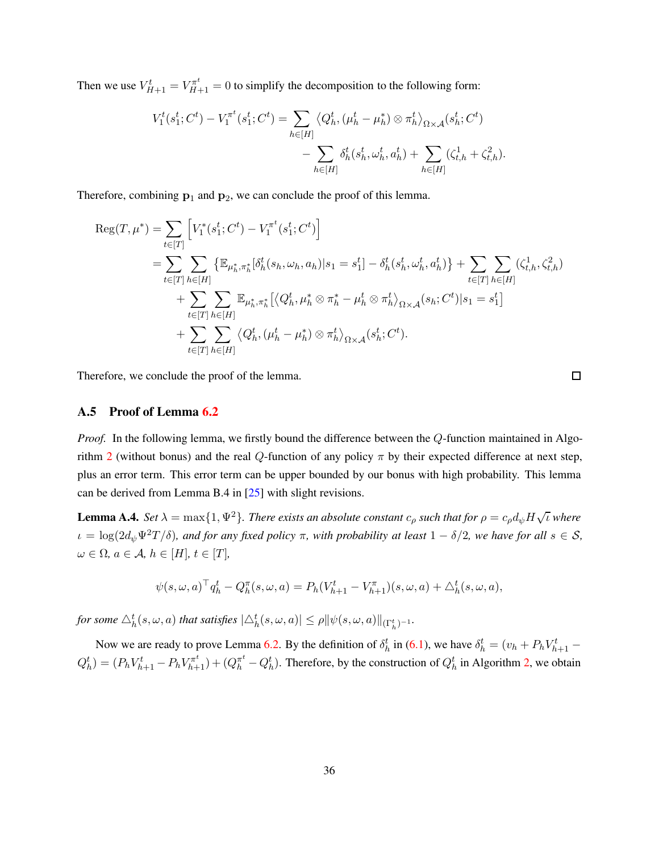Then we use  $V_{H+1}^t = V_{H+1}^{\pi^t} = 0$  to simplify the decomposition to the following form:

$$
V_1^t(s_1^t; C^t) - V_1^{\pi^t}(s_1^t; C^t) = \sum_{h \in [H]} \left\langle Q_h^t, (\mu_h^t - \mu_h^*) \otimes \pi_h^t \right\rangle_{\Omega \times \mathcal{A}} (s_h^t; C^t) - \sum_{h \in [H]} \delta_h^t(s_h^t, \omega_h^t, a_h^t) + \sum_{h \in [H]} (\zeta_{t,h}^1 + \zeta_{t,h}^2).
$$

Therefore, combining  $p_1$  and  $p_2$ , we can conclude the proof of this lemma.

$$
\begin{split} \text{Reg}(T, \mu^{*}) &= \sum_{t \in [T]} \Big[ V_{1}^{*}(s_{1}^{t}; C^{t}) - V_{1}^{\pi^{t}}(s_{1}^{t}; C^{t}) \Big] \\ &= \sum_{t \in [T]} \sum_{h \in [H]} \big\{ \mathbb{E}_{\mu_{h}^{*}, \pi_{h}^{*}}[\delta_{h}^{t}(s_{h}, \omega_{h}, a_{h}) | s_{1} = s_{1}^{t}] - \delta_{h}^{t}(s_{h}^{t}, \omega_{h}^{t}, a_{h}^{t}) \big\} + \sum_{t \in [T]} \sum_{h \in [H]} (\zeta_{t,h}^{1}, \zeta_{t,h}^{2}) \\ &+ \sum_{t \in [T]} \sum_{h \in [H]} \mathbb{E}_{\mu_{h}^{*}, \pi_{h}^{*}}[\langle Q_{h}^{t}, \mu_{h}^{*} \otimes \pi_{h}^{*} - \mu_{h}^{t} \otimes \pi_{h}^{t} \rangle_{\Omega \times \mathcal{A}}(s_{h}; C^{t}) | s_{1} = s_{1}^{t}] \\ &+ \sum_{t \in [T]} \sum_{h \in [H]} \langle Q_{h}^{t}, (\mu_{h}^{t} - \mu_{h}^{*}) \otimes \pi_{h}^{t} \rangle_{\Omega \times \mathcal{A}}(s_{h}^{t}; C^{t}). \end{split}
$$

Therefore, we conclude the proof of the lemma.

### A.5 Proof of Lemma [6.2](#page-20-0)

*Proof.* In the following lemma, we firstly bound the difference between the Q-function maintained in Algo-rithm [2](#page-29-0) (without bonus) and the real Q-function of any policy  $\pi$  by their expected difference at next step, plus an error term. This error term can be upper bounded by our bonus with high probability. This lemma can be derived from Lemma B.4 in [\[25\]](#page-25-9) with slight revisions.

**Lemma A.4.** *Set*  $\lambda = \max\{1, \Psi^2\}$ . *There exists an absolute constant*  $c_\rho$  *such that for*  $\rho = c_\rho d_\psi H \sqrt{\iota}$  where  $\iota = \log(2d_{\psi}\Psi^2T/\delta)$ *, and for any fixed policy*  $\pi$ *, with probability at least*  $1 - \delta/2$ *, we have for all*  $s \in S$ *,*  $\omega \in \Omega$ ,  $a \in \mathcal{A}$ ,  $h \in [H]$ ,  $t \in [T]$ ,

$$
\psi(s,\omega,a)^{\top} q_h^t - Q_h^{\pi}(s,\omega,a) = P_h(V_{h+1}^t - V_{h+1}^{\pi})(s,\omega,a) + \Delta_h^t(s,\omega,a),
$$

for some  $\triangle_{h}^{t}(s, \omega, a)$  that satisfies  $|\triangle_{h}^{t}(s, \omega, a)| \leq \rho ||\psi(s, \omega, a)||_{(\Gamma_{h}^{t})^{-1}}$ .

Now we are ready to prove Lemma [6.2.](#page-20-0) By the definition of  $\delta_h^t$  in [\(6.1\)](#page-19-1), we have  $\delta_h^t = (v_h + P_h V_{h+1}^t Q_h^t$  =  $(P_h V_{h+1}^t - P_h V_{h+1}^{\pi^t}) + (Q_h^{\pi^t} - Q_h^t)$ . Therefore, by the construction of  $Q_h^t$  in Algorithm [2,](#page-29-0) we obtain

 $\Box$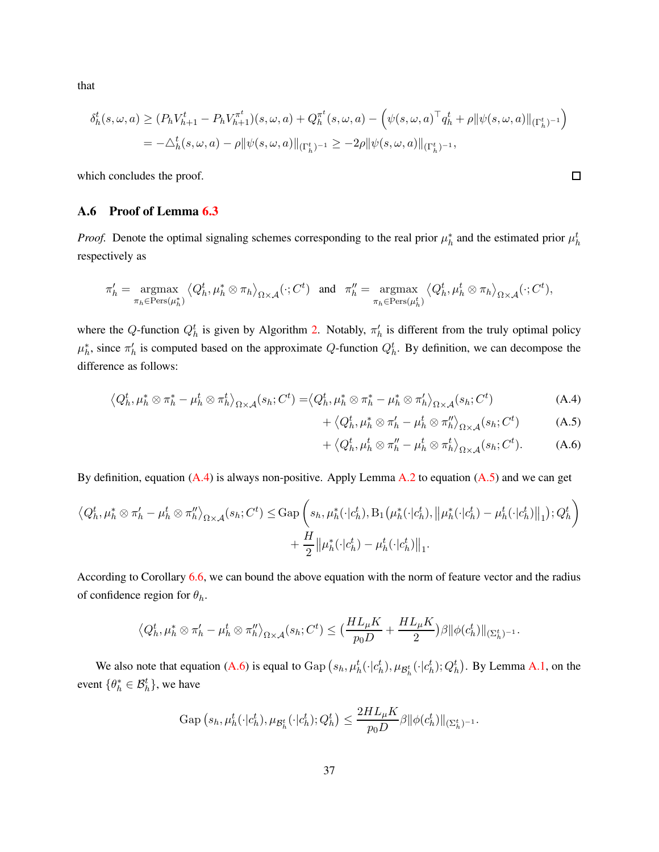that

$$
\delta^t_h(s,\omega,a) \ge (P_h V^t_{h+1} - P_h V^{\pi^t}_{h+1})(s,\omega,a) + Q^{\pi^t}_h(s,\omega,a) - \left(\psi(s,\omega,a)^{\top} q^t_h + \rho \|\psi(s,\omega,a)\|_{(\Gamma^t_h)^{-1}}\right)
$$
  
= 
$$
-\triangle^t_h(s,\omega,a) - \rho \|\psi(s,\omega,a)\|_{(\Gamma^t_h)^{-1}} \ge -2\rho \|\psi(s,\omega,a)\|_{(\Gamma^t_h)^{-1}},
$$

which concludes the proof.

### A.6 Proof of Lemma [6.3](#page-20-1)

*Proof.* Denote the optimal signaling schemes corresponding to the real prior  $\mu_h^*$  and the estimated prior  $\mu_h^t$ respectively as

$$
\pi'_h = \underset{\pi_h \in \text{Pers}(\mu_h^*)}{\text{argmax}} \left\langle Q_h^t, \mu_h^* \otimes \pi_h \right\rangle_{\Omega \times \mathcal{A}} (\cdot; C^t) \quad \text{and} \quad \pi''_h = \underset{\pi_h \in \text{Pers}(\mu_h^t)}{\text{argmax}} \left\langle Q_h^t, \mu_h^t \otimes \pi_h \right\rangle_{\Omega \times \mathcal{A}} (\cdot; C^t),
$$

where the Q-function  $Q_h^t$  is given by Algorithm [2.](#page-29-0) Notably,  $\pi'_h$  is different from the truly optimal policy  $\mu_h^*$ , since  $\pi_h'$  is computed based on the approximate Q-function  $Q_h^t$ . By definition, we can decompose the difference as follows:

$$
\left\langle Q_h^t, \mu_h^* \otimes \pi_h^* - \mu_h^t \otimes \pi_h^t \right\rangle_{\Omega \times \mathcal{A}} (s_h; C^t) = \left\langle Q_h^t, \mu_h^* \otimes \pi_h^* - \mu_h^* \otimes \pi_h' \right\rangle_{\Omega \times \mathcal{A}} (s_h; C^t)
$$
\n(A.4)

<span id="page-36-1"></span>
$$
+ \langle Q_h^t, \mu_h^* \otimes \pi_h' - \mu_h^t \otimes \pi_h'' \rangle_{\Omega \times \mathcal{A}}(s_h; C^t)
$$
 (A.5)

<span id="page-36-2"></span>
$$
+ \langle Q_h^t, \mu_h^t \otimes \pi_h^{\prime\prime} - \mu_h^t \otimes \pi_h^t \rangle_{\Omega \times \mathcal{A}}(s_h; C^t). \tag{A.6}
$$

By definition, equation  $(A.4)$  is always non-positive. Apply Lemma  $A.2$  to equation  $(A.5)$  and we can get

$$
\langle Q_h^t, \mu_h^* \otimes \pi_h' - \mu_h^t \otimes \pi_h'' \rangle_{\Omega \times \mathcal{A}}(s_h; C^t) \le \text{Gap}\left(s_h, \mu_h^*(\cdot | c_h^t), \text{B}_1\left(\mu_h^*(\cdot | c_h^t), \left\|\mu_h^*(\cdot | c_h^t) - \mu_h^t(\cdot | c_h^t)\right\|\right)_1; Q_h^t\right) + \frac{H}{2} \|\mu_h^*(\cdot | c_h^t) - \mu_h^t(\cdot | c_h^t)\|_1.
$$

According to Corollary [6.6,](#page-22-0) we can bound the above equation with the norm of feature vector and the radius of confidence region for  $\theta_h$ .

$$
\left\langle Q_h^t, \mu_h^* \otimes \pi_h' - \mu_h^t \otimes \pi_h'' \right\rangle_{\Omega \times \mathcal{A}} (s_h; C^t) \leq \left( \frac{HL_\mu K}{p_0 D} + \frac{HL_\mu K}{2} \right) \beta \|\phi(c_h^t)\|_{(\Sigma_h^t)^{-1}}.
$$

We also note that equation [\(A.6\)](#page-36-2) is equal to  $\text{Gap}(s_h, \mu^t_h(\cdot|c^t_h), \mu_{\mathcal{B}^t_h}(\cdot|c^t_h); Q^t_h)$ . By Lemma [A.1,](#page-31-0) on the event  $\{\theta_h^* \in \mathcal{B}_h^t\}$ , we have

$$
\operatorname{Gap}(s_h, \mu^t_h(\cdot|c^t_h), \mu_{\mathcal{B}^t_h}(\cdot|c^t_h); Q^t_h) \leq \frac{2HL_\mu K}{p_0 D} \beta \|\phi(c^t_h)\|_{(\Sigma^t_h)^{-1}}.
$$

<span id="page-36-0"></span> $\Box$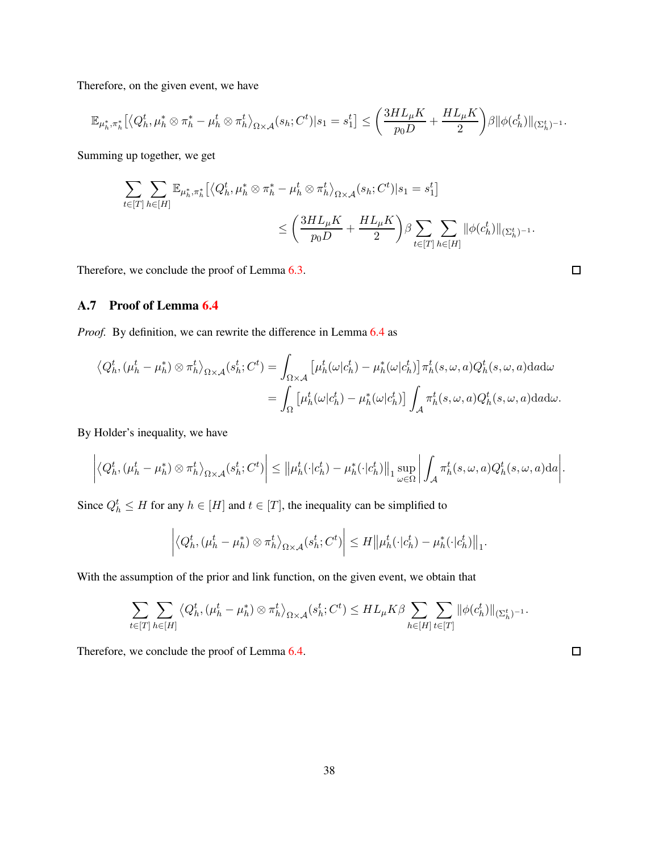Therefore, on the given event, we have

$$
\mathbb{E}_{\mu_h^*,\pi_h^*}\big[ \big\langle Q_h^t,\mu_h^*\otimes \pi_h^*-\mu_h^t\otimes \pi_h^t\big\rangle_{\Omega\times\mathcal{A}}(s_h;C^t)|s_1=s_1^t\big]\leq \bigg(\frac{3HL_\mu K}{p_0D}+\frac{HL_\mu K}{2}\bigg)\beta\|\phi(c_h^t)\|_{(\Sigma_h^t)^{-1}}.
$$

Summing up together, we get

$$
\begin{aligned} \sum_{t\in[T]}\sum_{h\in[H]}\mathbb{E}_{\mu_h^*,\pi_h^*}\big[ \big\langle Q_h^t,\mu_h^*\otimes \pi_h^*-\mu_h^t\otimes \pi_h^t\big\rangle_{\Omega\times\mathcal{A}}(s_h;C^t)|s_1=s_1^t\big] \\ &\leq \bigg(\frac{3HL_\mu K}{p_0D}+\frac{HL_\mu K}{2}\bigg)\beta\sum_{t\in[T]}\sum_{h\in[H]}\|\phi(c_h^t)\|_{(\Sigma_h^t)^{-1}}. \end{aligned}
$$

Therefore, we conclude the proof of Lemma [6.3.](#page-20-1)

$$
\Box
$$

 $\Box$ 

# A.7 Proof of Lemma [6.4](#page-20-2)

*Proof.* By definition, we can rewrite the difference in Lemma [6.4](#page-20-2) as

$$
\langle Q_h^t, (\mu_h^t - \mu_h^*) \otimes \pi_h^t \rangle_{\Omega \times \mathcal{A}} (s_h^t; C^t) = \int_{\Omega \times \mathcal{A}} \left[ \mu_h^t(\omega | c_h^t) - \mu_h^*(\omega | c_h^t) \right] \pi_h^t(s, \omega, a) Q_h^t(s, \omega, a) da d\omega = \int_{\Omega} \left[ \mu_h^t(\omega | c_h^t) - \mu_h^*(\omega | c_h^t) \right] \int_{\mathcal{A}} \pi_h^t(s, \omega, a) Q_h^t(s, \omega, a) da d\omega.
$$

By Holder's inequality, we have

$$
\left| \left\langle Q_h^t, (\mu_h^t - \mu_h^*) \otimes \pi_h^t \right\rangle_{\Omega \times \mathcal{A}} (s_h^t; C^t) \right| \leq \left\| \mu_h^t(\cdot|c_h^t) - \mu_h^*(\cdot|c_h^t) \right\|_1 \sup_{\omega \in \Omega} \left| \int_{\mathcal{A}} \pi_h^t(s, \omega, a) Q_h^t(s, \omega, a) da \right|.
$$

Since  $Q_h^t \leq H$  for any  $h \in [H]$  and  $t \in [T]$ , the inequality can be simplified to

$$
\left| \left\langle Q_h^t, (\mu_h^t - \mu_h^*) \otimes \pi_h^t \right\rangle_{\Omega \times \mathcal{A}} (s_h^t; C^t) \right| \leq H \big\| \mu_h^t(\cdot|c_h^t) - \mu_h^*(\cdot|c_h^t) \big\|_1.
$$

With the assumption of the prior and link function, on the given event, we obtain that

$$
\sum_{t\in[T]}\sum_{h\in[H]}\big\langle Q_h^t,(\mu_h^t-\mu_h^*)\otimes \pi_h^t\big\rangle_{\Omega\times\mathcal{A}}(s_h^t;C^t)\leq HL_\mu K\beta\sum_{h\in[H]}\sum_{t\in[T]}\|\phi(c_h^t)\|_{(\Sigma_h^t)^{-1}}.
$$

Therefore, we conclude the proof of Lemma [6.4.](#page-20-2)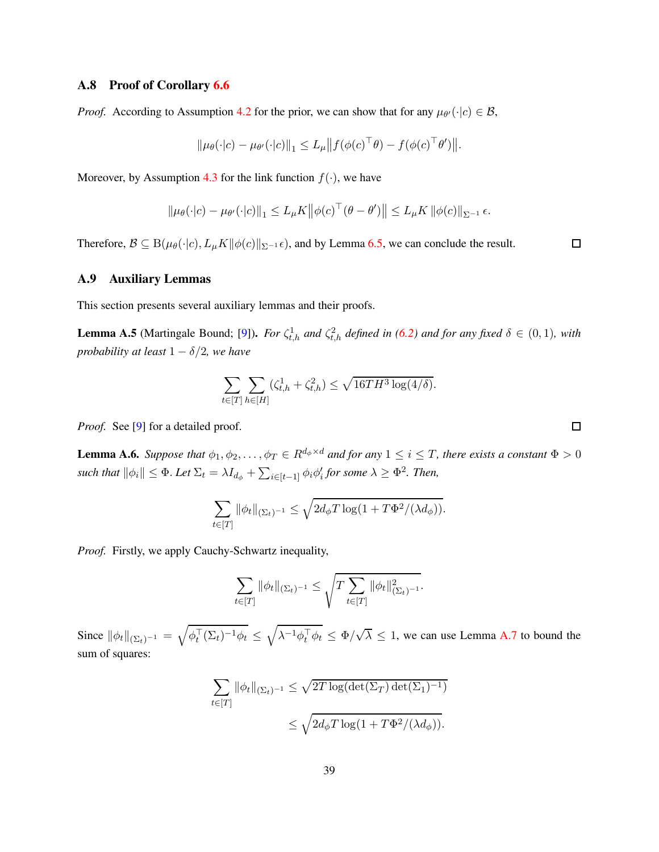#### A.8 Proof of Corollary [6.6](#page-22-0)

*Proof.* According to Assumption [4.2](#page-16-1) for the prior, we can show that for any  $\mu_{\theta'}(\cdot | c) \in \mathcal{B}$ ,

$$
\|\mu_{\theta}(\cdot|c) - \mu_{\theta'}(\cdot|c)\|_{1} \le L_{\mu} \|f(\phi(c)^{\top}\theta) - f(\phi(c)^{\top}\theta')\|.
$$

Moreover, by Assumption [4.3](#page-16-2) for the link function  $f(\cdot)$ , we have

$$
\|\mu_{\theta}(\cdot|c) - \mu_{\theta'}(\cdot|c)\|_{1} \le L_{\mu}K \big\|\phi(c)^{\top}(\theta - \theta')\big\| \le L_{\mu}K \|\phi(c)\|_{\Sigma^{-1}}\epsilon.
$$

Therefore,  $\mathcal{B} \subseteq B(\mu_{\theta}(\cdot|c), L_{\mu}K\|\phi(c)\|_{\Sigma^{-1}}\epsilon)$ , and by Lemma [6.5,](#page-21-1) we can conclude the result.

### A.9 Auxiliary Lemmas

This section presents several auxiliary lemmas and their proofs.

<span id="page-38-0"></span>**Lemma A.5** (Martingale Bound; [\[9\]](#page-24-7)). *For*  $\zeta_{t,h}^1$  *and*  $\zeta_{t,h}^2$  *defined in* [\(6.2\)](#page-19-2) *and for any fixed*  $\delta \in (0,1)$ *, with probability at least*  $1 - \delta/2$ *, we have* 

$$
\sum_{t \in [T]} \sum_{h \in [H]} (\zeta_{t,h}^1 + \zeta_{t,h}^2) \le \sqrt{16TH^3 \log(4/\delta)}.
$$

*Proof.* See [\[9](#page-24-7)] for a detailed proof.

<span id="page-38-1"></span>**Lemma A.6.** *Suppose that*  $\phi_1, \phi_2, \ldots, \phi_T \in R^{d_{\phi} \times d}$  *and for any*  $1 \leq i \leq T$ *, there exists a constant*  $\Phi > 0$  $\textit{such that } ||\phi_i|| \leq \Phi.$  Let  $\Sigma_t = \lambda I_{d_\phi} + \sum_{i \in [t-1]} \phi_i \phi'_i$  for some  $\lambda \geq \Phi^2$ . Then,

$$
\sum_{t \in [T]} \|\phi_t\|_{(\Sigma_t)^{-1}} \leq \sqrt{2d_{\phi}T \log(1 + T\Phi^2/(\lambda d_{\phi}))}.
$$

*Proof.* Firstly, we apply Cauchy-Schwartz inequality,

$$
\sum_{t \in [T]} \|\phi_t\|_{(\Sigma_t)^{-1}} \leq \sqrt{T \sum_{t \in [T]} \|\phi_t\|_{(\Sigma_t)^{-1}}^2}.
$$

Since  $\|\phi_t\|_{(\Sigma_t)^{-1}} = \sqrt{\phi_t^{\top}(\Sigma_t)^{-1}\phi_t} \leq \sqrt{\lambda^{-1}\phi_t^{\top}\phi_t} \leq \Phi/\sqrt{\lambda} \leq 1$ , we can use Lemma [A.7](#page-39-0) to bound the sum of squares:

$$
\sum_{t \in [T]} \|\phi_t\|_{(\Sigma_t)^{-1}} \le \sqrt{2T \log(\det(\Sigma_T) \det(\Sigma_1)^{-1})}
$$
  

$$
\le \sqrt{2d_{\phi}T \log(1 + T\Phi^2/(\lambda d_{\phi}))}.
$$

 $\Box$ 

 $\Box$